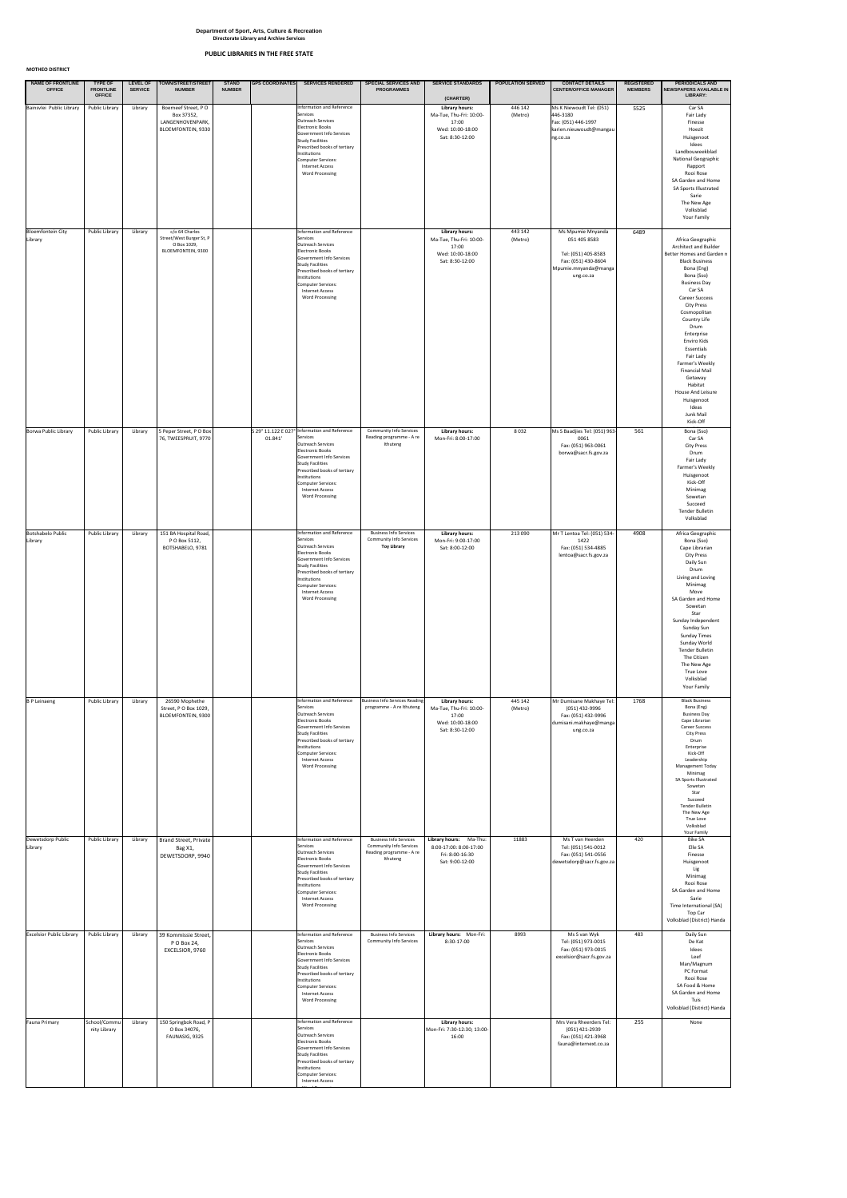**MOTHEO DISTRICT**

| <b>NAME OF FRONTLINE</b><br><b>OFFICE</b> | <b>TYPE OF</b><br><b>FRONTLINE</b><br><b>OFFICE</b> | <b>SERVICE</b> | LEVEL OF   TOWN/STREET/STREET<br><b>NUMBER</b>                                         | <b>STAND</b><br><b>NUMBER</b> | <b>GPS COORDINATES</b> | <b>SERVICES RENDERED</b>                                                                                                                                                                                                                                                                          | <b>SPECIAL SERVICES AND</b><br><b>PROGRAMMES</b>                                                        | <b>SERVICE STANDARDS</b><br>(CHARTER)                                                            | <b>POPULATION SERVED</b> | <b>CONTACT DETAILS</b><br><b>CENTER/OFFICE MANAGER</b>                                                               | <b>REGISTERED</b><br><b>MEMBERS</b> | <b>PERIODICALS AND</b><br>NEWSPAPERS AVAILABLE IN<br><b>LIBRARY:</b>                                                                                                                                                                                                                                                                                                                                                                   |
|-------------------------------------------|-----------------------------------------------------|----------------|----------------------------------------------------------------------------------------|-------------------------------|------------------------|---------------------------------------------------------------------------------------------------------------------------------------------------------------------------------------------------------------------------------------------------------------------------------------------------|---------------------------------------------------------------------------------------------------------|--------------------------------------------------------------------------------------------------|--------------------------|----------------------------------------------------------------------------------------------------------------------|-------------------------------------|----------------------------------------------------------------------------------------------------------------------------------------------------------------------------------------------------------------------------------------------------------------------------------------------------------------------------------------------------------------------------------------------------------------------------------------|
| Bainsvlei Public Library                  | Public Library                                      | Library        | Boerneef Street, PO<br>Box 37352,<br>LANGENHOVENPARK,<br><b>BLOEMFONTEIN, 9330</b>     |                               |                        | Information and Reference<br>Services<br>Outreach Services<br>Electronic Books<br>Government Info Services<br><b>Study Facilities</b><br>Prescribed books of tertiary<br>Institutions<br>Computer Services:<br><b>Internet Access</b><br><b>Word Processing</b>                                   |                                                                                                         | <b>Library hours:</b><br>Ma-Tue, Thu-Fri: 10:00-<br>17:00<br>Wed: 10:00-18:00<br>Sat: 8:30-12:00 | 446 142<br>(Metro)       | Ms K Niewoudt Tel: (051)<br>446-3180<br>Fax: (051) 446-1997<br>karien.nieuwoudt@mangau<br>ng.co.za                   | 5525                                | Car SA<br>Fair Lady<br>Finesse<br>Hoezit<br>Huisgenoot<br>Idees<br>Landbouweekblad<br><b>National Geographic</b><br>Rapport<br>Rooi Rose<br>SA Garden and Home<br><b>SA Sports Illustrated</b><br>Sarie<br>The New Age<br>Volksblad<br>Your Family                                                                                                                                                                                     |
| <b>Bloemfontein City</b><br>Library       | <b>Public Library</b>                               | Library        | c/o 64 Charles<br>Street/West Burger St, P<br>O Box 1029,<br><b>BLOEMFONTEIN, 9300</b> |                               |                        | Information and Reference<br>Services<br>Outreach Services<br>Electronic Books<br>Government Info Services<br><b>Study Facilities</b><br>Prescribed books of tertiary<br>Institutions<br>Computer Services:<br><b>Internet Access</b><br><b>Word Processing</b>                                   |                                                                                                         | <b>Library hours:</b><br>Ma-Tue, Thu-Fri: 10:00-<br>17:00<br>Wed: 10:00-18:00<br>Sat: 8:30-12:00 | 443 142<br>(Metro)       | Ms Mpumie Mnyanda<br>051 405 8583<br>Tel: (051) 405-8583<br>Fax: (051) 430-8604<br>Mpumie.mnyanda@manga<br>ung.co.za | 6489                                | Africa Geographic<br><b>Architect and Builder</b><br>Better Homes and Garden n<br><b>Black Business</b><br>Bona (Eng)<br>Bona (Sso)<br><b>Business Day</b><br>Car SA<br><b>Career Success</b><br>City Press<br>Cosmopolitan<br>Country Life<br>Drum<br>Enterprise<br>Enviro Kids<br>Essentials<br>Fair Lady<br>Farmer's Weekly<br><b>Financial Mail</b><br>Getaway<br>Habitat<br>House And Leisure<br>Huisgenoot<br>Ideas<br>Junk Mail |
| Borwa Public Library                      | <b>Public Library</b>                               | Library        | 5 Peper Street, PO Box<br>76, TWEESPRUIT, 9770                                         |                               | 01.841'                | S 29° 11.122 E 027° Information and Reference<br>Services<br><b>Outreach Services</b><br><b>Electronic Books</b><br>Government Info Services<br><b>Study Facilities</b><br>Prescribed books of tertiary<br>Institutions<br>Computer Services:<br><b>Internet Access</b><br><b>Word Processing</b> | <b>Community Info Services</b><br>Reading programme - A re<br>Ithuteng                                  | <b>Library hours:</b><br>Mon-Fri: 8:00-17:00                                                     | 8032                     | Ms S Baadjies Tel: (051) 963-<br>0061<br>Fax: (051) 963-0061<br>borwa@sacr.fs.gov.za                                 | 561                                 | Kick-Off<br>Bona (Sso)<br>Car SA<br><b>City Press</b><br>Drum<br>Fair Lady<br>Farmer's Weekly<br>Huisgenoot<br>Kick-Off<br>Minimag<br>Sowetan<br>Succeed<br>Tender Bulletin<br>Volksblad                                                                                                                                                                                                                                               |
| <b>Botshabelo Public</b><br>Library       | <b>Public Library</b>                               | Library        | 151 BA Hospital Road,<br>P O Box 5112,<br>BOTSHABELO, 9781                             |                               |                        | Information and Reference<br>Services<br>Outreach Services<br><b>Electronic Books</b><br>Government Info Services<br><b>Study Facilities</b><br>Prescribed books of tertiary<br>Institutions<br>Computer Services:<br>Internet Access<br><b>Word Processing</b>                                   | <b>Business Info Services</b><br><b>Community Info Services</b><br><b>Toy Library</b>                   | <b>Library hours:</b><br>Mon-Fri: 9:00-17:00<br>Sat: 8:00-12:00                                  | 213 090                  | Mr T Lentoa Tel: (051) 534-<br>1422<br>Fax: (051) 534-4885<br>lentoa@sacr.fs.gov.za                                  | 4908                                | Africa Geographic<br>Bona (Sso)<br>Cape Librarian<br><b>City Press</b><br>Daily Sun<br>Drum<br>Living and Loving<br>Minimag<br>Move<br>SA Garden and Home<br>Sowetan<br>Star<br>Sunday Independent<br>Sunday Sun<br><b>Sunday Times</b><br>Sunday World<br>Tender Bulletin<br>The Citizen<br>The New Age<br>True Love<br>Volksblad<br>Your Family                                                                                      |
| <b>B</b> P Leinaeng                       | <b>Public Library</b>                               | Library        | 26590 Mophethe<br>Street, PO Box 1029,<br><b>BLOEMFONTEIN, 9300</b>                    |                               |                        | Information and Reference<br>Services<br>Outreach Services<br>Electronic Books<br>Government Info Services<br><b>Study Facilities</b><br>Prescribed books of tertiary<br>Institutions<br>Computer Services:<br><b>Internet Access</b><br><b>Word Processing</b>                                   | <b>Business Info Services Reading</b><br>programme - A re Ithuteng                                      | <b>Library hours:</b><br>Ma-Tue, Thu-Fri: 10:00-<br>17:00<br>Wed: 10:00-18:00<br>Sat: 8:30-12:00 | 445 142<br>(Metro)       | Mr Dumisane Makhaye Tel:<br>(051) 432-9996<br>Fax: (051) 432-9996<br>dumisani.makhaye@manga<br>ung.co.za             | 1768                                | <b>Black Business</b><br>Bona (Eng)<br><b>Business Day</b><br>Cape Librarian<br><b>Career Success</b><br><b>City Press</b><br>Drum<br>Enterprise<br>Kick-Off<br>Leadership<br>Management Today<br>Minimag<br>SA Sports Illustrated<br>Sowetan<br>Star<br>Succeed<br>Tender Bulletin<br>The New Age<br>True Love<br>Volksblad                                                                                                           |
| Dewetsdorp Public<br>Library              | <b>Public Library</b>                               | Library        | Brand Street, Private<br>Bag X1,<br>DEWETSDORP, 9940                                   |                               |                        | Information and Reference<br>Services<br>Outreach Services<br>Electronic Books<br>Government Info Services<br><b>Study Facilities</b><br>Prescribed books of tertiary<br>Institutions<br>Computer Services:<br><b>Internet Access</b><br><b>Word Processing</b>                                   | <b>Business Info Services</b><br><b>Community Info Services</b><br>Reading programme - A re<br>Ithuteng | Library hours: Ma-Thu:<br>8:00-17:00: 8:00-17:00<br>Fri: 8:00-16:30<br>Sat: 9:00-12:00           | 11883                    | Ms T van Heerden<br>Tel: (051) 541-0012<br>Fax: (051) 541-0556<br>dewetsdorp@sacr.fs.gov.za                          | 420                                 | Your Family<br><b>Bike SA</b><br>Elle SA<br>Finesse<br>Huisgenoot<br>Lig<br>Minimag<br>Rooi Rose<br>SA Garden and Home<br>Sarie<br>Time International (SA)<br>Top Car<br>Volksblad (District) Handa                                                                                                                                                                                                                                    |
| <b>Excelsior Public Library</b>           | <b>Public Library</b>                               | Library        | 39 Kommissie Street,<br>P O Box 24,<br>EXCELSIOR, 9760                                 |                               |                        | Information and Reference<br>Services<br>Outreach Services<br><b>Electronic Books</b><br>Government Info Services<br><b>Study Facilities</b><br>Prescribed books of tertiary<br>Institutions<br>Computer Services:<br><b>Internet Access</b><br><b>Word Processing</b>                            | <b>Business Info Services</b><br><b>Community Info Services</b>                                         | Library hours: Mon-Fri:<br>8:30-17:00                                                            | 8993                     | Ms S van Wyk<br>Tel: (051) 973-0015<br>Fax: (051) 973-0015<br>excelsior@sacr.fs.gov.za                               | 483                                 | Daily Sun<br>De Kat<br>Idees<br>Leef<br>Man/Magnum<br>PC Format<br>Rooi Rose<br>SA Food & Home<br>SA Garden and Home<br>Tuis<br>Volksblad (District) Handa                                                                                                                                                                                                                                                                             |
| Fauna Primary                             | School/Commu<br>nity Library                        | Library        | 150 Springbok Road, P<br>O Box 34076,<br>FAUNASIG, 9325                                |                               |                        | Information and Reference<br>Services<br>Outreach Services<br><b>Electronic Books</b><br>Government Info Services<br><b>Study Facilities</b><br>Prescribed books of tertiary<br>Institutions<br>Computer Services:<br><b>Internet Access</b>                                                      |                                                                                                         | <b>Library hours:</b><br>Mon-Fri: 7:30-12:30; 13:00-<br>16:00                                    |                          | Mrs Vera Rheerders Tel:<br>(051) 421-2939<br>Fax: (051) 421-3968<br>fauna@internext.co.za                            | 255                                 | None                                                                                                                                                                                                                                                                                                                                                                                                                                   |

word Processing Constitution and the Constitution of the Constitution of the Constitution of the Constitution<br>The Constitution of the Constitution of the Constitution of the Constitution of the Constitution of the Consti

## **Department of Sport, Arts, Culture & Recreation Directorate Library and Archive Services**

# **PUBLIC LIBRARIES IN THE FREE STATE**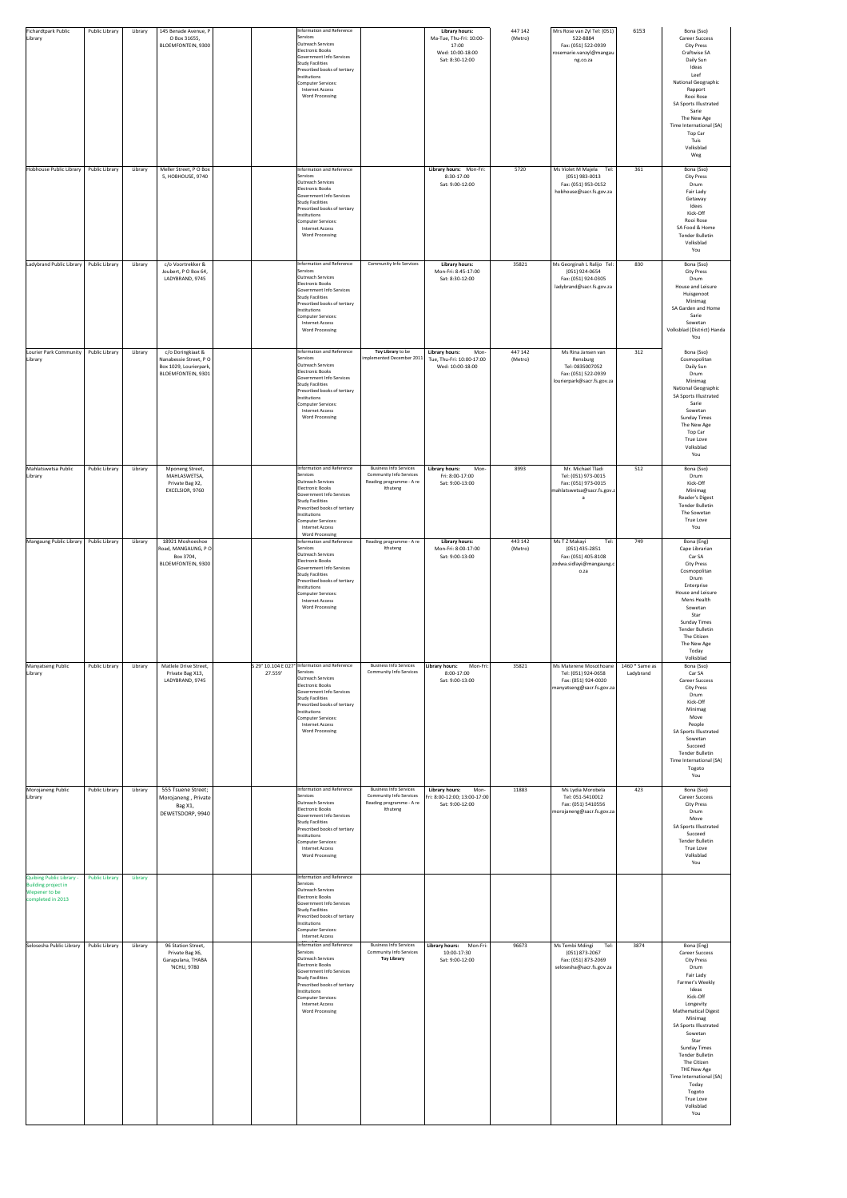| <b>Fichardtpark Public</b><br>Library                                                                                           | Public Library                          | Library            | 145 Benade Avenue, P<br>O Box 31655,<br>BLOEMFONTEIN, 9300                                        |         | Information and Reference<br>Services<br>Outreach Services<br>Electronic Books<br>Government Info Services<br><b>Study Facilities</b><br>Prescribed books of tertiary<br>Institutions<br>Computer Services:<br><b>Internet Access</b><br><b>Word Processing</b>                                                                                                                                                                                                                                                 |                                                                                                         | <b>Library hours:</b><br>Ma-Tue, Thu-Fri: 10:00-<br>17:00<br>Wed: 10:00-18:00<br>Sat: 8:30-12:00 | 447 142<br>(Metro) | Mrs Rose van Zyl Tel: (051)<br>522-8884<br>Fax: (051) 522-0939<br>rosemarie.vanzyl@mangau<br>ng.co.za  | 6153                        | Bona (Sso)<br><b>Career Success</b><br><b>City Press</b><br>Craftwise SA<br>Daily Sun<br>Ideas<br>Leef<br>National Geographic<br>Rapport<br>Rooi Rose<br>SA Sports Illustrated<br>Sarie<br>The New Age<br>Time International (SA)<br>Top Car<br>Tuis<br>Volksblad<br>Weg                                                                                                                            |
|---------------------------------------------------------------------------------------------------------------------------------|-----------------------------------------|--------------------|---------------------------------------------------------------------------------------------------|---------|-----------------------------------------------------------------------------------------------------------------------------------------------------------------------------------------------------------------------------------------------------------------------------------------------------------------------------------------------------------------------------------------------------------------------------------------------------------------------------------------------------------------|---------------------------------------------------------------------------------------------------------|--------------------------------------------------------------------------------------------------|--------------------|--------------------------------------------------------------------------------------------------------|-----------------------------|-----------------------------------------------------------------------------------------------------------------------------------------------------------------------------------------------------------------------------------------------------------------------------------------------------------------------------------------------------------------------------------------------------|
| Hobhouse Public Library                                                                                                         | Public Library                          | Library            | Meller Street, PO Box<br>5, HOBHOUSE, 9740                                                        |         | Information and Reference<br>Services<br>Outreach Services<br>Electronic Books<br>Government Info Services<br><b>Study Facilities</b><br>Prescribed books of tertiary<br>Institutions<br>Computer Services:<br><b>Internet Access</b><br><b>Word Processing</b>                                                                                                                                                                                                                                                 |                                                                                                         | Library hours: Mon-Fri:<br>8:30-17:00<br>Sat: 9:00-12:00                                         | 5720               | Ms Violet M Majela<br>Tel:<br>$(051)$ 983-0013<br>Fax: (051) 953-0152<br>hobhouse@sacr.fs.gov.za       | 361                         | Bona (Sso)<br><b>City Press</b><br>Drum<br>Fair Lady<br>Getaway<br>Idees<br>Kick-Off<br>Rooi Rose<br>SA Food & Home<br><b>Tender Bulletin</b><br>Volksblad<br>You                                                                                                                                                                                                                                   |
| Ladybrand Public Library                                                                                                        | Public Library                          | Library            | c/o Voortrekker &<br>Joubert, PO Box 64,<br>LADYBRAND, 9745                                       |         | Information and Reference<br>Services<br>Outreach Services<br>Electronic Books<br>Government Info Services<br><b>Study Facilities</b><br>Prescribed books of tertiary<br>Institutions<br>Computer Services:<br><b>Internet Access</b><br><b>Word Processing</b>                                                                                                                                                                                                                                                 | <b>Community Info Services</b>                                                                          | <b>Library hours:</b><br>Mon-Fri: 8:45-17:00<br>Sat: 8:30-12:00                                  | 35821              | Ms Georginah L Ralijo Tel:<br>(051) 924-0654<br>Fax: (051) 924-0305<br>ladybrand@sacr.fs.gov.za        | 830                         | Bona (Sso)<br><b>City Press</b><br>Drum<br>House and Leisure<br>Huisgenoot<br>Minimag<br>SA Garden and Home<br>Sarie<br>Sowetan<br>Volksblad (District) Handa<br>You                                                                                                                                                                                                                                |
| Lourier Park Community<br>Library                                                                                               | Public Library                          | Library            | c/o Doringkiaat &<br>Nanabessie Street, PO<br>Box 1029, Lourierpark,<br><b>BLOEMFONTEIN, 9301</b> |         | Information and Reference<br>Services<br>Outreach Services<br>Electronic Books<br>Government Info Services<br><b>Study Facilities</b><br>Prescribed books of tertiary<br>Institutions<br>Computer Services:<br><b>Internet Access</b><br><b>Word Processing</b>                                                                                                                                                                                                                                                 | Toy Library to be<br>implemented December 2011                                                          | <b>Library hours:</b><br>Mon-<br>Tue, Thu-Fri: 10:00-17:00<br>Wed: 10:00-18:00                   | 447 142<br>(Metro) | Ms Rina Jansen van<br>Rensburg<br>Tel: 0835007052<br>Fax: (051) 522-0939<br>lourierpark@sacr.fs.gov.za | 312                         | Bona (Sso)<br>Cosmopolitan<br>Daily Sun<br>Drum<br>Minimag<br><b>National Geographic</b><br>SA Sports Illustrated<br>Sarie<br>Sowetan<br><b>Sunday Times</b><br>The New Age<br>Top Car<br>True Love<br>Volksblad<br>You                                                                                                                                                                             |
| Mahlatswetsa Public<br>Library                                                                                                  | <b>Public Library</b>                   | Library            | <b>Mponeng Street,</b><br>MAHLASWETSA,<br>Private Bag X2,<br>EXCELSIOR, 9760                      |         | Information and Reference<br>Services<br>Outreach Services<br>Electronic Books<br>Government Info Services<br><b>Study Facilities</b><br>Prescribed books of tertiary<br>Institutions<br>Computer Services:<br><b>Internet Access</b>                                                                                                                                                                                                                                                                           | <b>Business Info Services</b><br><b>Community Info Services</b><br>Reading programme - A re<br>Ithuteng | <b>Library hours:</b><br>Mon-<br>Fri: 8:00-17:00<br>Sat: 9:00-13:00                              | 8993               | Mr. Michael Tladi<br>Tel: (051) 973-0015<br>Fax: (051) 973-0015<br>mahlatswetsa@sacr.fs.gov.z          | 512                         | Bona (Sso)<br>Drum<br>Kick-Off<br>Minimag<br>Reader's Digest<br><b>Tender Bulletin</b><br>The Sowetan<br>True Love<br>You                                                                                                                                                                                                                                                                           |
| Mangaung Public Library                                                                                                         | Public Library                          | Library            | 18921 Moshoeshoe<br>Road, MANGAUNG, PO<br>Box 3704,<br>BLOEMFONTEIN, 9300                         |         | <b>Word Processing</b><br>Information and Reference<br>Services<br>Outreach Services<br><b>Electronic Books</b><br>Government Info Services<br><b>Study Facilities</b><br>Prescribed books of tertiary<br>Institutions<br>Computer Services:<br><b>Internet Access</b><br><b>Word Processing</b>                                                                                                                                                                                                                | Reading programme - A re<br>Ithuteng                                                                    | <b>Library hours:</b><br>Mon-Fri: 8:00-17:00<br>Sat: 9:00-13:00                                  | 443 142<br>(Metro) | Ms T Z Makayi<br>Tel:<br>$(051)$ 435-2851<br>Fax: (051) 405-8108<br>zodwa.sidlayi@mangaung.c<br>o.za   | 749                         | Bona (Eng)<br>Cape Librarian<br>Car SA<br><b>City Press</b><br>Cosmopolitan<br>Drum<br>Enterprise<br>House and Leisure<br>Mens Health<br>Sowetan<br>Star<br><b>Sunday Times</b><br><b>Tender Bulletin</b><br>The Citizen<br>The New Age<br>Today<br>Volksblad                                                                                                                                       |
| Manyatseng Public<br>Library                                                                                                    | Public Library                          | Library            | Matlele Drive Street,<br>Private Bag X13,<br>LADYBRAND, 9745                                      | 27.559' | S 29° 10.104 E 027° Information and Reference<br>Services<br>Outreach Services<br>Electronic Books<br>Government Info Services<br><b>Study Facilities</b><br>Prescribed books of tertiary<br>Institutions<br>Computer Services:<br><b>Internet Access</b><br><b>Word Processing</b>                                                                                                                                                                                                                             | <b>Business Info Services</b><br><b>Community Info Services</b>                                         | Library hours:<br>Mon-Fri:<br>8:00-17:00<br>Sat: 9:00-13:00                                      | 35821              | Ms Materene Mosothoane<br>Tel: (051) 924-0658<br>Fax: (051) 924-0020<br>manyatseng@sacr.fs.gov.za      | 1460 * Same as<br>Ladybrand | Bona (Sso)<br>Car SA<br><b>Career Success</b><br><b>City Press</b><br>Drum<br>Kick-Off<br>Minimag<br>Move<br>People<br>SA Sports Illustrated<br>Sowetan<br>Succeed<br><b>Tender Bulletin</b><br>Time International (SA)<br>Togoto<br>You                                                                                                                                                            |
| Morojaneng Public<br>Library                                                                                                    | Public Library                          | Library            | 555 Tsuene Street;<br>Morojaneng, Private<br>Bag X1,<br>DEWETSDORP, 9940                          |         | Information and Reference<br>Services<br>Outreach Services<br>Electronic Books<br>Government Info Services<br><b>Study Facilities</b><br>Prescribed books of tertiary<br>Institutions<br>Computer Services:<br><b>Internet Access</b><br><b>Word Processing</b>                                                                                                                                                                                                                                                 | <b>Business Info Services</b><br><b>Community Info Services</b><br>Reading programme - A re<br>Ithuteng | <b>Library hours:</b><br>Mon-<br>Fri: 8:00-12:00; 13:00-17:00<br>Sat: 9:00-12:00                 | 11883              | Ms Lydia Morobela<br>Tel: 051-5410012<br>Fax: (051) 5410556<br>morojaneng@sacr.fs.gov.za               | 423                         | Bona (Sso)<br><b>Career Success</b><br><b>City Press</b><br>Drum<br>Move<br>SA Sports Illustrated<br>Succeed<br><b>Tender Bulletin</b><br><b>True Love</b><br>Volksblad<br>You                                                                                                                                                                                                                      |
| <b>Quibing Public Library -</b><br><b>Building project in</b><br>Wepener to be<br>completed in 2013<br>Selosesha Public Library | <b>Public Library</b><br>Public Library | Library<br>Library | 96 Station Street,<br>Private Bag X6,<br>Garapulana, THABA<br>'NCHU, 9780                         |         | Information and Reference<br>Services<br>Outreach Services<br>Electronic Books<br>Government Info Services<br><b>Study Facilities</b><br>Prescribed books of tertiary<br>Institutions<br>Computer Services:<br><b>Internet Access</b><br>Information and Reference<br>Services<br>Outreach Services<br><b>Electronic Books</b><br>Government Info Services<br><b>Study Facilities</b><br>Prescribed books of tertiary<br>Institutions<br>Computer Services:<br><b>Internet Access</b><br><b>Word Processing</b> | <b>Business Info Services</b><br><b>Community Info Services</b><br><b>Toy Library</b>                   | Library hours: Mon-Fri:<br>10:00-17:30<br>Sat: 9:00-12:00                                        | 96673              | Ms Tembi Mdingi<br>Tel:<br>(051) 873-2067<br>Fax: (051) 873-2069<br>selosesha@sacr.fs.gov.za           | 3874                        | Bona (Eng)<br><b>Career Success</b><br><b>City Press</b><br>Drum<br>Fair Lady<br>Farmer's Weekly<br>Ideas<br>Kick-Off<br>Longevity<br><b>Mathematical Digest</b><br>Minimag<br><b>SA Sports Illustrated</b><br>Sowetan<br>Star<br><b>Sunday Times</b><br><b>Tender Bulletin</b><br>The Citizen<br>THE New Age<br>Time International (SA)<br>Today<br>Togoto<br><b>True Love</b><br>Volksblad<br>You |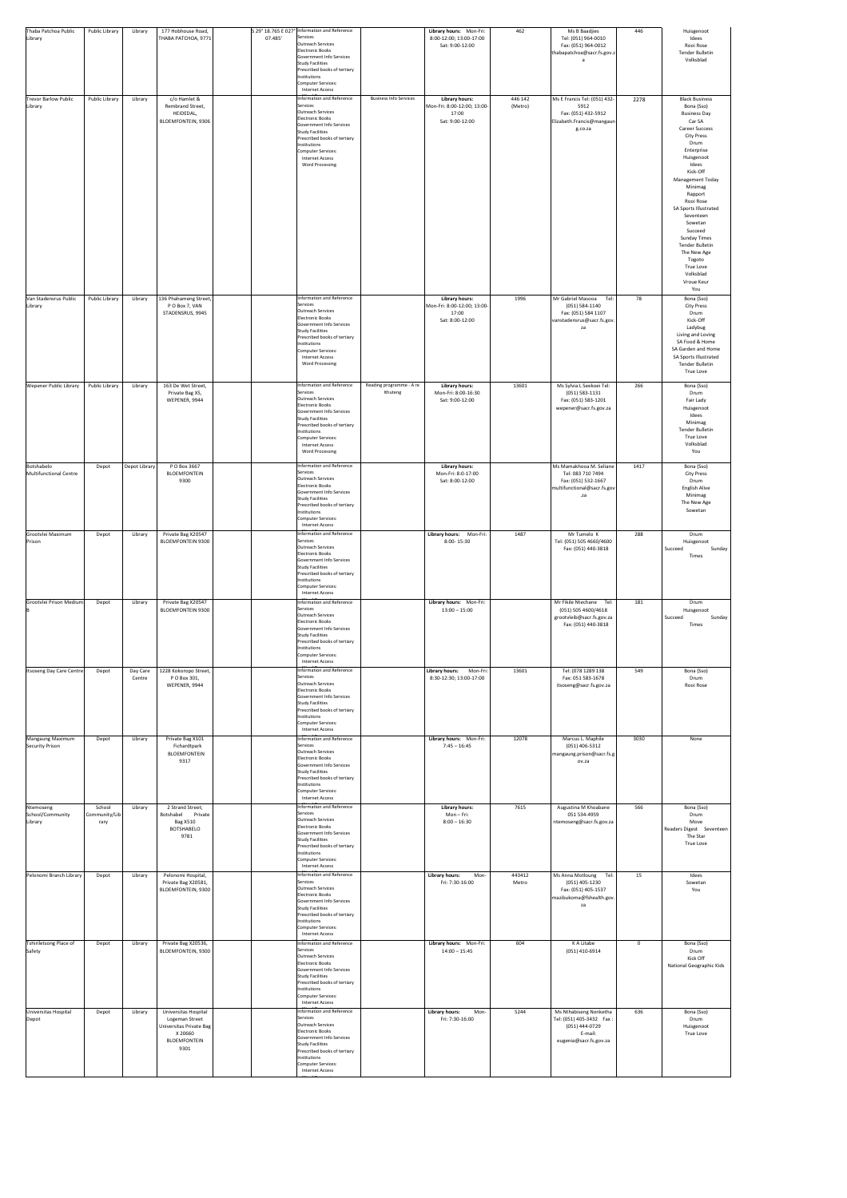| Thaba Patchoa Public<br>Library            | <b>Public Library</b>           | Library            | 177 Hobhouse Road,<br>THABA PATCHOA, 9771                                                                   | 07.485' | S 29° 18.765 E 027° Information and Reference<br>Services<br>Outreach Services<br>Electronic Books<br>Government Info Services<br><b>Study Facilities</b><br>Prescribed books of tertiary<br>Institutions<br>Computer Services:<br><b>Internet Access</b>              |                                      | Library hours: Mon-Fri:<br>8:00-12:00; 13:00-17:00<br>Sat: 9:00-12:00            | 462                | Ms B Baadjies<br>Tel: (051) 964-0010<br>Fax: (051) 964-0012<br>thabapatchoa@sacr.fs.gov.z                     | 446         | Huisgenoot<br>Idees<br>Rooi Rose<br><b>Tender Bulletin</b><br>Volksblad                                                                                                                                                                                                                                                                                                                                                 |
|--------------------------------------------|---------------------------------|--------------------|-------------------------------------------------------------------------------------------------------------|---------|------------------------------------------------------------------------------------------------------------------------------------------------------------------------------------------------------------------------------------------------------------------------|--------------------------------------|----------------------------------------------------------------------------------|--------------------|---------------------------------------------------------------------------------------------------------------|-------------|-------------------------------------------------------------------------------------------------------------------------------------------------------------------------------------------------------------------------------------------------------------------------------------------------------------------------------------------------------------------------------------------------------------------------|
| <b>Trevor Barlow Public</b><br>Library     | Public Library                  | Library            | c/o Hamlet &<br>Rembrand Street,<br>HEIDEDAL,<br><b>BLOEMFONTEIN, 9306</b>                                  |         | Information and Reference<br>Services<br>Outreach Services<br><b>Electronic Books</b><br>Government Info Services<br><b>Study Facilities</b><br>Prescribed books of tertiary<br>Institutions<br>Computer Services:<br><b>Internet Access</b><br><b>Word Processing</b> | <b>Business Info Services</b>        | <b>Library hours:</b><br>Mon-Fri: 8:00-12:00; 13:00-<br>17:00<br>Sat: 9:00-12:00 | 446 142<br>(Metro) | Ms E Francis Tel: (051) 432-<br>5912<br>Fax: (051) 432-5912<br>Elizabeth.Francis@mangaun<br>g.co.za           | 2278        | <b>Black Business</b><br>Bona (Sso)<br><b>Business Day</b><br>Car SA<br><b>Career Success</b><br><b>City Press</b><br>Drum<br>Enterprise<br>Huisgenoot<br>Idees<br>Kick-Off<br><b>Management Today</b><br>Minimag<br>Rapport<br>Rooi Rose<br>SA Sports Illustrated<br>Seventeen<br>Sowetan<br>Succeed<br><b>Sunday Times</b><br>Tender Bulletin<br>The New Age<br>Togoto<br>True Love<br>Volksblad<br>Vroue Keur<br>You |
| Van Stadensrus Public<br>Library           | Public Library                  | Library            | 136 Phahameng Street,<br>P O Box 7, VAN<br>STADENSRUS, 9945                                                 |         | Information and Reference<br>Services<br>Outreach Services<br><b>Electronic Books</b><br>Government Info Services<br><b>Study Facilities</b><br>Prescribed books of tertiary<br>Institutions<br>Computer Services:<br>Internet Access<br><b>Word Processing</b>        |                                      | <b>Library hours:</b><br>Mon-Fri: 8:00-12:00; 13:00-<br>17:00<br>Sat: 8:00-12:00 | 1996               | Mr Gabriel Masooa<br>Tel:<br>(051) 584-1140<br>Fax: (051) 584 1107<br>vanstadensrus@sacr.fs.gov.<br>za        | 78          | Bona (Sso)<br><b>City Press</b><br>Drum<br>Kick-Off<br>Ladybug<br>Living and Loving<br>SA Food & Home<br>SA Garden and Home<br>SA Sports Illustrated<br><b>Tender Bulletin</b><br>True Love                                                                                                                                                                                                                             |
| <b>Wepener Public Library</b>              | Public Library                  | Library            | 163 De Wet Street,<br>Private Bag X5,<br>WEPENER, 9944                                                      |         | Information and Reference<br>Services<br>Outreach Services<br><b>Electronic Books</b><br>Government Info Services<br><b>Study Facilities</b><br>Prescribed books of tertiary<br>Institutions<br>Computer Services:<br><b>Internet Access</b><br><b>Word Processing</b> | Reading programme - A re<br>Ithuteng | <b>Library hours:</b><br>Mon-Fri: 8:00-16:30<br>Sat: 9:00-12:00                  | 13601              | Ms Sylvia L Seekoei Tel:<br>(051) 583-1131<br>Fax: (051) 583-1201<br>wepener@sacr.fs.gov.za                   | 266         | Bona (Sso)<br>Drum<br>Fair Lady<br>Huisgenoot<br>Idees<br>Minimag<br><b>Tender Bulletin</b><br>True Love<br>Volksblad<br>You                                                                                                                                                                                                                                                                                            |
| Botshabelo<br>Multifunctional Centre       | Depot                           | Depot Library      | P O Box 3667<br><b>BLOEMFONTEIN</b><br>9300                                                                 |         | Information and Reference<br>Services<br>Outreach Services<br><b>Electronic Books</b><br>Government Info Services<br><b>Study Facilities</b><br>Prescribed books of tertiary<br>Institutions<br>Computer Services:<br>Internet Access                                  |                                      | <b>Library hours:</b><br>Mon-Fri: 8:0-17:00<br>Sat: 8:00-12:00                   |                    | Ms Mamakhooa M. Seliane<br>Tel: 083 710 7494<br>Fax: (051) 532-1667<br>multifunctional@sacr.fs.gov<br>.za     | 1417        | Bona (Sso)<br><b>City Press</b><br>Drum<br>English Alive<br>Minimag<br>The New Age<br>Sowetan                                                                                                                                                                                                                                                                                                                           |
| Grootvlei Maximum<br>Prison                | Depot                           | Library            | Private Bag X20547<br><b>BLOEMFONTEIN 9300</b>                                                              |         | Information and Reference<br>Services<br>Outreach Services<br>Electronic Books<br>Government Info Services<br><b>Study Facilities</b><br>Prescribed books of tertiary<br>Institutions<br>Computer Services:<br><b>Internet Access</b>                                  |                                      | Library hours: Mon-Fri:<br>8:00-15:30                                            | 1487               | Mr Tumelo K<br>Tel: (051) 505 4660/4600<br>Fax: (051) 440-3818                                                | 288         | Drum<br>Huisgenoot<br>Sunday<br>Succeed<br>Times                                                                                                                                                                                                                                                                                                                                                                        |
| Grootvlei Prison Medium                    | Depot                           | Library            | Private Bag X20547<br><b>BLOEMFONTEIN 9300</b>                                                              |         | <b>Information and Reference</b><br>Services<br>Outreach Services<br><b>Electronic Books</b><br>Government Info Services<br><b>Study Facilities</b><br>Prescribed books of tertiary<br>Institutions<br>Computer Services:<br>Internet Access                           |                                      | Library hours: Mon-Fri:<br>$13:00 - 15:00$                                       |                    | Mr Fikile Ntechane Tel:<br>(051) 505 4600/4618<br>grootvleib@sacr.fs.gov.za<br>Fax: (051) 440-3818            | 181         | Drum<br>Huisgenoot<br>Succeed<br>Sunday<br>Times                                                                                                                                                                                                                                                                                                                                                                        |
| Itsoseng Day Care Centre                   | Depot                           | Day Care<br>Centre | 1228 Kokoropo Street,<br>P O Box 301,<br>WEPENER, 9944                                                      |         | Information and Reference<br>Services<br>Outreach Services<br>Electronic Books<br>Government Info Services<br><b>Study Facilities</b><br>Prescribed books of tertiary<br>Institutions<br>Computer Services:<br>Internet Access                                         |                                      | <b>Library hours:</b><br>Mon-Fri:<br>8:30-12:30; 13:00-17:00                     | 13601              | Tel: (078 1289 138<br>Fax: 051 583-1678<br>itsoseng@sacr.fs.gov.za                                            | 549         | Bona (Sso)<br>Drum<br>Rooi Rose                                                                                                                                                                                                                                                                                                                                                                                         |
| Mangaung Maximum<br><b>Security Prison</b> | Depot                           | Library            | Private Bag X101<br>Fichardtpark<br><b>BLOEMFONTEIN</b><br>9317                                             |         | <b>Information and Reference</b><br>Services<br>Outreach Services<br>Electronic Books<br>Government Info Services<br><b>Study Facilities</b><br>Prescribed books of tertiary<br>Institutions<br>Computer Services:<br><b>Internet Access</b>                           |                                      | Library hours: Mon-Fri:<br>$7:45 - 16:45$                                        | 12078              | Marcus L. Maphile<br>(051) 406-5312<br>mangaung.prison@sacr.fs.g<br>ov.za                                     | 3030        | None                                                                                                                                                                                                                                                                                                                                                                                                                    |
| Ntemoseng<br>School/Community<br>Library   | School<br>Community/Lib<br>rary | Library            | 2 Strand Street;<br>Botshabel<br>Private<br><b>Bag X510</b><br><b>BOTSHABELO</b><br>9781                    |         | <b>Information and Reference</b><br>Services<br>Outreach Services<br><b>Electronic Books</b><br>Government Info Services<br><b>Study Facilities</b><br>Prescribed books of tertiary<br>Institutions<br>Computer Services:<br><b>Internet Access</b>                    |                                      | <b>Library hours:</b><br>Mon-Fri:<br>$8:00 - 16:30$                              | 7615               | Augustina M Khoabane<br>051 534-4959<br>ntemoseng@sacr.fs.gov.za                                              | 566         | Bona (Sso)<br>Drum<br>Move<br>Readers Digest Seventeen<br>The Star<br>True Love                                                                                                                                                                                                                                                                                                                                         |
| Pelonomi Branch Library                    | Depot                           | Library            | Pelonomi Hospital,<br>Private Bag X20581,<br>BLOEMFONTEIN, 9300                                             |         | <b>Information and Reference</b><br>Services<br>Outreach Services<br>Electronic Books<br>Government Info Services<br><b>Study Facilities</b><br>Prescribed books of tertiary<br>Institutions<br>Computer Services:<br>Internet Access                                  |                                      | <b>Library hours:</b><br>Mon-<br>Fri: 7:30-16:00                                 | 443412<br>Metro    | Ms Anna Motloung Tel:<br>$(051)$ 405-1230<br>Fax: (051) 405-1537<br>mazibukoma@fshealth.gov.<br>za            | 15          | Idees<br>Sowetan<br>You                                                                                                                                                                                                                                                                                                                                                                                                 |
| Tshiriletsong Place of<br>Safety           | Depot                           | Library            | Private Bag X20536,<br>BLOEMFONTEIN, 9300                                                                   |         | Information and Reference<br>Services<br>Outreach Services<br>Electronic Books<br>Government Info Services<br><b>Study Facilities</b><br>Prescribed books of tertiary<br>Institutions<br><b>Computer Services:</b><br><b>Internet Access</b>                           |                                      | Library hours: Mon-Fri:<br>$14:00 - 15:45$                                       | 604                | K A Litabe<br>$(051)$ 410-6914                                                                                | $\mathbf 0$ | Bona (Sso)<br>Drum<br>Kick Off<br>National Geographic Kids                                                                                                                                                                                                                                                                                                                                                              |
| Universitas Hospital<br>Depot              | Depot                           | Library            | Universitas Hospital<br>Logeman Street<br>Universitas Private Bag<br>X 20660<br><b>BLOEMFONTEIN</b><br>9301 |         | Information and Reference<br>Services<br>Outreach Services<br><b>Electronic Books</b><br>Government Info Services<br><b>Study Facilities</b><br>Prescribed books of tertiary<br>Institutions<br>Computer Services:<br><b>Internet Access</b>                           |                                      | <b>Library hours:</b><br>Mon-<br>Fri: 7:30-16:00                                 | 5244               | Ms Nthabiseng Nonketha<br>Tel: (051) 405-3432    Fax :<br>(051) 444-0729<br>E-mail:<br>eugenia@sacr.fs.gov.za | 636         | Bona (Sso)<br>Drum<br>Huisgenoot<br><b>True Love</b>                                                                                                                                                                                                                                                                                                                                                                    |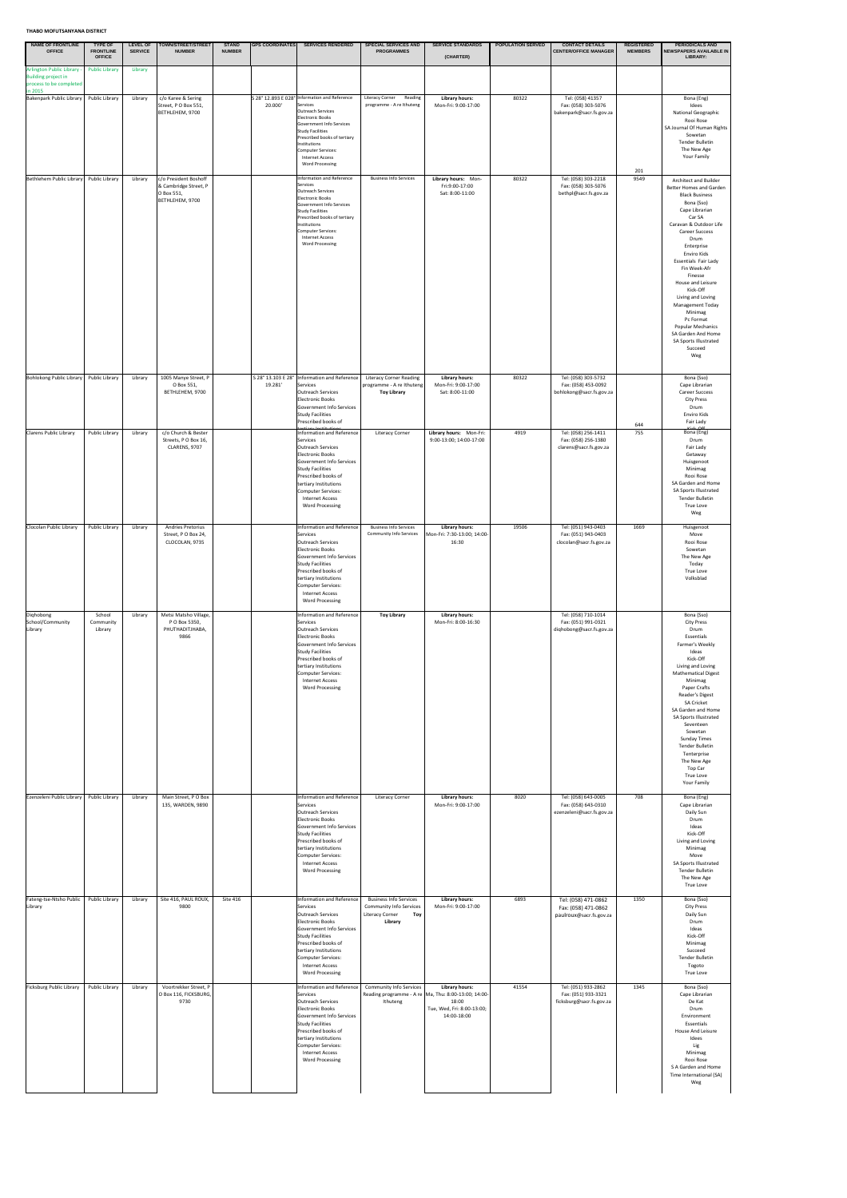| NAME OF FRONTLINE<br><b>OFFICE</b>                             | <b>TYPE OF</b><br><b>FRONTLINE</b><br><b>OFFICE</b> | <b>SERVICE</b>     | LEVEL OF   TOWN/STREET/STREET<br><b>NUMBER</b>                                                                       | <b>STAND</b><br><b>NUMBER</b> | <b>GPS COORDINATES</b> | <b>SERVICES RENDERED</b>                                                                                                                                                                                                                                                                                                                                                                                                                      | <b>SPECIAL SERVICES AND</b><br><b>PROGRAMMES</b>                                                            | <b>SERVICE STANDARDS</b><br>(CHARTER)                                                                                                 | <b>POPULATION SERVED</b> | <b>CONTACT DETAILS</b><br><b>CENTER/OFFICE MANAGER</b>                                                                                         | <b>REGISTERED</b><br><b>MEMBERS</b> | <b>PERIODICALS AND</b><br>NEWSPAPERS AVAILABLE IN<br>LIBRARY:                                                                                                                                                                                                                                                                                                                                                                                                                                    |
|----------------------------------------------------------------|-----------------------------------------------------|--------------------|----------------------------------------------------------------------------------------------------------------------|-------------------------------|------------------------|-----------------------------------------------------------------------------------------------------------------------------------------------------------------------------------------------------------------------------------------------------------------------------------------------------------------------------------------------------------------------------------------------------------------------------------------------|-------------------------------------------------------------------------------------------------------------|---------------------------------------------------------------------------------------------------------------------------------------|--------------------------|------------------------------------------------------------------------------------------------------------------------------------------------|-------------------------------------|--------------------------------------------------------------------------------------------------------------------------------------------------------------------------------------------------------------------------------------------------------------------------------------------------------------------------------------------------------------------------------------------------------------------------------------------------------------------------------------------------|
| Arlington Public Library -<br><b>Building project in</b>       | <b>Public Library</b>                               | Library            |                                                                                                                      |                               |                        |                                                                                                                                                                                                                                                                                                                                                                                                                                               |                                                                                                             |                                                                                                                                       |                          |                                                                                                                                                |                                     |                                                                                                                                                                                                                                                                                                                                                                                                                                                                                                  |
| process to be completed<br>in 2015<br>Bakenpark Public Library | Public Library                                      | Library            | c/o Karee & Sering<br>Street, PO Box 551,<br>BETHLEHEM, 9700                                                         |                               | 20.000'                | S 28° 12.893 E 028° Information and Reference<br>Services<br>Outreach Services<br>Electronic Books<br>Government Info Services<br><b>Study Facilities</b><br>Prescribed books of tertiary<br>Institutions<br>Computer Services:<br><b>Internet Access</b><br><b>Word Processing</b>                                                                                                                                                           | <b>Literacy Corner</b><br>Reading<br>programme - A re Ithuteng                                              | <b>Library hours:</b><br>Mon-Fri: 9:00-17:00                                                                                          | 80322                    | Tel: (058) 41357<br>Fax: (058) 303-5076<br>bakenpark@sacr.fs.gov.za                                                                            |                                     | Bona (Eng)<br>Idees<br>National Geographic<br>Rooi Rose<br>SA Journal Of Human Rights<br>Sowetan<br><b>Tender Bulletin</b><br>The New Age<br>Your Family                                                                                                                                                                                                                                                                                                                                         |
| Bethlehem Public Library                                       | Public Library                                      | Library            | c/o President Boshoff<br>& Cambridge Street, P<br>O Box 551,<br>BETHLEHEM, 9700                                      |                               |                        | Information and Reference<br>Services<br>Outreach Services<br><b>Electronic Books</b><br>Government Info Services<br><b>Study Facilities</b><br>Prescribed books of tertiary<br>Institutions<br>Computer Services:<br><b>Internet Access</b><br><b>Word Processing</b>                                                                                                                                                                        | <b>Business Info Services</b>                                                                               | Library hours: Mon-<br>Fri:9:00-17:00<br>Sat: 8:00-11:00                                                                              | 80322                    | Tel: (058) 303-2218<br>Fax: (058) 303-5076<br>bethpl@sacr.fs.gov.za                                                                            | 201<br>9549                         | <b>Architect and Builder</b><br><b>Better Homes and Garden</b><br><b>Black Business</b><br>Bona (Sso)<br>Cape Librarian<br>Car SA<br>Caravan & Outdoor Life<br><b>Career Success</b><br>Drum<br>Enterprise<br>Enviro Kids<br><b>Essentials Fair Lady</b><br>Fin Week-Afr<br>Finesse<br>House and Leisure<br>Kick-Off<br>Living and Loving<br><b>Management Today</b><br>Minimag<br>Pc Format<br><b>Popular Mechanics</b><br>SA Garden And Home<br><b>SA Sports Illustrated</b><br>Succeed<br>Weg |
| Bohlokong Public Library<br><b>Clarens Public Library</b>      | Public Library<br>Public Library                    | Library<br>Library | 1005 Manye Street, P<br>O Box 551,<br>BETHLEHEM, 9700<br>c/o Church & Bester<br>Streets, PO Box 16,<br>CLARENS, 9707 |                               | 19.281'                | S 28° 13.103 E 28°   Information and Reference<br>Services<br>Outreach Services<br>Electronic Books<br>Government Info Services<br>Study Facilities<br>Prescribed books of<br><b>Information and Reference</b><br>Services<br>Outreach Services<br>Electronic Books<br>Government Info Services<br>Study Facilities<br>Prescribed books of<br>tertiary Institutions<br>Computer Services:<br><b>Internet Access</b><br><b>Word Processing</b> | <b>Literacy Corner Reading</b><br>programme - A re Ithuteng<br><b>Toy Library</b><br><b>Literacy Corner</b> | <b>Library hours:</b><br>Mon-Fri: 9:00-17:00<br>Sat: 8:00-11:00<br>Library hours: Mon-Fri:<br>9:00-13:00; 14:00-17:00                 | 80322<br>4919            | Tel: (058) 303-5732<br>Fax: (058) 453-0092<br>bohlokong@sacr.fs.gov.za<br>Tel: (058) 256-1411<br>Fax: (058) 256-1380<br>clarens@sacr.fs.gov.za | 644<br>755                          | Bona (Sso)<br>Cape Librarian<br><b>Career Success</b><br><b>City Press</b><br>Drum<br>Enviro Kids<br>Fair Lady<br>$v: L \cap \Omega$<br>Bona (Eng)<br>Drum<br>Fair Lady<br>Getaway<br>Huisgenoot<br>Minimag<br>Rooi Rose<br>SA Garden and Home<br><b>SA Sports Illustrated</b><br><b>Tender Bulletin</b><br>True Love<br>Weg                                                                                                                                                                     |
| Clocolan Public Library                                        | Public Library                                      | Library            | Andries Pretorius<br>Street, PO Box 24,<br>CLOCOLAN, 9735                                                            |                               |                        | Information and Reference<br>Services<br>Outreach Services<br>Electronic Books<br>Government Info Services<br><b>Study Facilities</b><br>Prescribed books of<br>tertiary Institutions<br>Computer Services:<br><b>Internet Access</b><br><b>Word Processing</b>                                                                                                                                                                               | <b>Business Info Services</b><br><b>Community Info Services</b>                                             | <b>Library hours:</b><br>Mon-Fri: 7:30-13:00; 14:00-<br>16:30                                                                         | 19506                    | Tel: (051) 943-0403<br>Fax: (051) 943-0403<br>clocolan@sacr.fs.gov.za                                                                          | 1669                                | Huisgenoot<br>Move<br>Rooi Rose<br>Sowetan<br>The New Age<br>Today<br>True Love<br>Volksblad                                                                                                                                                                                                                                                                                                                                                                                                     |
| Dighobong<br>School/Community<br>Library                       | School<br>Community<br>Library                      | Library            | Metsi Matsho Village,<br>P O Box 5350,<br>PHUTHADITJHABA,<br>9866                                                    |                               |                        | Information and Reference<br>Services<br>Outreach Services<br>Electronic Books<br>Government Info Services<br><b>Study Facilities</b><br>Prescribed books of<br>tertiary Institutions<br>Computer Services:<br><b>Internet Access</b><br><b>Word Processing</b>                                                                                                                                                                               | <b>Toy Library</b>                                                                                          | <b>Library hours:</b><br>Mon-Fri: 8:00-16:30                                                                                          |                          | Tel: (058) 710-1014<br>Fax: (051) 991-0321<br>diqhobong@sacr.fs.gov.za                                                                         |                                     | Bona (Sso)<br><b>City Press</b><br>Drum<br>Essentials<br>Farmer's Weekly<br>Ideas<br>Kick-Off<br>Living and Loving<br><b>Mathematical Digest</b><br>Minimag<br>Paper Crafts<br>Reader's Digest<br><b>SA Cricket</b><br>SA Garden and Home<br><b>SA Sports Illustrated</b><br>Seventeen<br>Sowetan<br><b>Sunday Times</b><br><b>Tender Bulletin</b><br>Tenterprise<br>The New Age<br>Top Car<br>True Love<br>Your Family                                                                          |
| Ezenzeleni Public Library                                      | Public Library                                      | Library            | Main Street, PO Box<br>135, WARDEN, 9890                                                                             |                               |                        | <b>Information and Reference</b><br>Services<br>Outreach Services<br>Electronic Books<br>Government Info Services<br>Study Facilities<br>Prescribed books of<br>tertiary Institutions<br>Computer Services:<br><b>Internet Access</b><br><b>Word Processing</b>                                                                                                                                                                               | <b>Literacy Corner</b>                                                                                      | <b>Library hours:</b><br>Mon-Fri: 9:00-17:00                                                                                          | 8020                     | Tel: (058) 643-0005<br>Fax: (058) 643-0310<br>ezenzeleni@sacr.fs.gov.za                                                                        | 708                                 | Bona (Eng)<br>Cape Librarian<br>Daily Sun<br>Drum<br>Ideas<br>Kick-Off<br>Living and Loving<br>Minimag<br>Move<br>SA Sports Illustrated<br><b>Tender Bulletin</b><br>The New Age<br><b>True Love</b>                                                                                                                                                                                                                                                                                             |
| Fateng-tse-Ntsho Public<br>Library                             | Public Library                                      | Library            | Site 416, PAUL ROUX,<br>9800                                                                                         | <b>Site 416</b>               |                        | Information and Reference<br>Services<br>Outreach Services<br>Electronic Books<br>Government Info Services<br>Study Facilities<br>Prescribed books of<br>tertiary Institutions<br>Computer Services:<br><b>Internet Access</b><br><b>Word Processing</b>                                                                                                                                                                                      | <b>Business Info Services</b><br><b>Community Info Services</b><br>Toy<br><b>Literacy Corner</b><br>Library | <b>Library hours:</b><br>Mon-Fri: 9:00-17:00                                                                                          | 6893                     | Tel: (058) 471-0862<br>Fax: (058) 471-0862<br>paulroux@sacr.fs.gov.za                                                                          | 1350                                | Bona (Sso)<br><b>City Press</b><br>Daily Sun<br>Drum<br>Ideas<br>Kick-Off<br>Minimag<br>Succeed<br><b>Tender Bulletin</b><br>Togoto<br>True Love                                                                                                                                                                                                                                                                                                                                                 |
| Ficksburg Public Library                                       | <b>Public Library</b>                               | Library            | Voortrekker Street, P<br>O Box 116, FICKSBURG,<br>9730                                                               |                               |                        | Information and Reference<br>Services<br>Outreach Services<br>Electronic Books<br>Government Info Services<br>Study Facilities<br>Prescribed books of<br>tertiary Institutions<br>Computer Services:<br><b>Internet Access</b><br><b>Word Processing</b>                                                                                                                                                                                      | <b>Community Info Services</b><br>Ithuteng                                                                  | <b>Library hours:</b><br>Reading programme - A re   Ma, Thu: 8:00-13:00; 14:00-<br>18:00<br>Tue, Wed, Fri: 8:00-13:00;<br>14:00-18:00 | 41554                    | Tel: (051) 933-2862<br>Fax: (051) 933-3321<br>ficksburg@sacr.fs.gov.za                                                                         | 1345                                | Bona (Sso)<br>Cape Librarian<br>De Kat<br>Drum<br>Environment<br>Essentials<br>House And Leisure<br>Idees<br>Lig<br>Minimag<br>Rooi Rose<br>S A Garden and Home<br>Time International (SA)<br>Weg                                                                                                                                                                                                                                                                                                |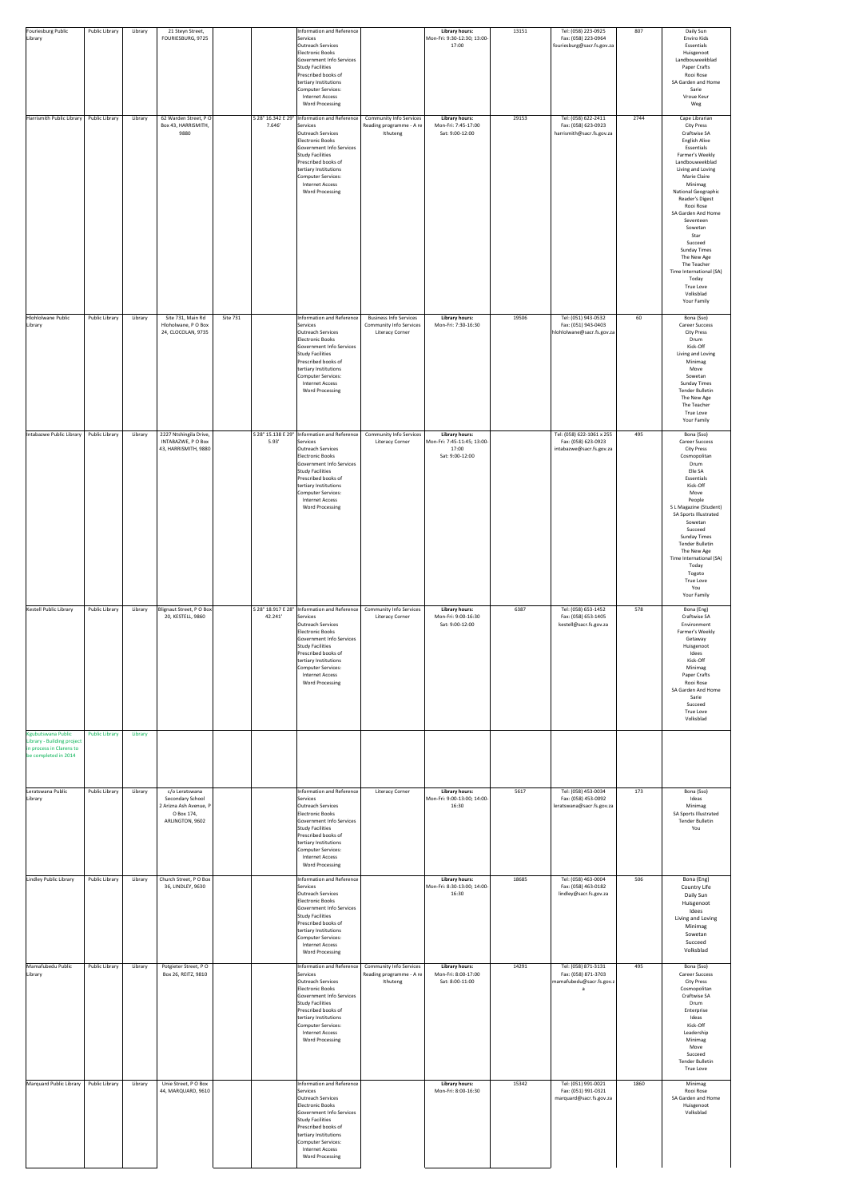| Fouriesburg Public                                                                                          | Public Library        | Library | 21 Steyn Street,                                                                              |          |         | Information and Reference                                                                                                                                                                                                                                                                             |                                                                                           | <b>Library hours:</b>                                                            | 13151 | Tel: (058) 223-0925                                                          | 807  | Daily Sun                                                                                                                                                                                                                                                                                                                                                                                                                                               |
|-------------------------------------------------------------------------------------------------------------|-----------------------|---------|-----------------------------------------------------------------------------------------------|----------|---------|-------------------------------------------------------------------------------------------------------------------------------------------------------------------------------------------------------------------------------------------------------------------------------------------------------|-------------------------------------------------------------------------------------------|----------------------------------------------------------------------------------|-------|------------------------------------------------------------------------------|------|---------------------------------------------------------------------------------------------------------------------------------------------------------------------------------------------------------------------------------------------------------------------------------------------------------------------------------------------------------------------------------------------------------------------------------------------------------|
| Library                                                                                                     |                       |         | FOURIESBURG, 9725                                                                             |          |         | Services<br>Outreach Services<br>Electronic Books<br>Government Info Services<br>Study Facilities<br>Prescribed books of<br>tertiary Institutions<br>Computer Services:<br><b>Internet Access</b><br><b>Word Processing</b>                                                                           |                                                                                           | Mon-Fri: 9:30-12:30; 13:00-<br>17:00                                             |       | Fax: (058) 223-0964<br>fouriesburg@sacr.fs.gov.za                            |      | Enviro Kids<br>Essentials<br>Huisgenoot<br>Landbouweekblad<br>Paper Crafts<br>Rooi Rose<br>SA Garden and Home<br>Sarie<br>Vroue Keur<br>Weg                                                                                                                                                                                                                                                                                                             |
| Harrismith Public Library                                                                                   | <b>Public Library</b> | Library | 62 Warden Street, PO<br>Box 43, HARRISMITH,<br>9880                                           |          | 7.646'  | S 28° 16.342 E 29°  Information and Reference<br>Services<br>Outreach Services<br>Electronic Books<br>Government Info Services<br>Study Facilities<br>Prescribed books of<br>tertiary Institutions<br>Computer Services:<br><b>Internet Access</b><br><b>Word Processing</b>                          | <b>Community Info Services</b><br>Reading programme - A re<br>Ithuteng                    | <b>Library hours:</b><br>Mon-Fri: 7:45-17:00<br>Sat: 9:00-12:00                  | 29153 | Tel: (058) 622-2411<br>Fax: (058) 623-0923<br>harrismith@sacr.fs.gov.za      | 2744 | Cape Librarian<br><b>City Press</b><br>Craftwise SA<br><b>English Alive</b><br>Essentials<br>Farmer's Weekly<br>Landbouweekblad<br>Living and Loving<br>Marie Claire<br>Minimag<br>National Geographic<br>Reader's Digest<br>Rooi Rose<br>SA Garden And Home<br>Seventeen<br>Sowetan<br>Star<br>Succeed<br><b>Sunday Times</b><br>The New Age<br>The Teacher<br>Time International (SA)<br>Today<br><b>True Love</b><br>Volksblad<br><b>Your Family</b> |
| Hlohlolwane Public<br>Library                                                                               | <b>Public Library</b> | Library | Site 731, Main Rd<br>Hloholwane, P O Box<br>24, CLOCOLAN, 9735                                | Site 731 |         | Information and Reference<br>Services<br>Outreach Services<br>Electronic Books<br>Government Info Services<br>Study Facilities<br>Prescribed books of<br>tertiary Institutions<br>Computer Services:<br>Internet Access<br><b>Word Processing</b>                                                     | <b>Business Info Services</b><br><b>Community Info Services</b><br><b>Literacy Corner</b> | <b>Library hours:</b><br>Mon-Fri: 7:30-16:30                                     | 19506 | Tel: (051) 943-0532<br>Fax: (051) 943-0403<br>hlohlolwane@sacr.fs.gov.za     | 60   | Bona (Sso)<br><b>Career Success</b><br><b>City Press</b><br>Drum<br>Kick-Off<br>Living and Loving<br>Minimag<br>Move<br>Sowetan<br><b>Sunday Times</b><br><b>Tender Bulletin</b><br>The New Age<br>The Teacher<br>True Love<br>Your Family                                                                                                                                                                                                              |
| Intabazwe Public Library                                                                                    | <b>Public Library</b> | Library | 2227 Ntshingila Drive,<br>INTABAZWE, P O Box<br>43, HARRISMITH, 9880                          |          | 5.93'   | S 28° 15.138 E 29°  Information and Reference<br>Services<br>Outreach Services<br>Electronic Books<br>Government Info Services<br>Study Facilities<br>Prescribed books of<br>tertiary Institutions<br>Computer Services:<br><b>Internet Access</b><br><b>Word Processing</b>                          | <b>Community Info Services</b><br><b>Literacy Corner</b>                                  | <b>Library hours:</b><br>Mon-Fri: 7:45-11:45; 13:00-<br>17:00<br>Sat: 9:00-12:00 |       | Tel: (058) 622-1061 x 255<br>Fax: (058) 623-0923<br>intabazwe@sacr.fs.gov.za | 495  | Bona (Sso)<br><b>Career Success</b><br><b>City Press</b><br>Cosmopolitan<br>Drum<br>Elle SA<br>Essentials<br>Kick-Off<br>Move<br>People<br>S L Magazine (Student)<br>SA Sports Illustrated<br>Sowetan<br>Succeed<br><b>Sunday Times</b><br><b>Tender Bulletin</b><br>The New Age<br>Time International (SA)<br>Today<br>Togoto<br><b>True Love</b><br>You<br>Your Family                                                                                |
| Kestell Public Library                                                                                      | <b>Public Library</b> | Library | Blignaut Street, PO Box<br>20, KESTELL, 9860                                                  |          | 42.241' | S 28° 18.917 E 28° Information and Reference   Community Info Services<br>Services<br>Outreach Services<br>Electronic Books<br>Government Info Services<br>Study Facilities<br>Prescribed books of<br>tertiary Institutions<br>Computer Services:<br><b>Internet Access</b><br><b>Word Processing</b> | <b>Literacy Corner</b>                                                                    | <b>Library hours:</b><br>Mon-Fri: 9:00-16:30<br>Sat: 9:00-12:00                  | 6387  | Tel: (058) 653-1452<br>Fax: (058) 653-1405<br>kestell@sacr.fs.gov.za         | 578  | Bona (Eng)<br>Craftwise SA<br>Environment<br>Farmer's Weekly<br>Getaway<br>Huisgenoot<br>Idees<br>Kick-Off<br>Minimag<br>Paper Crafts<br>Rooi Rose<br>SA Garden And Home<br>Sarie<br>Succeed<br><b>True Love</b><br>Volksblad                                                                                                                                                                                                                           |
| <b>Kgubutswana Public</b><br>Library - Building project<br>in process in Clarens to<br>be completed in 2014 | <b>Public Library</b> | Library |                                                                                               |          |         |                                                                                                                                                                                                                                                                                                       |                                                                                           |                                                                                  |       |                                                                              |      |                                                                                                                                                                                                                                                                                                                                                                                                                                                         |
| Leratswana Public<br>Library                                                                                | <b>Public Library</b> | Library | c/o Leratswana<br>Secondary School<br>2 Arizna Ash Avenue, P<br>O Box 174,<br>ARLINGTON, 9602 |          |         | Information and Reference<br>Services<br>Outreach Services<br>Electronic Books<br>Government Info Services<br>Study Facilities<br>Prescribed books of<br>tertiary Institutions<br>Computer Services:<br>Internet Access<br><b>Word Processing</b>                                                     | <b>Literacy Corner</b>                                                                    | <b>Library hours:</b><br>Mon-Fri: 9:00-13:00; 14:00-<br>16:30                    | 5617  | Tel: (058) 453-0034<br>Fax: (058) 453-0092<br>leratswana@sacr.fs.gov.za      | 173  | Bona (Sso)<br>Ideas<br>Minimag<br>SA Sports Illustrated<br><b>Tender Bulletin</b><br>You                                                                                                                                                                                                                                                                                                                                                                |
| Lindley Public Library                                                                                      | Public Library        | Library | Church Street, PO Box<br>36, LINDLEY, 9630                                                    |          |         | Information and Reference<br>Services<br>Outreach Services<br>Electronic Books<br>Government Info Services<br>Study Facilities<br>Prescribed books of<br>tertiary Institutions<br>Computer Services:<br>Internet Access<br><b>Word Processing</b>                                                     |                                                                                           | <b>Library hours:</b><br>Mon-Fri: 8:30-13:00; 14:00-<br>16:30                    | 18685 | Tel: (058) 463-0004<br>Fax: (058) 463-0182<br>lindley@sacr.fs.gov.za         | 506  | Bona (Eng)<br>Country Life<br>Daily Sun<br>Huisgenoot<br>Idees<br>Living and Loving<br>Minimag<br>Sowetan<br>Succeed<br>Volksblad                                                                                                                                                                                                                                                                                                                       |
| Mamafubedu Public<br>Library                                                                                | Public Library        | Library | Potgieter Street, PO<br>Box 26, REITZ, 9810                                                   |          |         | Information and Reference<br>Services<br>Outreach Services<br>Electronic Books<br>Government Info Services<br>Study Facilities<br>Prescribed books of<br>tertiary Institutions<br>Computer Services:<br><b>Internet Access</b><br><b>Word Processing</b>                                              | <b>Community Info Services</b><br>Reading programme - A re<br>Ithuteng                    | <b>Library hours:</b><br>Mon-Fri: 8:00-17:00<br>Sat: 8:00-11:00                  | 14291 | Tel: (058) 871-3131<br>Fax: (058) 871-3703<br>mamafubedu@sacr.fs.gov.z       | 495  | Bona (Sso)<br><b>Career Success</b><br><b>City Press</b><br>Cosmopolitan<br>Craftwise SA<br>Drum<br>Enterprise<br>Ideas<br>Kick-Off<br>Leadership<br>Minimag<br>Move<br>Succeed<br><b>Tender Bulletin</b><br>True Love                                                                                                                                                                                                                                  |
| Marquard Public Library                                                                                     | Public Library        | Library | Unie Street, PO Box<br>44, MARQUARD, 9610                                                     |          |         | Information and Reference<br>Services<br>Outreach Services<br>Electronic Books<br>Government Info Services<br>Study Facilities<br>Prescribed books of<br>tertiary Institutions<br>Computer Services:<br>Internet Access<br><b>Word Processing</b>                                                     |                                                                                           | <b>Library hours:</b><br>Mon-Fri: 8:00-16:30                                     | 15342 | Tel: (051) 991-0021<br>Fax: (051) 991-0321<br>marquard@sacr.fs.gov.za        | 1860 | Minimag<br>Rooi Rose<br>SA Garden and Home<br>Huisgenoot<br>Volksblad                                                                                                                                                                                                                                                                                                                                                                                   |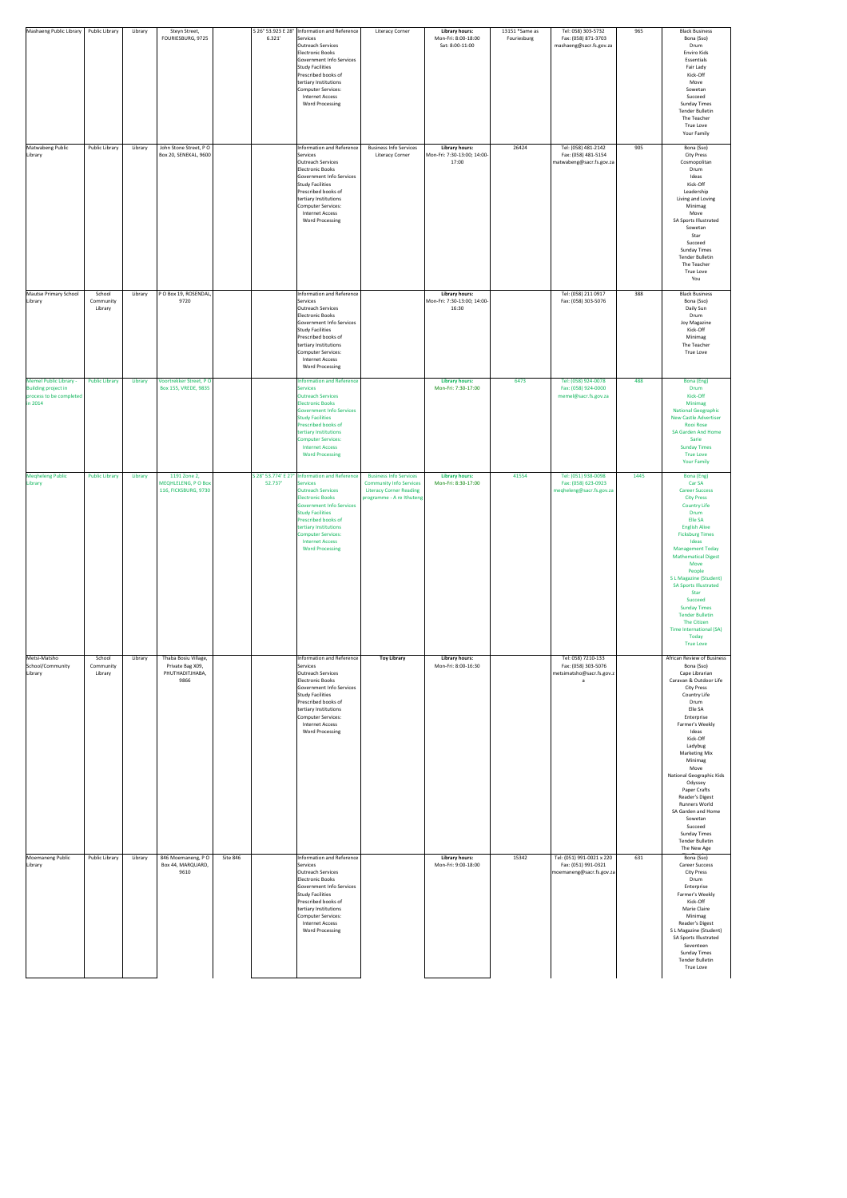| Mashaeng Public Library                                                                           | Public Library                 | Library | Steyn Street,<br>FOURIESBURG, 9725                                  | 6.321'   | S 26° 53.923 E 28°   Information and Reference<br>Services<br><b>Outreach Services</b><br>Electronic Books<br>Government Info Services<br>Study Facilities<br>Prescribed books of<br>tertiary Institutions<br>Computer Services:<br><b>Internet Access</b><br><b>Word Processing</b>                                                          | <b>Literacy Corner</b>                                                                        | <b>Library hours:</b><br>Mon-Fri: 8:00-18:00<br>Sat: 8:00-11:00 | 13151 *Same as<br>Fouriesburg | Tel: 058) 303-5732<br>Fax: (058) 871-3703<br>mashaeng@sacr.fs.gov.za         | 965  | <b>Black Business</b><br>Bona (Sso)<br>Drum<br>Enviro Kids<br>Essentials<br>Fair Lady<br>Kick-Off<br>Move<br>Sowetan<br>Succeed<br><b>Sunday Times</b><br><b>Tender Bulletin</b><br>The Teacher<br><b>True Love</b><br>Your Family                                                                                                                                                                                                                                     |
|---------------------------------------------------------------------------------------------------|--------------------------------|---------|---------------------------------------------------------------------|----------|-----------------------------------------------------------------------------------------------------------------------------------------------------------------------------------------------------------------------------------------------------------------------------------------------------------------------------------------------|-----------------------------------------------------------------------------------------------|-----------------------------------------------------------------|-------------------------------|------------------------------------------------------------------------------|------|------------------------------------------------------------------------------------------------------------------------------------------------------------------------------------------------------------------------------------------------------------------------------------------------------------------------------------------------------------------------------------------------------------------------------------------------------------------------|
| Matwabeng Public<br>Library                                                                       | Public Library                 | Library | John Stone Street, PO<br><b>Box 20, SENEKAL, 9600</b>               |          | Information and Reference<br>Services<br>Outreach Services<br>Electronic Books<br>Government Info Services<br>Study Facilities<br>Prescribed books of<br>tertiary Institutions<br>Computer Services:<br><b>Internet Access</b><br><b>Word Processing</b>                                                                                      | <b>Business Info Services</b><br><b>Literacy Corner</b>                                       | <b>Library hours:</b><br>Mon-Fri: 7:30-13:00; 14:00-<br>17:00   | 26424                         | Tel: (058) 481-2142<br>Fax: (058) 481-5154<br>matwabeng@sacr.fs.gov.za       | 905  | Bona (Sso)<br><b>City Press</b><br>Cosmopolitan<br>Drum<br>Ideas<br>Kick-Off<br>Leadership<br>Living and Loving<br>Minimag<br>Move<br>SA Sports Illustrated<br>Sowetan<br>Star<br>Succeed<br><b>Sunday Times</b><br><b>Tender Bulletin</b><br>The Teacher<br>True Love<br>You                                                                                                                                                                                          |
| Mautse Primary School<br>Library                                                                  | School<br>Community<br>Library | Library | P O Box 19, ROSENDAL,<br>9720                                       |          | Information and Reference<br>Services<br><b>Outreach Services</b><br>Electronic Books<br>Government Info Services<br>Study Facilities<br>Prescribed books of<br>tertiary Institutions<br>Computer Services:<br><b>Internet Access</b><br><b>Word Processing</b>                                                                               |                                                                                               | <b>Library hours:</b><br>Mon-Fri: 7:30-13:00; 14:00-<br>16:30   |                               | Tel: (058) 211 0917<br>Fax: (058) 303-5076                                   | 388  | <b>Black Business</b><br>Bona (Sso)<br>Daily Sun<br>Drum<br>Joy Magazine<br>Kick-Off<br>Minimag<br>The Teacher<br><b>True Love</b>                                                                                                                                                                                                                                                                                                                                     |
| <b>Memel Public Library -</b><br><b>Building project in</b><br>process to be completed<br>in 2014 | <b>Public Library</b>          | Library | Voortrekker Street, PO<br>Box 155, VREDE, 9835                      |          | Information and Reference<br><b>Services</b><br><b>Outreach Services</b><br><b>Electronic Books</b><br><b>Government Info Services</b><br><b>Study Facilities</b><br>Prescribed books of<br>tertiary Institutions<br><b>Computer Services:</b><br><b>Internet Access</b><br><b>Word Processing</b>                                            |                                                                                               | <b>Library hours:</b><br>Mon-Fri: 7:30-17:00                    | 6473                          | Tel: (058) 924-0078<br>Fax: (058) 924-0000<br>memel@sacr.fs.gov.za           | 488  | Bona (Eng)<br>Drum<br>Kick-Off<br>Minimag<br><b>National Geographic</b><br><b>New Castle Advertiser</b><br><b>Rooi Rose</b><br><b>SA Garden And Home</b><br>Sarie<br><b>Sunday Times</b><br><b>True Love</b><br><b>Your Family</b>                                                                                                                                                                                                                                     |
| <b>Meqheleng Public</b><br>Library                                                                | <b>Public Library</b>          | Library | 1191 Zone 2,<br><b>MEQHLELENG, PO Box</b><br>116, FICKSBURG, 9730   | 52.737'  | S 28° 53.774' E 27° Information and Reference Business Info Services<br><b>Services</b><br><b>Outreach Services</b><br><b>Electronic Books</b><br><b>Government Info Services</b><br><b>Study Facilities</b><br>Prescribed books of<br>tertiary Institutions<br><b>Computer Services:</b><br><b>Internet Access</b><br><b>Word Processing</b> | <b>Community Info Services</b><br><b>Literacy Corner Reading</b><br>programme - A re Ithuteng | <b>Library hours:</b><br>Mon-Fri: 8:30-17:00                    | 41554                         | Tel: (051) 938-0098<br>Fax: (058) 623-0923<br>meqheleng@sacr.fs.gov.za       | 1445 | Bona (Eng)<br>Car SA<br><b>Career Success</b><br><b>City Press</b><br><b>Country Life</b><br><b>Drum</b><br>Elle SA<br><b>English Alive</b><br><b>Ficksburg Times</b><br>Ideas<br><b>Management Today</b><br><b>Mathematical Digest</b><br>Move<br>People<br>S L Magazine (Student)<br><b>SA Sports Illustrated</b><br>Star<br>Succeed<br><b>Sunday Times</b><br><b>Tender Bulletin</b><br>The Citizen<br>Time International (SA)<br>Today<br><b>True Love</b>         |
| Metsi-Matsho<br>School/Community<br>Library                                                       | School<br>Community<br>Library | Library | Thaba Bosiu Village,<br>Private Bag X09,<br>PHUTHADITJHABA,<br>9866 |          | Information and Reference<br>Services<br><b>Outreach Services</b><br>Electronic Books<br><b>Government Info Services</b><br>Study Facilities<br>Prescribed books of<br>tertiary Institutions<br>Computer Services:<br><b>Internet Access</b><br><b>Word Processing</b>                                                                        | <b>Toy Library</b>                                                                            | <b>Library hours:</b><br>Mon-Fri: 8:00-16:30                    |                               | Tel: 058) 7210-133<br>Fax: (058) 303-5076<br>metsimatsho@sacr.fs.gov.z       |      | African Review of Business<br>Bona (Sso)<br>Cape Librarian<br>Caravan & Outdoor Life<br><b>City Press</b><br>Country Life<br>Drum<br>Elle SA<br>Enterprise<br>Farmer's Weekly<br>Ideas<br>Kick-Off<br>Ladybug<br><b>Marketing Mix</b><br>Minimag<br>Move<br><b>National Geographic Kids</b><br>Odyssey<br>Paper Crafts<br>Reader's Digest<br>Runners World<br>SA Garden and Home<br>Sowetan<br>Succeed<br><b>Sunday Times</b><br><b>Tender Bulletin</b><br>The New Age |
| Moemaneng Public<br>Library                                                                       | Public Library                 | Library | 846 Moemaneng, PO<br>Box 44, MARQUARD,<br>9610                      | Site 846 | Information and Reference<br>Services<br><b>Outreach Services</b><br>Electronic Books<br><b>Government Info Services</b><br>Study Facilities<br>Prescribed books of<br>tertiary Institutions<br>Computer Services:<br><b>Internet Access</b><br><b>Word Processing</b>                                                                        |                                                                                               | <b>Library hours:</b><br>Mon-Fri: 9:00-18:00                    | 15342                         | Tel: (051) 991-0021 x 220<br>Fax: (051) 991-0321<br>moemaneng@sacr.fs.gov.za | 631  | Bona (Sso)<br><b>Career Success</b><br><b>City Press</b><br>Drum<br>Enterprise<br>Farmer's Weekly<br>Kick-Off<br>Marie Claire<br>Minimag<br>Reader's Digest<br>S L Magazine (Student)<br>SA Sports Illustrated<br>Seventeen<br><b>Sunday Times</b><br>Tender Bulletin<br><b>True Love</b>                                                                                                                                                                              |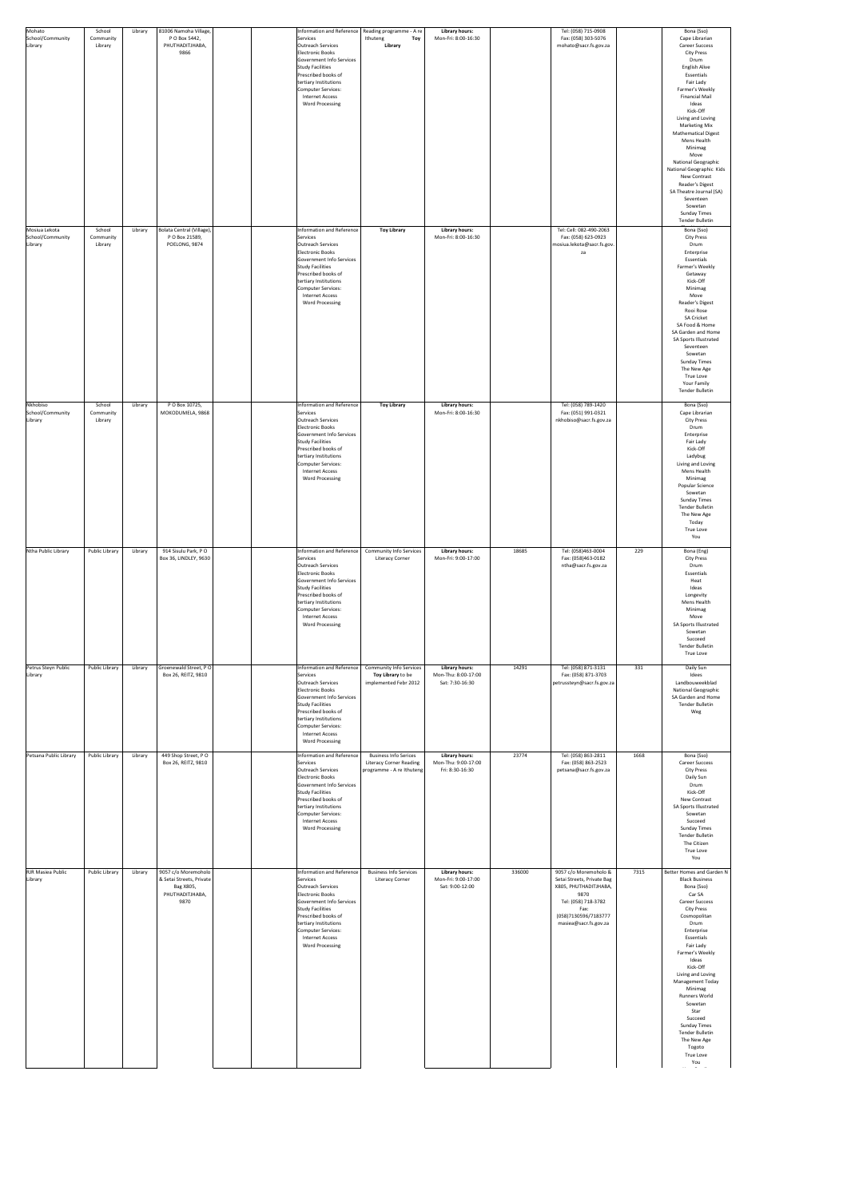| Mohato<br>School/Community<br>Library        | School<br>Community<br>Library | Library | 81006 Namoha Village,<br>P O Box 5442,<br>PHUTHADITJHABA,<br>9866                       | Services<br>Outreach Services<br>Electronic Books<br>Government Info Services<br>Study Facilities<br>Prescribed books of<br>tertiary Institutions<br>Computer Services:<br>Internet Access<br><b>Word Processing</b>                                     | Information and Reference   Reading programme - A re  <br>Ithuteng<br>Toy<br>Library        | <b>Library hours:</b><br>Mon-Fri: 8:00-16:30                    |        | Tel: (058) 715-0908<br>Fax: (058) 303-5076<br>mohato@sacr.fs.gov.za                                                                                                  |      | Bona (Sso)<br>Cape Librarian<br><b>Career Success</b><br><b>City Press</b><br>Drum<br><b>English Alive</b><br>Essentials<br>Fair Lady<br>Farmer's Weekly<br><b>Financial Mail</b><br>Ideas<br>Kick-Off<br>Living and Loving<br><b>Marketing Mix</b><br><b>Mathematical Digest</b><br>Mens Health<br>Minimag<br>Move<br>National Geographic<br>National Geographic Kids<br>New Contrast<br>Reader's Digest<br>SA Theatre Journal (SA)<br>Seventeen<br>Sowetan<br><b>Sunday Times</b> |
|----------------------------------------------|--------------------------------|---------|-----------------------------------------------------------------------------------------|----------------------------------------------------------------------------------------------------------------------------------------------------------------------------------------------------------------------------------------------------------|---------------------------------------------------------------------------------------------|-----------------------------------------------------------------|--------|----------------------------------------------------------------------------------------------------------------------------------------------------------------------|------|-------------------------------------------------------------------------------------------------------------------------------------------------------------------------------------------------------------------------------------------------------------------------------------------------------------------------------------------------------------------------------------------------------------------------------------------------------------------------------------|
| Mosiua Lekota<br>School/Community<br>Library | School<br>Community<br>Library | Library | Bolata Central (Village),<br>P O Box 21589,<br>POELONG, 9874                            | Information and Reference<br>Services<br>Outreach Services<br>Electronic Books<br>Government Info Services<br>Study Facilities<br>Prescribed books of<br>tertiary Institutions<br>Computer Services:<br><b>Internet Access</b><br><b>Word Processing</b> | <b>Toy Library</b>                                                                          | <b>Library hours:</b><br>Mon-Fri: 8:00-16:30                    |        | Tel: Cell: 082-490-2063<br>Fax: (058) 623-0923<br>mosiua.lekota@sacr.fs.gov.<br>za                                                                                   |      | Tender Bulletin<br>Bona (Sso)<br><b>City Press</b><br>Drum<br>Enterprise<br>Essentials<br>Farmer's Weekly<br>Getaway<br>Kick-Off<br>Minimag<br>Move<br>Reader's Digest<br>Rooi Rose<br><b>SA Cricket</b><br>SA Food & Home<br>SA Garden and Home<br>SA Sports Illustrated<br>Seventeen<br>Sowetan<br><b>Sunday Times</b><br>The New Age<br><b>True Love</b><br><b>Your Family</b><br>Tender Bulletin                                                                                |
| Nkhobiso<br>School/Community<br>Library      | School<br>Community<br>Library | Library | P O Box 10725,<br>MOKODUMELA, 9868                                                      | Information and Reference<br>Services<br>Outreach Services<br>Electronic Books<br>Government Info Services<br>Study Facilities<br>Prescribed books of<br>tertiary Institutions<br>Computer Services:<br>Internet Access<br><b>Word Processing</b>        | <b>Toy Library</b>                                                                          | <b>Library hours:</b><br>Mon-Fri: 8:00-16:30                    |        | Tel: (058) 789-1420<br>Fax: (051) 991-0321<br>nkhobiso@sacr.fs.gov.za                                                                                                |      | Bona (Sso)<br>Cape Librarian<br><b>City Press</b><br>Drum<br>Enterprise<br>Fair Lady<br>Kick-Off<br>Ladybug<br>Living and Loving<br>Mens Health<br>Minimag<br>Popular Science<br>Sowetan<br><b>Sunday Times</b><br>Tender Bulletin<br>The New Age<br>Today<br><b>True Love</b><br>You                                                                                                                                                                                               |
| Ntha Public Library                          | Public Library                 | Library | 914 Sisulu Park, PO<br>Box 36, LINDLEY, 9630                                            | Information and Reference<br>Services<br>Outreach Services<br>Electronic Books<br>Government Info Services<br>Study Facilities<br>Prescribed books of<br>tertiary Institutions<br>Computer Services:<br><b>Internet Access</b><br><b>Word Processing</b> | <b>Community Info Services</b><br><b>Literacy Corner</b>                                    | <b>Library hours:</b><br>Mon-Fri: 9:00-17:00                    | 18685  | Tel: (058)463-0004<br>Fax: (058)463-0182<br>ntha@sacr.fs.gov.za                                                                                                      | 229  | Bona (Eng)<br><b>City Press</b><br>Drum<br>Essentials<br>Heat<br>Ideas<br>Longevity<br>Mens Health<br>Minimag<br>Move<br>SA Sports Illustrated<br>Sowetan<br>Succeed<br>Tender Bulletin<br>True Love                                                                                                                                                                                                                                                                                |
| Petrus Steyn Public<br>Library               | Public Library                 | Library | Groenewald Street, PO<br>Box 26, REITZ, 9810                                            | Information and Reference<br>Services<br>Outreach Services<br>Electronic Books<br>Government Info Services<br>Study Facilities<br>Prescribed books of<br>tertiary Institutions<br>Computer Services:<br><b>Internet Access</b><br><b>Word Processing</b> | <b>Community Info Services</b><br>Toy Library to be<br>implemented Febr 2012                | <b>Library hours:</b><br>Mon-Thu: 8:00-17:00<br>Sat: 7:30-16:30 | 14291  | Tel: (058) 871-3131<br>Fax: (058) 871-3703<br>petrussteyn@sacr.fs.gov.za                                                                                             | 331  | Daily Sun<br>Idees<br>Landbouweekblad<br><b>National Geographic</b><br>SA Garden and Home<br>Tender Bulletin<br>Weg                                                                                                                                                                                                                                                                                                                                                                 |
| Petsana Public Library                       | Public Library                 | Library | 449 Shop Street, PO<br>Box 26, REITZ, 9810                                              | Information and Reference<br>Services<br>Outreach Services<br>Electronic Books<br>Government Info Services<br>Study Facilities<br>Prescribed books of<br>tertiary Institutions<br>Computer Services:<br><b>Internet Access</b><br><b>Word Processing</b> | <b>Business Info Serices</b><br><b>Literacy Corner Reading</b><br>programme - A re Ithuteng | <b>Library hours:</b><br>Mon-Thu: 9:00-17:00<br>Fri: 8:30-16:30 | 23774  | Tel: (058) 863-2811<br>Fax: (058) 863-2523<br>petsana@sacr.fs.gov.za                                                                                                 | 1668 | Bona (Sso)<br><b>Career Success</b><br><b>City Press</b><br>Daily Sun<br>Drum<br>Kick-Off<br>New Contrast<br>SA Sports Illustrated<br>Sowetan<br>Succeed<br><b>Sunday Times</b><br>Tender Bulletin<br>The Citizen<br>True Love<br>You                                                                                                                                                                                                                                               |
| <b>RJR Masiea Public</b><br>Library          | Public Library                 | Library | 9057 c/o Moremoholo<br>& Setai Streets, Private<br>Bag X805,<br>PHUTHADITJHABA,<br>9870 | Information and Reference<br>Services<br>Outreach Services<br>Electronic Books<br>Government Info Services<br>Study Facilities<br>Prescribed books of<br>tertiary Institutions<br>Computer Services:<br><b>Internet Access</b><br><b>Word Processing</b> | <b>Business Info Services</b><br><b>Literacy Corner</b>                                     | <b>Library hours:</b><br>Mon-Fri: 9:00-17:00<br>Sat: 9:00-12:00 | 336000 | 9057 c/o Moremoholo &<br>Setai Streets, Private Bag<br>X805, PHUTHADITJHABA,<br>9870<br>Tel: (058) 718-3782<br>Fax:<br>(058)7130596/7183777<br>masiea@sacr.fs.gov.za | 7315 | Better Homes and Garden N<br><b>Black Business</b><br>Bona (Sso)<br>Car SA<br><b>Career Success</b><br><b>City Press</b><br>Cosmopolitan<br>Drum<br>Enterprise<br>Essentials<br>Fair Lady<br>Farmer's Weekly<br>Ideas<br>Kick-Off<br>Living and Loving<br><b>Management Today</b><br>Minimag<br><b>Runners World</b><br>Sowetan<br>Star<br>Succeed<br><b>Sunday Times</b><br><b>Tender Bulletin</b><br>The New Age<br>Togoto<br><b>True Love</b><br>You                             |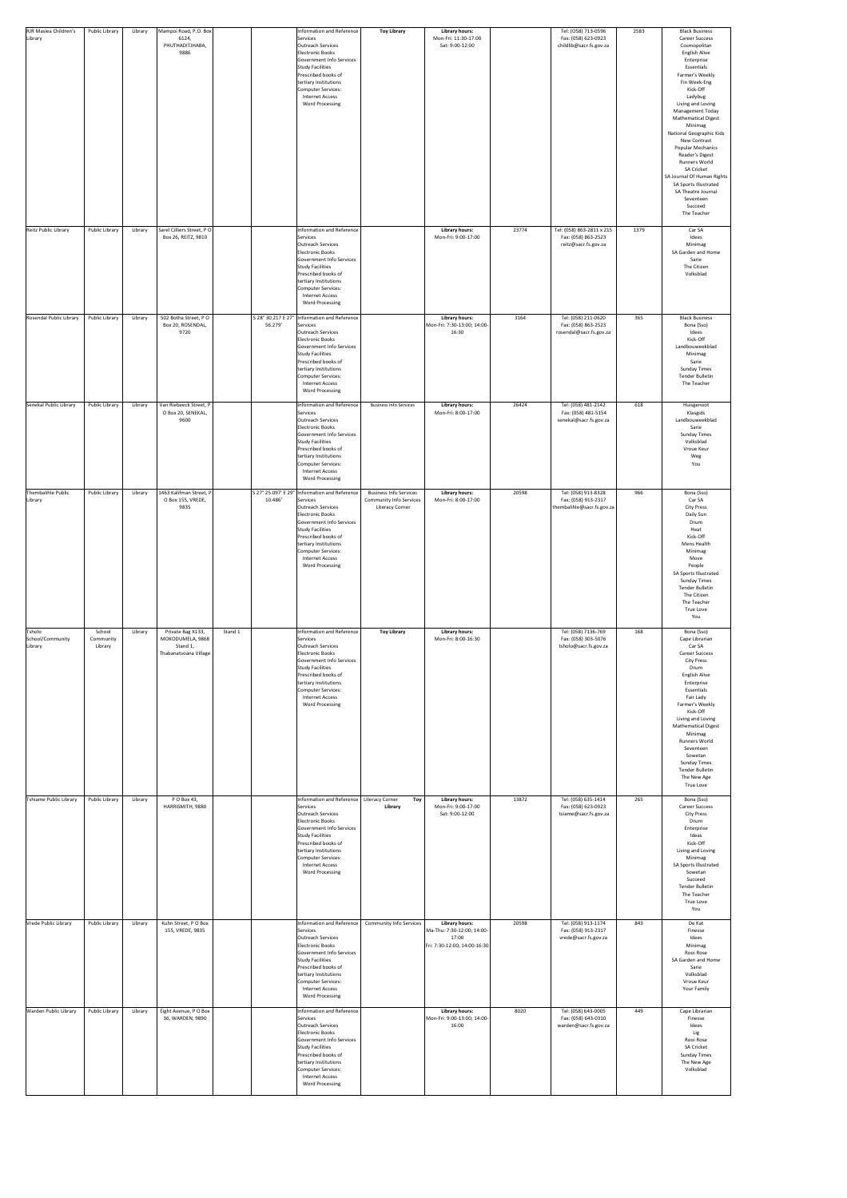| RJR Masiea Children's<br>Library      | <b>Public Library</b>          | Library | Mampoi Road, P.O. Box<br>6124,<br>PHUTHADITJHABA,<br>9886                  |         |         | Information and Reference<br>Services<br>Outreach Services<br>Electronic Books<br>Government Info Services<br>Study Facilities<br>Prescribed books of<br>tertiary Institutions<br>Computer Services:<br><b>Internet Access</b><br><b>Word Processing</b>                      | <b>Toy Library</b>                                                                        | <b>Library hours:</b><br>Mon-Fri: 11:30-17:00<br>Sat: 9:00-12:00                             |       | Tel: (058) 713-0596<br>Fax: (058) 623-0923<br>childlib@sacr.fs.gov.za    | 2583 | <b>Black Business</b><br><b>Career Success</b><br>Cosmopolitan<br><b>English Alive</b><br>Enterprise<br>Essentials<br>Farmer's Weekly<br>Fin Week-Eng<br>Kick-Off<br>Ladybug<br>Living and Loving<br><b>Management Today</b><br><b>Mathematical Digest</b><br>Minimag<br>National Geographic Kids<br>New Contrast<br><b>Popular Mechanics</b><br>Reader's Digest<br><b>Runners World</b><br><b>SA Cricket</b><br>SA Journal Of Human Rights<br>SA Sports Illustrated<br>SA Theatre Journal<br>Seventeen<br>Succeed |
|---------------------------------------|--------------------------------|---------|----------------------------------------------------------------------------|---------|---------|-------------------------------------------------------------------------------------------------------------------------------------------------------------------------------------------------------------------------------------------------------------------------------|-------------------------------------------------------------------------------------------|----------------------------------------------------------------------------------------------|-------|--------------------------------------------------------------------------|------|--------------------------------------------------------------------------------------------------------------------------------------------------------------------------------------------------------------------------------------------------------------------------------------------------------------------------------------------------------------------------------------------------------------------------------------------------------------------------------------------------------------------|
| Reitz Public Library                  | Public Library                 | Library | Sarel Cilliers Street, PO<br>Box 26, REITZ, 9810                           |         |         | Information and Reference<br>Services<br>Outreach Services<br><b>Electronic Books</b><br>Government Info Services<br>Study Facilities<br>Prescribed books of<br>tertiary Institutions<br>Computer Services:<br><b>Internet Access</b><br><b>Word Processing</b>               |                                                                                           | <b>Library hours:</b><br>Mon-Fri: 9:00-17:00                                                 | 23774 | Tel: (058) 863-2811 x 215<br>Fax: (058) 863-2523<br>reitz@sacr.fs.gov.za | 1379 | The Teacher<br>Car SA<br>Idees<br>Minimag<br>SA Garden and Home<br>Sarie<br>The Citizen<br>Volksblad                                                                                                                                                                                                                                                                                                                                                                                                               |
| Rosendal Public Library               | <b>Public Library</b>          | Library | 502 Botha Street, PO<br>Box 20, ROSENDAL,<br>9720                          |         | 56.279' | S 28° 30.217 E 27°   Information and Reference<br>Services<br>Outreach Services<br>Electronic Books<br>Government Info Services<br>Study Facilities<br>Prescribed books of<br>tertiary Institutions<br>Computer Services:<br><b>Internet Access</b><br><b>Word Processing</b> |                                                                                           | <b>Library hours:</b><br>Mon-Fri: 7:30-13:00; 14:00-<br>16:30                                | 3164  | Tel: (058) 211-0620<br>Fax: (058) 863-2523<br>rosendal@sacr.fs.gov.za    | 365  | <b>Black Business</b><br>Bona (Sso)<br>Idees<br>Kick-Off<br>Landbouweekblad<br>Minimag<br>Sarie<br><b>Sunday Times</b><br><b>Tender Bulletin</b><br>The Teacher                                                                                                                                                                                                                                                                                                                                                    |
| Senekal Public Library                | Public Library                 | Library | Van Riebeeck Street, P<br>O Box 20, SENEKAL,<br>9600                       |         |         | Information and Reference<br>Services<br>Outreach Services<br>Electronic Books<br>Government Info Services<br>Study Facilities<br>Prescribed books of<br>tertiary Institutions<br>Computer Services:<br><b>Internet Access</b><br><b>Word Processing</b>                      | <b>Business Info Services</b>                                                             | <b>Library hours:</b><br>Mon-Fri: 8:00-17:00                                                 | 26424 | Tel: (058) 481-2142<br>Fax: (058) 481-5154<br>senekal@sacr.fs.gov.za     | 618  | Huisgenoot<br>Klasgids<br>Landbouweekblad<br>Sarie<br><b>Sunday Times</b><br>Volksblad<br>Vroue Keur<br>Weg<br>You                                                                                                                                                                                                                                                                                                                                                                                                 |
| Thembalihle Public<br>Library         | Public Library                 | Library | 1463 Kalifman Street, P<br>O Box 155, VREDE,<br>9835                       |         | 10.486' | S 27° 25.097' E 29° Information and Reference<br>Services<br>Outreach Services<br>Electronic Books<br>Government Info Services<br>Study Facilities<br>Prescribed books of<br>tertiary Institutions<br>Computer Services:<br><b>Internet Access</b><br><b>Word Processing</b>  | <b>Business Info Services</b><br><b>Community Info Services</b><br><b>Literacy Corner</b> | <b>Library hours:</b><br>Mon-Fri: 8:00-17:00                                                 | 20598 | Tel: (058) 913-8328<br>Fax: (058) 913-2317<br>thembalihle@sacr.fs.gov.za | 966  | Bona (Sso)<br>Car SA<br><b>City Press</b><br>Daily Sun<br>Drum<br>Heat<br>Kick-Off<br>Mens Health<br>Minimag<br>Move<br>People<br>SA Sports Illustrated<br><b>Sunday Times</b><br><b>Tender Bulletin</b><br>The Citizen<br>The Teacher<br>True Love<br>You                                                                                                                                                                                                                                                         |
| Tsholo<br>School/Community<br>Library | School<br>Community<br>Library | Library | Private Bag X133,<br>MOKODUMELA, 9868<br>Stand 1,<br>Thabanatsoana Village | Stand 1 |         | Information and Reference<br>Services<br>Outreach Services<br>Electronic Books<br>Government Info Services<br>Study Facilities<br>Prescribed books of<br>tertiary Institutions<br>Computer Services:<br><b>Internet Access</b><br><b>Word Processing</b>                      | <b>Toy Library</b>                                                                        | <b>Library hours:</b><br>Mon-Fri: 8:00-16:30                                                 |       | Tel: (058) 7136-769<br>Fax: (058) 303-5076<br>tsholo@sacr.fs.gov.za      | 168  | Bona (Sso)<br>Cape Librarian<br>Car SA<br><b>Career Success</b><br><b>City Press</b><br>Drum<br>English Alive<br>Enterprise<br>Essentials<br>Fair Lady<br>Farmer's Weekly<br>Kick-Off<br>Living and Loving<br><b>Mathematical Digest</b><br>Minimag<br><b>Runners World</b><br>Seventeen<br>Sowetan<br><b>Sunday Times</b><br><b>Tender Bulletin</b><br>The New Age<br><b>True Love</b>                                                                                                                            |
| Tshiame Public Library                | <b>Public Library</b>          | Library | P O Box 43,<br>HARRISMITH, 9880                                            |         |         | Information and Reference   Literacy Corner<br>Services<br>Outreach Services<br>Electronic Books<br>Government Info Services<br>Study Facilities<br>Prescribed books of<br>tertiary Institutions<br>Computer Services:<br><b>Internet Access</b><br><b>Word Processing</b>    | Toy  <br>Library                                                                          | <b>Library hours:</b><br>Mon-Fri: 9:00-17:00<br>Sat: 9:00-12:00                              | 13872 | Tel: (058) 635-1414<br>Fax: (058) 623-0923<br>tsiame@sacr.fs.gov.za      | 265  | Bona (Sso)<br><b>Career Success</b><br><b>City Press</b><br>Drum<br>Enterprise<br>Ideas<br>Kick-Off<br>Living and Loving<br>Minimag<br>SA Sports Illustrated<br>Sowetan<br>Succeed<br><b>Tender Bulletin</b><br>The Teacher<br>True Love<br>You                                                                                                                                                                                                                                                                    |
| Vrede Public Library                  | Public Library                 | Library | Kuhn Street, PO Box<br>155, VREDE, 9835                                    |         |         | Information and Reference<br>Services<br>Outreach Services<br>Electronic Books<br>Government Info Services<br>Study Facilities<br>Prescribed books of<br>tertiary Institutions<br>Computer Services:<br><b>Internet Access</b><br><b>Word Processing</b>                      | <b>Community Info Services</b>                                                            | <b>Library hours:</b><br>Ma-Thu: 7:30-12:00; 14:00-<br>17:00<br>Fri: 7:30-12:00; 14:00-16:30 | 20598 | Tel: (058) 913-1174<br>Fax: (058) 913-2317<br>vrede@sacr.fs.gov.za       | 843  | De Kat<br>Finesse<br>Idees<br>Minimag<br>Rooi Rose<br>SA Garden and Home<br>Sarie<br>Volksblad<br>Vroue Keur<br>Your Family                                                                                                                                                                                                                                                                                                                                                                                        |
| <b>Warden Public Library</b>          | Public Library                 | Library | Eight Avenue, PO Box<br>36, WARDEN, 9890                                   |         |         | Information and Reference<br>Services<br>Outreach Services<br>Electronic Books<br>Government Info Services<br>Study Facilities<br>Prescribed books of<br>tertiary Institutions<br>Computer Services:<br><b>Internet Access</b><br><b>Word Processing</b>                      |                                                                                           | <b>Library hours:</b><br>Mon-Fri: 9:00-13:00; 14:00-<br>16:00                                | 8020  | Tel: (058) 643-0005<br>Fax: (058) 643-0310<br>warden@sacr.fs.gov.za      | 449  | Cape Librarian<br>Finesse<br>Idees<br>Lig<br>Rooi Rose<br><b>SA Cricket</b><br><b>Sunday Times</b><br>The New Age<br>Volksblad                                                                                                                                                                                                                                                                                                                                                                                     |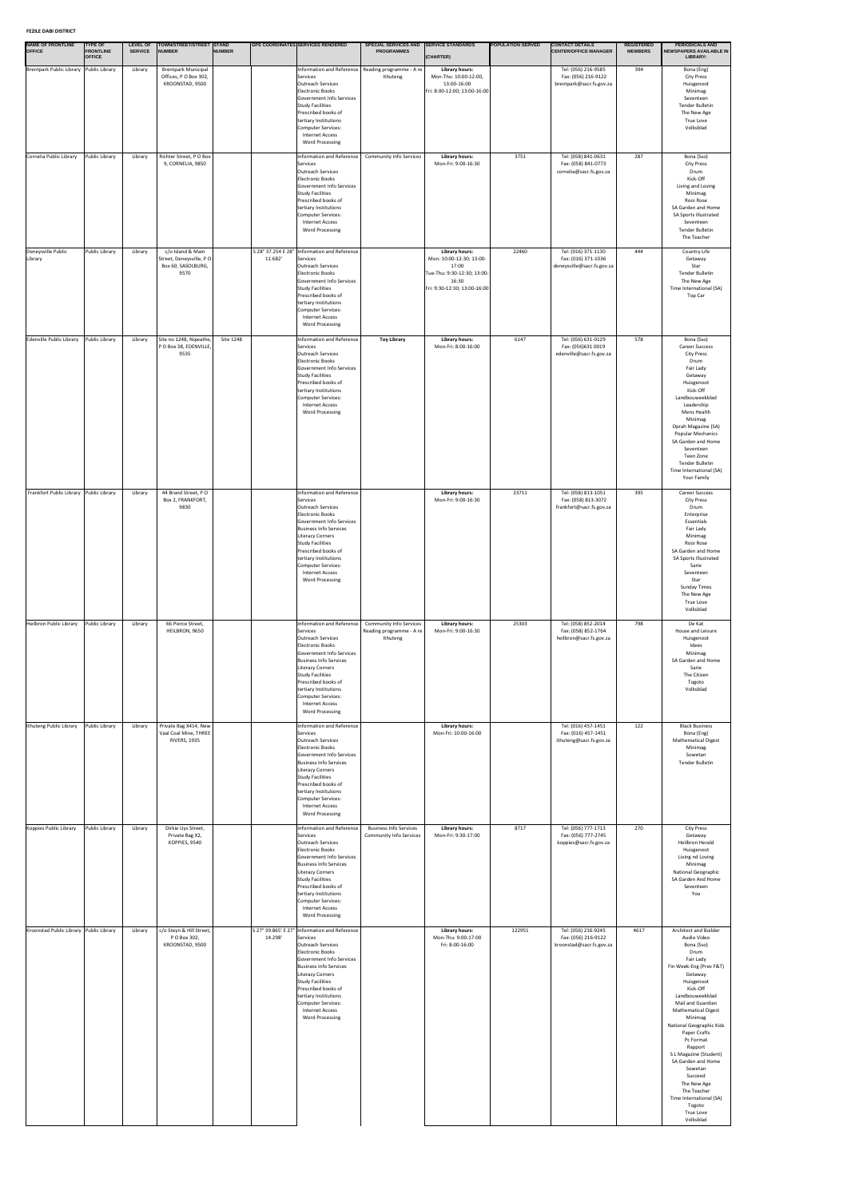#### **FEZILE DABI DISTRICT**

| <b>NAME OF FRONTLINE</b><br><b>OFFICE</b> | <b>TYPE OF</b><br><b>FRONTLINE</b><br><b>OFFICE</b> | <b>LEVEL OF</b><br><b>SERVICE</b> | TOWN/STREET/STREET STAND<br><b>NUMBER</b>                                  | <b>NUMBER</b> |         | <b>GPS COORDINATES SERVICES RENDERED</b>                                                                                                                                                                                                                                                                                          | <b>SPECIAL SERVICES AND</b><br><b>PROGRAMMES</b>                       | <b>SERVICE STANDARDS</b><br>(CHARTER)                                                                                              | <b>POPULATION SERVED</b> | <b>CONTACT DETAILS</b><br><b>CENTER/OFFICE MANAGER</b>                   | <b>REGISTERED</b><br><b>MEMBERS</b> | <b>PERIODICALS AND</b><br><b>NEWSPAPERS AVAILABLE IN</b><br>LIBRARY:                                                                                                                                                                                                                                                                                                                                                                                                          |
|-------------------------------------------|-----------------------------------------------------|-----------------------------------|----------------------------------------------------------------------------|---------------|---------|-----------------------------------------------------------------------------------------------------------------------------------------------------------------------------------------------------------------------------------------------------------------------------------------------------------------------------------|------------------------------------------------------------------------|------------------------------------------------------------------------------------------------------------------------------------|--------------------------|--------------------------------------------------------------------------|-------------------------------------|-------------------------------------------------------------------------------------------------------------------------------------------------------------------------------------------------------------------------------------------------------------------------------------------------------------------------------------------------------------------------------------------------------------------------------------------------------------------------------|
| Brentpark Public Library Public Library   |                                                     | Library                           | <b>Brentpark Municipal</b><br>Offices, P O Box 302,<br>KROONSTAD, 9500     |               |         | Information and Reference   Reading programme - A re  <br>Services<br>Outreach Services<br>Electronic Books<br>Government Info Services<br>Study Facilities<br>Prescribed books of<br>tertiary Institutions<br>Computer Services:<br>Internet Access<br><b>Word Processing</b>                                                    | Ithuteng                                                               | <b>Library hours:</b><br>Mon-Thu: 10:00-12:00,<br>13:00-16:00<br>Fri: 8:00-12:00; 13:00-16:00                                      |                          | Tel: (056) 216-9585<br>Fax: (056) 216-9122<br>brentpark@sacr.fs.gov.za   | 394                                 | Bona (Eng)<br><b>City Press</b><br>Huisgenoot<br>Minimag<br>Seventeen<br><b>Tender Bulletin</b><br>The New Age<br><b>True Love</b><br>Volksblad                                                                                                                                                                                                                                                                                                                               |
| Cornelia Public Library                   | Public Library                                      | Library                           | Richter Street, PO Box<br>9, CORNELIA, 9850                                |               |         | Information and Reference<br>Services<br>Outreach Services<br>Electronic Books<br>Government Info Services<br>Study Facilities<br>Prescribed books of<br>tertiary Institutions<br>Computer Services:<br>Internet Access<br><b>Word Processing</b>                                                                                 | <b>Community Info Services</b>                                         | <b>Library hours:</b><br>Mon-Fri: 9:00-16:30                                                                                       | 3751                     | Tel: (058) 841-0631<br>Fax: (058) 841-0773<br>cornelia@sacr.fs.gov.za    | 287                                 | Bona (Sso)<br><b>City Press</b><br>Drum<br>Kick-Off<br>Living and Loving<br>Minimag<br>Rooi Rose<br>SA Garden and Home<br>SA Sports Illustrated<br>Seventeen<br><b>Tender Bulletin</b><br>The Teacher                                                                                                                                                                                                                                                                         |
| Deneysville Public<br>Library             | Public Library                                      | Library                           | c/o Island & Main<br>Street, Deneysville, PO<br>Box 60, SASOLBURG,<br>9570 |               | 11.682' | S 28° 37.254 E 28°   Information and Reference<br>Services<br>Outreach Services<br>Electronic Books<br>Government Info Services<br>Study Facilities<br>Prescribed books of<br>tertiary Institutions<br>Computer Services:<br><b>Internet Access</b><br><b>Word Processing</b>                                                     |                                                                        | <b>Library hours:</b><br>Mon: 10:00-12:30; 13:00-<br>17:00<br>Tue-Thu: 9:30-12:30; 13:00-<br>16:30<br>Fri: 9:30-12:30; 13:00-16:00 | 22460                    | Tel: (016) 371-1130<br>Fax: (016) 371-1036<br>deneysville@sacr.fs.gov.za | 444                                 | Country Life<br>Getaway<br>Star<br><b>Tender Bulletin</b><br>The New Age<br>Time International (SA)<br>Top Car                                                                                                                                                                                                                                                                                                                                                                |
| Edenville Public Library                  | Public Library                                      | Library                           | Site no 1248, Nqwathe,<br>PO Box 38, EDENVILLE,<br>9535                    | Site 1248     |         | Information and Reference<br>Services<br>Outreach Services<br><b>Electronic Books</b><br>Government Info Services<br>Study Facilities<br>Prescribed books of<br>tertiary Institutions<br>Computer Services:<br><b>Internet Access</b><br><b>Word Processing</b>                                                                   | <b>Toy Library</b>                                                     | <b>Library hours:</b><br>Mon-Fri: 8:00-16:00                                                                                       | 6147                     | Tel: (056) 631-0129<br>Fax: (056)631 0019<br>edenville@sacr.fs.gov.za    | 578                                 | Bona (Sso)<br><b>Career Success</b><br><b>City Press</b><br>Drum<br>Fair Lady<br>Getaway<br>Huisgenoot<br>Kick-Off<br>Landbouweekblad<br>Leadership<br>Mens Health<br>Minimag<br>Oprah Magazine (SA)<br><b>Popular Mechanics</b><br>SA Garden and Home<br>Seventeen<br>Teen Zone<br>Tender Bulletin<br>Time International (SA)<br>Your Family                                                                                                                                 |
| Frankfort Public Library Public Library   |                                                     | Library                           | 44 Brand Street, PO<br>Box 2, FRANKFORT,<br>9830                           |               |         | Information and Reference<br>Services<br>Outreach Services<br>Electronic Books<br>Government Info Services<br><b>Business Info Services</b><br>Literacy Corners<br>Study Facilities<br>Prescribed books of<br>tertiary Institutions<br>Computer Services:<br><b>Internet Access</b><br><b>Word Processing</b>                     |                                                                        | <b>Library hours:</b><br>Mon-Fri: 9:00-16:30                                                                                       | 23711                    | Tel: (058) 813-1051<br>Fax: (058) 813-3072<br>frankfort@sacr.fs.gov.za   | 395                                 | <b>Career Success</b><br><b>City Press</b><br>Drum<br>Enterprise<br>Essentials<br>Fair Lady<br>Minimag<br>Rooi Rose<br>SA Garden and Home<br>SA Sports Illustrated<br>Sarie<br>Seventeen<br>Star<br><b>Sunday Times</b><br>The New Age<br><b>True Love</b><br>Volksblad                                                                                                                                                                                                       |
| Heilbron Public Library                   | Public Library                                      | Library                           | 66 Pierce Street,<br>HEILBRON, 9650                                        |               |         | Information and Reference<br>Services<br>Outreach Services<br>Electronic Books<br>Government Info Services<br><b>Business Info Services</b><br>Literacy Corners<br>Study Facilities<br>Prescribed books of<br>tertiary Institutions<br>Computer Services:<br>Internet Access<br><b>Word Processing</b>                            | <b>Community Info Services</b><br>Reading programme - A re<br>Ithuteng | <b>Library hours:</b><br>Mon-Fri: 9:00-16:30                                                                                       | 25303                    | Tel: (058) 852-2014<br>Fax: (058) 852-1764<br>heilbron@sacr.fs.gov.za    | 798                                 | De Kat<br>House and Leisure<br>Huisgenoot<br>Idees<br>Minimag<br>SA Garden and Home<br>Sarie<br>The Citizen<br>Togoto<br>Volksblad                                                                                                                                                                                                                                                                                                                                            |
| Ithuteng Public Library                   | Public Library                                      | Library                           | Private Bag X414, New<br>Vaal Coal Mine, THREE<br><b>RIVERS, 1935</b>      |               |         | Information and Reference<br>Services<br>Outreach Services<br>Electronic Books<br>Government Info Services<br><b>Business Info Services</b><br>Literacy Corners<br>Study Facilities<br>Prescribed books of<br>tertiary Institutions<br>Computer Services:<br><b>Internet Access</b><br><b>Word Processing</b>                     |                                                                        | <b>Library hours:</b><br>Mon-Fri: 10:00-16:00                                                                                      |                          | Tel: (016) 457-1451<br>Fax: (016) 457-1451<br>ithuteng@sacr.fs.gov.za    | 122                                 | <b>Black Business</b><br>Bona (Eng)<br><b>Mathematical Digest</b><br>Minimag<br>Sowetan<br><b>Tender Bulletin</b>                                                                                                                                                                                                                                                                                                                                                             |
| Koppies Public Library                    | Public Library                                      | Library                           | Dirkie Uys Street,<br>Private Bag X2,<br>KOPPIES, 9540                     |               |         | Information and Reference<br>Services<br>Outreach Services<br>Electronic Books<br>Government Info Services<br>Business Info Services<br>Literacy Corners<br>Study Facilities<br>Prescribed books of<br>tertiary Institutions<br>Computer Services:<br><b>Internet Access</b><br><b>Word Processing</b>                            | <b>Business Info Services</b><br><b>Community Info Services</b>        | <b>Library hours:</b><br>Mon-Fri: 9:30-17:00                                                                                       | 8717                     | Tel: (056) 777-1713<br>Fax: (056) 777-2745<br>koppies@sacr.fs.gov.za     | 270                                 | <b>City Press</b><br>Getaway<br><b>Heilbron Herald</b><br>Huisgenoot<br>Living nd Loving<br>Minimag<br>National Geographic<br>SA Garden And Home<br>Seventeen<br>You                                                                                                                                                                                                                                                                                                          |
| Kroonstad Public Library Public Library   |                                                     | Library                           | c/o Steyn & Hill Street,<br>P O Box 302,<br>KROONSTAD, 9500                |               | 14.298' | S 27° 39.865' E 27° Information and Reference<br>Services<br>Outreach Services<br>Electronic Books<br>Government Info Services<br><b>Business Info Services</b><br>Literacy Corners<br>Study Facilities<br>Prescribed books of<br>tertiary Institutions<br>Computer Services:<br><b>Internet Access</b><br><b>Word Processing</b> |                                                                        | <b>Library hours:</b><br>Mon-Thu: 9:00-17:00<br>Fri: 8:00-16:00                                                                    | 122951                   | Tel: (056) 216-9245<br>Fax: (056) 216-9122<br>kroonstad@sacr.fs.gov.za   | 4617                                | Architect and Builder<br>Audio Video<br>Bona (Sso)<br>Drum<br>Fair Lady<br>Fin Week-Eng (Prev F&T)<br>Getaway<br>Huisgenoot<br>Kick-Off<br>Landbouweekblad<br>Mail and Guardian<br><b>Mathematical Digest</b><br>Minimag<br><b>National Geographic Kids</b><br>Paper Crafts<br>Pc Format<br>Rapport<br>S L Magazine (Student)<br>SA Garden and Home<br>Sowetan<br>Succeed<br>The New Age<br>The Teacher<br>Time International (SA)<br>Togoto<br><b>True Love</b><br>Volksblad |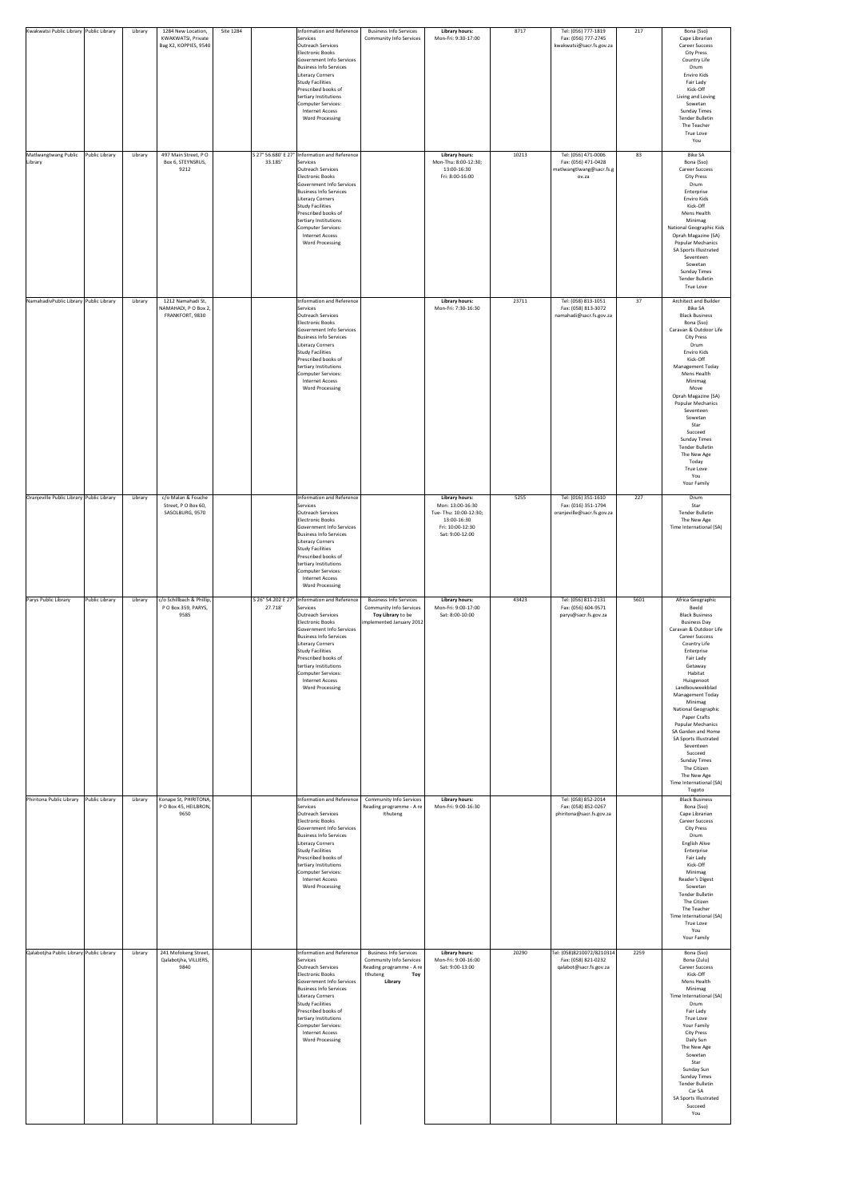| Kwakwatsi Public Library Public Library   |                | Library | 1284 New Location,                                           | Site 1284 | Information and Reference                                                                                                                                                                                                                                                                                                          | <b>Business Info Services</b>                                                                                             | <b>Library hours:</b>                                                                                                    | 8717  | Tel: (056) 777-1819                                                             | 217  | Bona (Sso)                                                                                                                                                                                                                                                                                                                                                                                                                                                                                                              |
|-------------------------------------------|----------------|---------|--------------------------------------------------------------|-----------|------------------------------------------------------------------------------------------------------------------------------------------------------------------------------------------------------------------------------------------------------------------------------------------------------------------------------------|---------------------------------------------------------------------------------------------------------------------------|--------------------------------------------------------------------------------------------------------------------------|-------|---------------------------------------------------------------------------------|------|-------------------------------------------------------------------------------------------------------------------------------------------------------------------------------------------------------------------------------------------------------------------------------------------------------------------------------------------------------------------------------------------------------------------------------------------------------------------------------------------------------------------------|
|                                           |                |         | KWAKWATSI, Private<br>Bag X2, KOPPIES, 9540                  |           | Services<br>Outreach Services<br>Electronic Books<br>Government Info Services<br><b>Business Info Services</b><br>Literacy Corners<br>Study Facilities<br>Prescribed books of<br>tertiary Institutions<br>Computer Services:<br>Internet Access<br><b>Word Processing</b>                                                          | <b>Community Info Services</b>                                                                                            | Mon-Fri: 9:30-17:00                                                                                                      |       | Fax: (056) 777-2745<br>kwakwatsi@sacr.fs.gov.za                                 |      | Cape Librarian<br><b>Career Success</b><br><b>City Press</b><br>Country Life<br>Drum<br>Enviro Kids<br>Fair Lady<br>Kick-Off<br>Living and Loving<br>Sowetan<br><b>Sunday Times</b><br><b>Tender Bulletin</b><br>The Teacher<br>True Love<br>You                                                                                                                                                                                                                                                                        |
| Matlwangtwang Public<br>Library           | Public Library | Library | 497 Main Street, PO<br>Box 6, STEYNSRUS,<br>9212             | 33.185'   | S 27° 56.680' E 27° Information and Reference<br>Services<br>Outreach Services<br>Electronic Books<br>Government Info Services<br><b>Business Info Services</b><br>Literacy Corners<br>Study Facilities<br>Prescribed books of<br>tertiary Institutions<br>Computer Services:<br><b>Internet Access</b><br><b>Word Processing</b>  |                                                                                                                           | <b>Library hours:</b><br>Mon-Thu: 8:00-12:30;<br>13:00-16:30<br>Fri: 8:00-16:00                                          | 10213 | Tel: (056) 471-0006<br>Fax: (056) 471-0428<br>matlwangtlwang@sacr.fs.g<br>ov.za | 83   | <b>Bike SA</b><br>Bona (Sso)<br><b>Career Success</b><br><b>City Press</b><br>Drum<br>Enterprise<br>Enviro Kids<br>Kick-Off<br>Mens Health<br>Minimag<br><b>National Geographic Kids</b><br>Oprah Magazine (SA)<br><b>Popular Mechanics</b><br>SA Sports Illustrated<br>Seventeen<br>Sowetan<br><b>Sunday Times</b><br><b>Tender Bulletin</b><br><b>True Love</b>                                                                                                                                                       |
| NamahadivPublic Library Public Library    |                | Library | 1212 Namahadi St,<br>NAMAHADI, P O Box 2,<br>FRANKFORT, 9830 |           | Information and Reference<br>Services<br>Outreach Services<br><b>Electronic Books</b><br>Government Info Services<br>Business Info Services<br>Literacy Corners<br>Study Facilities<br>Prescribed books of<br>tertiary Institutions<br>Computer Services:<br><b>Internet Access</b><br><b>Word Processing</b>                      |                                                                                                                           | <b>Library hours:</b><br>Mon-Fri: 7:30-16:30                                                                             | 23711 | Tel: (058) 813-1051<br>Fax: (058) 813-3072<br>namahadi@sacr.fs.gov.za           | 37   | Architect and Builder<br><b>Bike SA</b><br><b>Black Business</b><br>Bona (Sso)<br>Caravan & Outdoor Life<br><b>City Press</b><br>Drum<br>Enviro Kids<br>Kick-Off<br><b>Management Today</b><br>Mens Health<br>Minimag<br>Move<br>Oprah Magazine (SA)<br><b>Popular Mechanics</b><br>Seventeen<br>Sowetan<br>Star<br>Succeed<br><b>Sunday Times</b><br><b>Tender Bulletin</b><br>The New Age<br>Today<br>True Love<br>You<br>Your Family                                                                                 |
| Oranjeville Public Library Public Library |                | Library | c/o Malan & Fouche<br>Street, PO Box 60,<br>SASOLBURG, 9570  |           | Information and Reference<br>Services<br>Outreach Services<br>Electronic Books<br>Government Info Services<br><b>Business Info Services</b><br>Literacy Corners<br>Study Facilities<br>Prescribed books of<br>tertiary Institutions<br>Computer Services:<br><b>Internet Access</b><br><b>Word Processing</b>                      |                                                                                                                           | <b>Library hours:</b><br>Mon: 13:00-16:30<br>Tue-Thu: 10:00-12:30;<br>13:00-16:30<br>Fri: 10:00-12:30<br>Sat: 9:00-12:00 | 5255  | Tel: (016) 351-1610<br>Fax: (016) 351-1794<br>oranjeville@sacr.fs.gov.za        | 227  | Drum<br>Star<br><b>Tender Bulletin</b><br>The New Age<br>Time International (SA)                                                                                                                                                                                                                                                                                                                                                                                                                                        |
| Parys Public Library                      | Public Library | Library | c/o Schillbach & Phillip,<br>P O Box 359, PARYS,<br>9585     | 27.718'   | S 26° 54.202 E 27°   Information and Reference<br>Services<br>Outreach Services<br>Electronic Books<br>Government Info Services<br><b>Business Info Services</b><br>Literacy Corners<br>Study Facilities<br>Prescribed books of<br>tertiary Institutions<br>Computer Services:<br><b>Internet Access</b><br><b>Word Processing</b> | <b>Business Info Services</b><br><b>Community Info Services</b><br>Toy Library to be<br>implemented January 2012          | <b>Library hours:</b><br>Mon-Fri: 9:00-17:00<br>Sat: 8:00-10:00                                                          | 43423 | Tel: (056) 811-2131<br>Fax: (056) 604-9571<br>parys@sacr.fs.gov.za              | 5601 | Africa Geographic<br>Beeld<br><b>Black Business</b><br><b>Business Day</b><br>Caravan & Outdoor Life<br><b>Career Success</b><br>Country Life<br>Enterprise<br>Fair Lady<br>Getaway<br>Habitat<br>Huisgenoot<br>Landbouweekblad<br><b>Management Today</b><br>Minimag<br><b>National Geographic</b><br>Paper Crafts<br><b>Popular Mechanics</b><br>SA Garden and Home<br><b>SA Sports Illustrated</b><br>Seventeen<br>Succeed<br><b>Sunday Times</b><br>The Citizen<br>The New Age<br>Time International (SA)<br>Togoto |
| Phiritona Public Library                  | Public Library | Library | Konape St, PHIRITONA,<br>PO Box 45, HEILBRON,<br>9650        |           | Information and Reference<br>Services<br>Outreach Services<br>Electronic Books<br>Government Info Services<br><b>Business Info Services</b><br>Literacy Corners<br>Study Facilities<br>Prescribed books of<br>tertiary Institutions<br>Computer Services:<br><b>Internet Access</b><br><b>Word Processing</b>                      | Community Info Services<br>Reading programme - A re<br>Ithuteng                                                           | <b>Library hours:</b><br>Mon-Fri: 9:00-16:30                                                                             |       | Tel: (058) 852-2014<br>Fax: (058) 852-0267<br>phiritona@sacr.fs.gov.za          |      | <b>Black Business</b><br>Bona (Sso)<br>Cape Librarian<br><b>Career Success</b><br><b>City Press</b><br>Drum<br>English Alive<br>Enterprise<br>Fair Lady<br>Kick-Off<br>Minimag<br>Reader's Digest<br>Sowetan<br>Tender Bulletin<br>The Citizen<br>The Teacher<br>Time International (SA)<br>True Love<br>You<br>Your Family                                                                                                                                                                                             |
| Qalabotjha Public Library Public Library  |                | Library | 241 Mofokeng Street,<br>Qalabotjha, VILLIERS,<br>9840        |           | Information and Reference<br>Services<br>Outreach Services<br>Electronic Books<br>Government Info Services<br><b>Business Info Services</b><br>Literacy Corners<br>Study Facilities<br>Prescribed books of<br>tertiary Institutions<br>Computer Services:<br><b>Internet Access</b><br><b>Word Processing</b>                      | <b>Business Info Services</b><br><b>Community Info Services</b><br>Reading programme - A re<br>Ithuteng<br>Toy<br>Library | <b>Library hours:</b><br>Mon-Fri: 9:00-16:00<br>Sat: 9:00-13:00                                                          | 20290 | Tel: (058)8210072/8210314<br>Fax: (058) 821-0232<br>qalabot@sacr.fs.gov.za      | 2259 | Bona (Sso)<br>Bona (Zulu)<br><b>Career Success</b><br>Kick-Off<br>Mens Health<br>Minimag<br>Time International (SA)<br>Drum<br>Fair Lady<br>True Love<br>Your Family<br><b>City Press</b><br>Daily Sun<br>The New Age<br>Sowetan<br>Star<br>Sunday Sun<br><b>Sunday Times</b><br><b>Tender Bulletin</b><br>Car SA<br>SA Sports Illustrated<br>Succeed<br>You                                                                                                                                                            |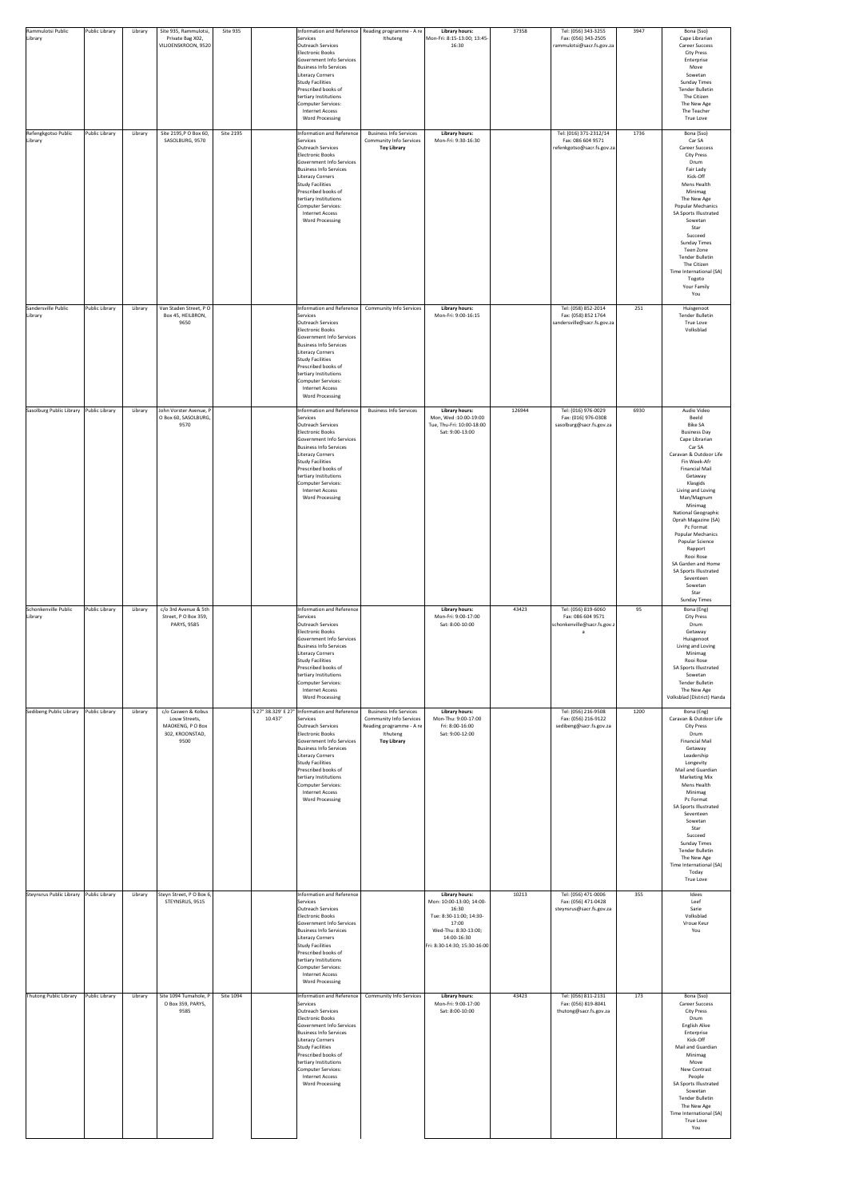| Rammulotsi Public<br>Library    | Public Library | Library | Site 935, Rammulotsi,<br>Private Bag X02,<br>VILJOENSKROON, 9520                   | Site 935  |         | Services<br>Outreach Services<br>Electronic Books<br>Government Info Services<br><b>Business Info Services</b><br>Literacy Corners<br><b>Study Facilities</b><br>Prescribed books of<br>tertiary Institutions<br>Computer Services:<br><b>Internet Access</b><br><b>Word Processing</b>                                                  | Information and Reference   Reading programme - A re  <br>Ithuteng                                                            | <b>Library hours:</b><br>Mon-Fri: 8:15-13:00; 13:45-<br>16:30                                                                                                         | 37358  | Tel: (056) 343-3255<br>Fax: (056) 343-2505<br>rammulotsi@sacr.fs.gov.za   | 3947 | Bona (Sso)<br>Cape Librarian<br><b>Career Success</b><br><b>City Press</b><br>Enterprise<br>Move<br>Sowetan<br><b>Sunday Times</b><br><b>Tender Bulletin</b><br>The Citizen<br>The New Age<br>The Teacher<br>True Love                                                                                                                                                                                                                                                    |
|---------------------------------|----------------|---------|------------------------------------------------------------------------------------|-----------|---------|------------------------------------------------------------------------------------------------------------------------------------------------------------------------------------------------------------------------------------------------------------------------------------------------------------------------------------------|-------------------------------------------------------------------------------------------------------------------------------|-----------------------------------------------------------------------------------------------------------------------------------------------------------------------|--------|---------------------------------------------------------------------------|------|---------------------------------------------------------------------------------------------------------------------------------------------------------------------------------------------------------------------------------------------------------------------------------------------------------------------------------------------------------------------------------------------------------------------------------------------------------------------------|
| Refengkgotso Public<br>Library  | Public Library | Library | Site 2195, P O Box 60,<br>SASOLBURG, 9570                                          | Site 2195 |         | Information and Reference<br>Services<br>Outreach Services<br>Electronic Books<br>Government Info Services<br><b>Business Info Services</b><br>Literacy Corners<br>Study Facilities<br>Prescribed books of<br>tertiary Institutions<br>Computer Services:<br><b>Internet Access</b><br><b>Word Processing</b>                            | <b>Business Info Services</b><br><b>Community Info Services</b><br><b>Toy Library</b>                                         | <b>Library hours:</b><br>Mon-Fri: 9:30-16:30                                                                                                                          |        | Tel: (016) 371-2312/14<br>Fax: 086 604 9571<br>refenkgotso@sacr.fs.gov.za | 1736 | Bona (Sso)<br>Car SA<br><b>Career Success</b><br><b>City Press</b><br>Drum<br>Fair Lady<br>Kick-Off<br>Mens Health<br>Minimag<br>The New Age<br><b>Popular Mechanics</b><br>SA Sports Illustrated<br>Sowetan<br>Star<br>Succeed<br><b>Sunday Times</b><br>Teen Zone<br><b>Tender Bulletin</b><br>The Citizen<br>Time International (SA)<br>Togoto<br>Your Family<br>You                                                                                                   |
| Sandersville Public<br>Library  | Public Library | Library | Van Staden Street, PO<br>Box 45, HEILBRON,<br>9650                                 |           |         | Information and Reference<br>Services<br>Outreach Services<br>Electronic Books<br>Government Info Services<br><b>Business Info Services</b><br>Literacy Corners<br>Study Facilities<br>Prescribed books of<br>tertiary Institutions<br>Computer Services:<br><b>Internet Access</b><br><b>Word Processing</b>                            | <b>Community Info Services</b>                                                                                                | <b>Library hours:</b><br>Mon-Fri: 9:00-16:15                                                                                                                          |        | Tel: (058) 852-2014<br>Fax: (058) 852 1764<br>sandersville@sacr.fs.gov.za | 251  | Huisgenoot<br><b>Tender Bulletin</b><br>True Love<br>Volksblad                                                                                                                                                                                                                                                                                                                                                                                                            |
| Sasolburg Public Library        | Public Library | Library | John Vorster Avenue, P<br>O Box 60, SASOLBURG,<br>9570                             |           |         | Information and Reference<br>Services<br>Outreach Services<br>Electronic Books<br>Government Info Services<br><b>Business Info Services</b><br>Literacy Corners<br>Study Facilities<br>Prescribed books of<br>tertiary Institutions<br>Computer Services:<br><b>Internet Access</b><br><b>Word Processing</b>                            | <b>Business Info Services</b>                                                                                                 | <b>Library hours:</b><br>Mon, Wed:10:00-19:00<br>Tue, Thu-Fri: 10:00-18:00<br>Sat: 9:00-13:00                                                                         | 126944 | Tel: (016) 976-0029<br>Fax: (016) 976-0308<br>sasolburg@sacr.fs.gov.za    | 6930 | Audio Video<br>Beeld<br><b>Bike SA</b><br><b>Business Day</b><br>Cape Librarian<br>Car SA<br>Caravan & Outdoor Life<br>Fin Week-Afr<br><b>Financial Mail</b><br>Getaway<br>Klasgids<br>Living and Loving<br>Man/Magnum<br>Minimag<br>National Geographic<br>Oprah Magazine (SA)<br>Pc Format<br><b>Popular Mechanics</b><br>Popular Science<br>Rapport<br>Rooi Rose<br>SA Garden and Home<br>SA Sports Illustrated<br>Seventeen<br>Sowetan<br>Star<br><b>Sunday Times</b> |
| Schonkenville Public<br>Library | Public Library | Library | c/o 3rd Avenue & 5th<br>Street, PO Box 359,<br>PARYS, 9585                         |           |         | Information and Reference<br>Services<br>Outreach Services<br>Electronic Books<br>Government Info Services<br><b>Business Info Services</b><br>Literacy Corners<br><b>Study Facilities</b><br>Prescribed books of<br>tertiary Institutions<br>Computer Services:<br><b>Internet Access</b><br><b>Word Processing</b>                     |                                                                                                                               | <b>Library hours:</b><br>Mon-Fri: 9:00-17:00<br>Sat: 8:00-10:00                                                                                                       | 43423  | Tel: (056) 819-6060<br>Fax: 086 604 9571<br>schonkenville@sacr.fs.gov.z   | 95   | Bona (Eng)<br><b>City Press</b><br>Drum<br>Getaway<br>Huisgenoot<br>Living and Loving<br>Minimag<br>Rooi Rose<br>SA Sports Illustrated<br>Sowetan<br>Tender Bulletin<br>The New Age<br>Volksblad (District) Handa                                                                                                                                                                                                                                                         |
| Sedibeng Public Library         | Public Library | Library | c/o Caswen & Kobus<br>Louw Streets,<br>MAOKENG, P O Box<br>302, KROONSTAD,<br>9500 |           | 10.437' | S 27° 38.329' E 27° Information and Reference<br>Services<br>Outreach Services<br>Electronic Books<br>Government Info Services<br><b>Business Info Services</b><br>Literacy Corners<br><b>Study Facilities</b><br>Prescribed books of<br>tertiary Institutions<br>Computer Services:<br><b>Internet Access</b><br><b>Word Processing</b> | <b>Business Info Services</b><br><b>Community Info Services</b><br>Reading programme - A re<br>Ithuteng<br><b>Toy Library</b> | <b>Library hours:</b><br>Mon-Thu: 9:00-17:00<br>Fri: 8:00-16:00<br>Sat: 9:00-12:00                                                                                    |        | Tel: (056) 216-9508<br>Fax: (056) 216-9122<br>sedibeng@sacr.fs.gov.za     | 1200 | Bona (Eng)<br>Caravan & Outdoor Life<br><b>City Press</b><br>Drum<br><b>Financial Mail</b><br>Getaway<br>Leadership<br>Longevity<br>Mail and Guardian<br><b>Marketing Mix</b><br>Mens Health<br>Minimag<br>Pc Format<br>SA Sports Illustrated<br>Seventeen<br>Sowetan<br>Star<br>Succeed<br><b>Sunday Times</b><br>Tender Bulletin<br>The New Age<br>Time International (SA)<br>Today<br><b>True Love</b>                                                                 |
| Steynsrus Public Library        | Public Library | Library | Steyn Street, P O Box 6,<br>STEYNSRUS, 9515                                        |           |         | Information and Reference<br>Services<br>Outreach Services<br>Electronic Books<br>Government Info Services<br>Business Info Services<br>Literacy Corners<br><b>Study Facilities</b><br>Prescribed books of<br>tertiary Institutions<br>Computer Services:<br><b>Internet Access</b><br><b>Word Processing</b>                            |                                                                                                                               | <b>Library hours:</b><br>Mon: 10:00-13:00; 14:00-<br>16:30<br>Tue: 8:30-11:00; 14:30-<br>17:00<br>Wed-Thu: 8:30-13:00;<br>14:00-16:30<br>Fri: 8:30-14:30; 15:30-16:00 | 10213  | Tel: (056) 471-0006<br>Fax: (056) 471-0428<br>steynsrus@sacr.fs.gov.za    | 355  | Idees<br>Leef<br>Sarie<br>Volksblad<br>Vroue Keur<br>You                                                                                                                                                                                                                                                                                                                                                                                                                  |
| Thutong Public Library          | Public Library | Library | Site 1094 Tumahole, P<br>O Box 359, PARYS,<br>9585                                 | Site 1094 |         | Information and Reference<br>Services<br>Outreach Services<br>Electronic Books<br>Government Info Services<br><b>Business Info Services</b><br>Literacy Corners<br><b>Study Facilities</b><br>Prescribed books of<br>tertiary Institutions<br>Computer Services:<br><b>Internet Access</b><br><b>Word Processing</b>                     | <b>Community Info Services</b>                                                                                                | <b>Library hours:</b><br>Mon-Fri: 9:00-17:00<br>Sat: 8:00-10:00                                                                                                       | 43423  | Tel: (056) 811-2131<br>Fax: (056) 819-8041<br>thutong@sacr.fs.gov.za      | 173  | Bona (Sso)<br><b>Career Success</b><br><b>City Press</b><br>Drum<br><b>English Alive</b><br>Enterprise<br>Kick-Off<br>Mail and Guardian<br>Minimag<br>Move<br>New Contrast<br>People<br>SA Sports Illustrated<br>Sowetan<br><b>Tender Bulletin</b><br>The New Age<br>Time International (SA)<br>True Love<br>You                                                                                                                                                          |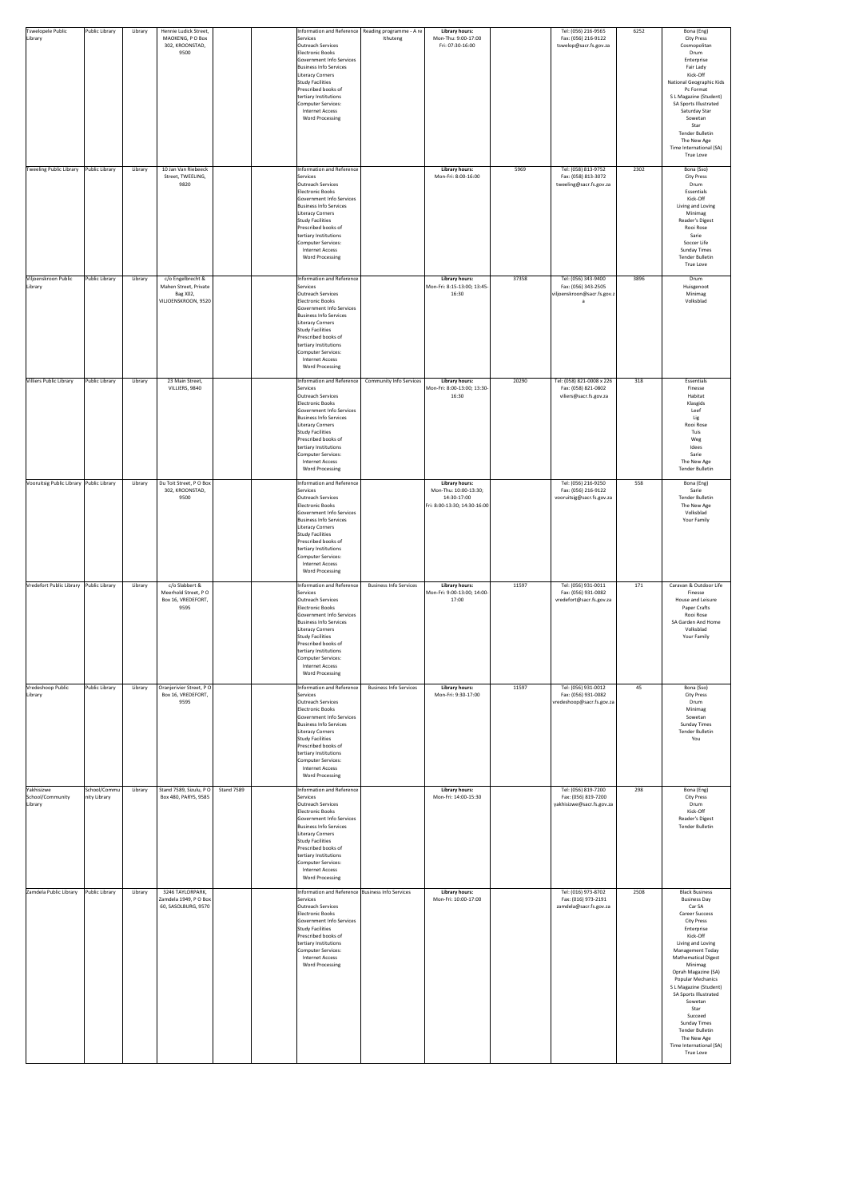| Tswelopele Public<br>Public Library<br>Library                            | Library | Hennie Ludick Street,<br>MAOKENG, PO Box<br>302, KROONSTAD,<br>9500           | Information and Reference   Reading programme - A re  <br>Services<br>Outreach Services<br>Electronic Books<br>Government Info Services<br><b>Business Info Services</b><br>Literacy Corners<br>Study Facilities<br>Prescribed books of<br>tertiary Institutions<br>Computer Services:<br><b>Internet Access</b><br><b>Word Processing</b> | Ithuteng                       | <b>Library hours:</b><br>Mon-Thu: 9:00-17:00<br>Fri: 07:30-16:00                              |       | Tel: (056) 216-9565<br>Fax: (056) 216-9122<br>tswelop@sacr.fs.gov.za        | 6252 | Bona (Eng)<br><b>City Press</b><br>Cosmopolitan<br>Drum<br>Enterprise<br>Fair Lady<br>Kick-Off<br><b>National Geographic Kids</b><br>Pc Format<br>S L Magazine (Student)<br>SA Sports Illustrated<br>Saturday Star<br>Sowetan<br>Star<br><b>Tender Bulletin</b><br>The New Age<br>Time International (SA)<br>True Love                                                                                                                                              |
|---------------------------------------------------------------------------|---------|-------------------------------------------------------------------------------|--------------------------------------------------------------------------------------------------------------------------------------------------------------------------------------------------------------------------------------------------------------------------------------------------------------------------------------------|--------------------------------|-----------------------------------------------------------------------------------------------|-------|-----------------------------------------------------------------------------|------|---------------------------------------------------------------------------------------------------------------------------------------------------------------------------------------------------------------------------------------------------------------------------------------------------------------------------------------------------------------------------------------------------------------------------------------------------------------------|
| Public Library<br>Tweeling Public Library                                 | Library | 10 Jan Van Riebeeck<br>Street, TWEELING,<br>9820                              | Information and Reference<br>Services<br>Outreach Services<br>Electronic Books<br>Government Info Services<br><b>Business Info Services</b><br>Literacy Corners<br>Study Facilities<br>Prescribed books of<br>tertiary Institutions<br>Computer Services:<br><b>Internet Access</b><br><b>Word Processing</b>                              |                                | <b>Library hours:</b><br>Mon-Fri: 8:00-16:00                                                  | 5969  | Tel: (058) 813-9752<br>Fax: (058) 813-3072<br>tweeling@sacr.fs.gov.za       | 2302 | Bona (Sso)<br><b>City Press</b><br>Drum<br>Essentials<br>Kick-Off<br>Living and Loving<br>Minimag<br>Reader's Digest<br>Rooi Rose<br>Sarie<br>Soccer Life<br><b>Sunday Times</b><br><b>Tender Bulletin</b><br><b>True Love</b>                                                                                                                                                                                                                                      |
| Viljoenskroon Public<br>Public Library<br>Library                         | Library | c/o Engelbrecht &<br>Mahen Street, Private<br>Bag XO2,<br>VILJOENSKROON, 9520 | Information and Reference<br>Services<br>Outreach Services<br>Electronic Books<br>Government Info Services<br>Business Info Services<br>Literacy Corners<br>Study Facilities<br>Prescribed books of<br>tertiary Institutions<br>Computer Services:<br><b>Internet Access</b><br><b>Word Processing</b>                                     |                                | <b>Library hours:</b><br>Mon-Fri: 8:15-13:00; 13:45-<br>16:30                                 | 37358 | Tel: $(056)$ 343-9400<br>Fax: (056) 343-2505<br>viljoenskroon@sacr.fs.gov.z | 3896 | Drum<br>Huisgenoot<br>Minimag<br>Volksblad                                                                                                                                                                                                                                                                                                                                                                                                                          |
| Public Library<br><b>Villiers Public Library</b>                          | Library | 23 Main Street,<br>VILLIERS, 9840                                             | Information and Reference<br>Services<br>Outreach Services<br>Electronic Books<br>Government Info Services<br><b>Business Info Services</b><br>Literacy Corners<br>Study Facilities<br>Prescribed books of<br>tertiary Institutions<br>Computer Services:<br><b>Internet Access</b><br><b>Word Processing</b>                              | <b>Community Info Services</b> | <b>Library hours:</b><br>Mon-Fri: 8:00-13:00; 13:30-<br>16:30                                 | 20290 | Tel: (058) 821-0008 x 226<br>Fax: (058) 821-0802<br>viliers@sacr.fs.gov.za  | 318  | Essentials<br>Finesse<br>Habitat<br>Klasgids<br>Leef<br>Lig<br>Rooi Rose<br>Tuis<br>Weg<br>Idees<br>Sarie<br>The New Age<br>Tender Bulletin                                                                                                                                                                                                                                                                                                                         |
| Vooruitsig Public Library Public Library                                  | Library | Du Toit Street, PO Box<br>302, KROONSTAD,<br>9500                             | Information and Reference<br>Services<br>Outreach Services<br>Electronic Books<br>Government Info Services<br><b>Business Info Services</b><br>Literacy Corners<br>Study Facilities<br>Prescribed books of<br>tertiary Institutions<br>Computer Services:<br><b>Internet Access</b><br><b>Word Processing</b>                              |                                | <b>Library hours:</b><br>Mon-Thu: 10:00-13:30;<br>14:30-17:00<br>Fri: 8:00-13:30; 14:30-16:00 |       | Tel: (056) 216-9250<br>Fax: (056) 216-9122<br>vooruitsig@sacr.fs.gov.za     | 558  | Bona (Eng)<br>Sarie<br><b>Tender Bulletin</b><br>The New Age<br>Volksblad<br>Your Family                                                                                                                                                                                                                                                                                                                                                                            |
| Vredefort Public Library Public Library                                   | Library | c/o Slabbert &<br>Meerhold Street, PO<br>Box 16, VREDEFORT,<br>9595           | Information and Reference<br>Services<br>Outreach Services<br>Electronic Books<br>Government Info Services<br><b>Business Info Services</b><br>Literacy Corners<br>Study Facilities<br>Prescribed books of<br>tertiary Institutions<br>Computer Services:<br><b>Internet Access</b><br><b>Word Processing</b>                              | <b>Business Info Services</b>  | <b>Library hours:</b><br>Mon-Fri: 9:00-13:00; 14:00-<br>17:00                                 | 11597 | Tel: (056) 931-0011<br>Fax: (056) 931-0082<br>vredefort@sacr.fs.gov.za      | 171  | Caravan & Outdoor Life<br>Finesse<br>House and Leisure<br>Paper Crafts<br>Rooi Rose<br>SA Garden And Home<br>Volksblad<br>Your Family                                                                                                                                                                                                                                                                                                                               |
| Vredeshoop Public<br>Public Library<br>Library                            | Library | Oranjerivier Street, PO<br>Box 16, VREDEFORT,<br>9595                         | Information and Reference<br>Services<br>Outreach Services<br>Electronic Books<br>Government Info Services<br><b>Business Info Services</b><br>Literacy Corners<br>Study Facilities<br>Prescribed books of<br>tertiary Institutions<br>Computer Services:<br><b>Internet Access</b><br><b>Word Processing</b>                              | <b>Business Info Services</b>  | <b>Library hours:</b><br>Mon-Fri: 9:30-17:00                                                  | 11597 | Tel: (056) 931-0012<br>Fax: (056) 931-0082<br>vredeshoop@sacr.fs.gov.za     | 45   | Bona (Sso)<br><b>City Press</b><br>Drum<br>Minimag<br>Sowetan<br><b>Sunday Times</b><br><b>Tender Bulletin</b><br>You                                                                                                                                                                                                                                                                                                                                               |
| School/Commu<br>Yakhisizwe<br>School/Community<br>nity Library<br>Library | Library | Stand 7589, Sizulu, PO<br>Stand 7589<br>Box 480, PARYS, 9585                  | Information and Reference<br>Services<br>Outreach Services<br>Electronic Books<br>Government Info Services<br><b>Business Info Services</b><br>Literacy Corners<br>Study Facilities<br>Prescribed books of<br>tertiary Institutions<br>Computer Services:<br><b>Internet Access</b><br><b>Word Processing</b>                              |                                | <b>Library hours:</b><br>Mon-Fri: 14:00-15:30                                                 |       | Tel: (056) 819-7200<br>Fax: (056) 819-7200<br>yakhisizwe@sacr.fs.gov.za     | 298  | Bona (Eng)<br><b>City Press</b><br>Drum<br>Kick-Off<br>Reader's Digest<br>Tender Bulletin                                                                                                                                                                                                                                                                                                                                                                           |
| Zamdela Public Library<br>Public Library                                  | Library | 3246 TAYLORPARK,<br>Zamdela 1949, PO Box<br>60, SASOLBURG, 9570               | Information and Reference Business Info Services<br>Services<br>Outreach Services<br>Electronic Books<br>Government Info Services<br><b>Study Facilities</b><br>Prescribed books of<br>tertiary Institutions<br>Computer Services:<br><b>Internet Access</b><br><b>Word Processing</b>                                                     |                                | <b>Library hours:</b><br>Mon-Fri: 10:00-17:00                                                 |       | Tel: (016) 973-8702<br>Fax: (016) 973-2191<br>zamdela@sacr.fs.gov.za        | 2508 | <b>Black Business</b><br><b>Business Day</b><br>Car SA<br><b>Career Success</b><br><b>City Press</b><br>Enterprise<br>Kick-Off<br>Living and Loving<br><b>Management Today</b><br><b>Mathematical Digest</b><br>Minimag<br>Oprah Magazine (SA)<br><b>Popular Mechanics</b><br>S L Magazine (Student)<br>SA Sports Illustrated<br>Sowetan<br>Star<br>Succeed<br><b>Sunday Times</b><br>Tender Bulletin<br>The New Age<br>Time International (SA)<br><b>True Love</b> |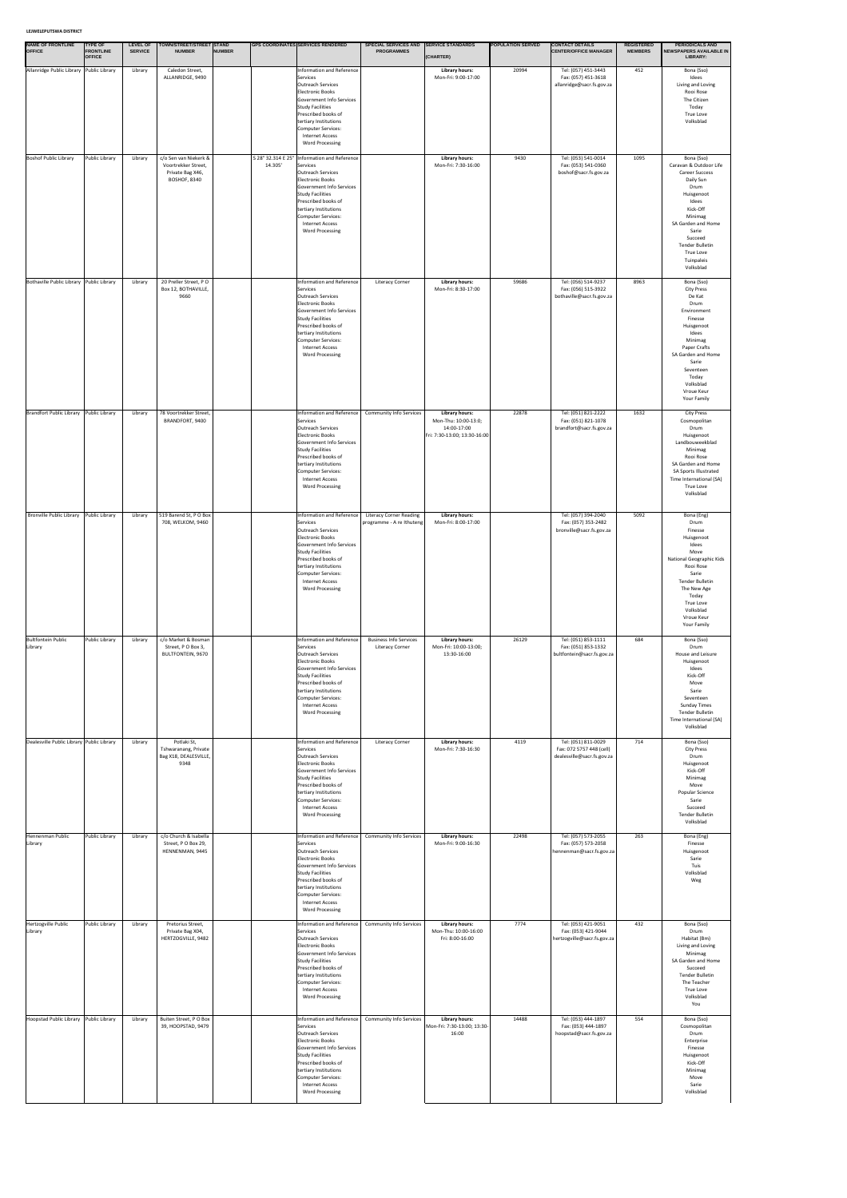### **LEJWELEPUTSWA DISTRICT**

| <b>NAME OF FRONTLINE</b><br><b>OFFICE</b> | <b>TYPE OF</b><br><b>FRONTLINE</b><br><b>OFFICE</b> | <b>LEVEL OF</b><br><b>SERVICE</b> | TOWN/STREET/STREET STAND<br><b>NUMBER</b>                                               | <b>NUMBER</b> |         | <b>GPS COORDINATES SERVICES RENDERED</b>                                                                                                                                                                                                                                             | <b>SPECIAL SERVICES AND</b><br><b>PROGRAMMES</b>            | <b>SERVICE STANDARDS</b><br>(CHARTER)                                                 | <b>POPULATION SERVED</b> | <b>CONTACT DETAILS</b><br><b>CENTER/OFFICE MANAGER</b>                        | <b>REGISTERED</b><br><b>MEMBERS</b> | <b>PERIODICALS AND</b><br>NEWSPAPERS AVAILABLE IN<br>LIBRARY:                                                                                                                                                                                       |
|-------------------------------------------|-----------------------------------------------------|-----------------------------------|-----------------------------------------------------------------------------------------|---------------|---------|--------------------------------------------------------------------------------------------------------------------------------------------------------------------------------------------------------------------------------------------------------------------------------------|-------------------------------------------------------------|---------------------------------------------------------------------------------------|--------------------------|-------------------------------------------------------------------------------|-------------------------------------|-----------------------------------------------------------------------------------------------------------------------------------------------------------------------------------------------------------------------------------------------------|
| Allanridge Public Library Public Library  |                                                     | Library                           | Caledon Street,<br>ALLANRIDGE, 9490                                                     |               |         | Information and Reference<br>Services<br>Outreach Services<br>Electronic Books<br>Government Info Services<br><b>Study Facilities</b><br>Prescribed books of<br>tertiary Institutions<br>Computer Services:<br>Internet Access<br><b>Word Processing</b>                             |                                                             | <b>Library hours:</b><br>Mon-Fri: 9:00-17:00                                          | 20994                    | Tel: (057) 451-3443<br>Fax: (057) 451-3618<br>allanridge@sacr.fs.gov.za       | 452                                 | Bona (Sso)<br>Idees<br>Living and Loving<br>Rooi Rose<br>The Citizen<br>Today<br>True Love<br>Volksblad                                                                                                                                             |
| <b>Boshof Public Library</b>              | Public Library                                      | Library                           | c/o Sen van Niekerk &<br>Voortrekker Street,<br>Private Bag X46,<br><b>BOSHOF, 8340</b> |               | 14.305' | S 28° 32.314 E 25°   Information and Reference<br>Services<br>Outreach Services<br>Electronic Books<br>Government Info Services<br><b>Study Facilities</b><br>Prescribed books of<br>tertiary Institutions<br>Computer Services:<br><b>Internet Access</b><br><b>Word Processing</b> |                                                             | <b>Library hours:</b><br>Mon-Fri: 7:30-16:00                                          | 9430                     | Tel: (053) 541-0014<br>Fax: (053) 541-0360<br>boshof@sacr.fs.gov.za           | 1095                                | Bona (Sso)<br>Caravan & Outdoor Life<br><b>Career Success</b><br>Daily Sun<br>Drum<br>Huisgenoot<br>Idees<br>Kick-Off<br>Minimag<br>SA Garden and Home<br>Sarie<br>Succeed<br><b>Tender Bulletin</b><br><b>True Love</b><br>Tuinpaleis<br>Volksblad |
| Bothaville Public Library Public Library  |                                                     | Library                           | 20 Preller Street, PO<br>Box 12, BOTHAVILLE,<br>9660                                    |               |         | Information and Reference<br>Services<br>Outreach Services<br>Electronic Books<br>Government Info Services<br><b>Study Facilities</b><br>Prescribed books of<br>tertiary Institutions<br>Computer Services:<br><b>Internet Access</b><br><b>Word Processing</b>                      | <b>Literacy Corner</b>                                      | <b>Library hours:</b><br>Mon-Fri: 8:30-17:00                                          | 59686                    | Tel: (056) 514-9237<br>Fax: (056) 515-3922<br>bothaville@sacr.fs.gov.za       | 8963                                | Bona (Sso)<br><b>City Press</b><br>De Kat<br>Drum<br>Environment<br>Finesse<br>Huisgenoot<br>Idees<br>Minimag<br>Paper Crafts<br>SA Garden and Home<br>Sarie<br>Seventeen<br>Today<br>Volksblad<br>Vroue Keur<br><b>Your Family</b>                 |
| <b>Brandfort Public Library</b>           | Public Library                                      | Library                           | 78 Voortrekker Street,<br>BRANDFORT, 9400                                               |               |         | Information and Reference<br>Services<br>Outreach Services<br>Electronic Books<br>Government Info Services<br><b>Study Facilities</b><br>Prescribed books of<br>tertiary Institutions<br>Computer Services:<br><b>Internet Access</b><br><b>Word Processing</b>                      | <b>Community Info Services</b>                              | Library hours:<br>Mon-Thu: 10:00-13:0;<br>14:00-17:00<br>Fri: 7:30-13:00; 13:30-16:00 | 22878                    | Tel: (051) 821-2222<br>Fax: (051) 821-1078<br>brandfort@sacr.fs.gov.za        | 1632                                | <b>City Press</b><br>Cosmopolitan<br>Drum<br>Huisgenoot<br>Landbouweekblad<br>Minimag<br>Rooi Rose<br>SA Garden and Home<br>SA Sports Illustrated<br>Time International (SA)<br>True Love<br>Volksblad                                              |
| Bronville Public Library                  | Public Library                                      | Library                           | 519 Barend St, PO Box<br>708, WELKOM, 9460                                              |               |         | Information and Reference<br>Services<br><b>Outreach Services</b><br>Electronic Books<br>Government Info Services<br><b>Study Facilities</b><br>Prescribed books of<br>tertiary Institutions<br>Computer Services:<br>Internet Access<br><b>Word Processing</b>                      | <b>Literacy Corner Reading</b><br>programme - A re Ithuteng | <b>Library hours:</b><br>Mon-Fri: 8:00-17:00                                          |                          | Tel: (057) 394-2040<br>Fax: (057) 353-2482<br>bronville@sacr.fs.gov.za        | 5092                                | Bona (Eng)<br>Drum<br>Finesse<br>Huisgenoot<br>Idees<br>Move<br>National Geographic Kids<br>Rooi Rose<br>Sarie<br><b>Tender Bulletin</b><br>The New Age<br>Today<br>True Love<br>Volksblad<br>Vroue Keur<br><b>Your Family</b>                      |
| <b>Bultfontein Public</b><br>Library      | Public Library                                      | Library                           | c/o Market & Bosman<br>Street, PO Box 3,<br><b>BULTFONTEIN, 9670</b>                    |               |         | Information and Reference<br>Services<br>Outreach Services<br>Electronic Books<br>Government Info Services<br><b>Study Facilities</b><br>Prescribed books of<br>tertiary Institutions<br>Computer Services:<br><b>Internet Access</b><br><b>Word Processing</b>                      | <b>Business Info Services</b><br><b>Literacy Corner</b>     | <b>Library hours:</b><br>Mon-Fri: 10:00-13:00;<br>13:30-16:00                         | 26129                    | Tel: (051) 853-1111<br>Fax: (051) 853-1332<br>bultfontein@sacr.fs.gov.za      | 684                                 | Bona (Sso)<br>Drum<br>House and Leisure<br>Huisgenoot<br>Idees<br>Kick-Off<br>Move<br>Sarie<br>Seventeen<br><b>Sunday Times</b><br>Tender Bulletin<br>Time International (SA)<br>Volksblad                                                          |
| Dealesville Public Library Public Library |                                                     | Library                           | Potlaki St,<br>Tshwaranang, Private<br>Bag X18, DEALESVILLE,<br>9348                    |               |         | Information and Reference<br>Services<br>Outreach Services<br>Electronic Books<br>Government Info Services<br>Study Facilities<br>Prescribed books of<br>tertiary Institutions<br>Computer Services:<br><b>Internet Access</b><br><b>Word Processing</b>                             | <b>Literacy Corner</b>                                      | Library hours:<br>Mon-Fri: 7:30-16:30                                                 | 4119                     | Tel: (051) 811-0029<br>Fax: 072 5757 448 (cell)<br>dealesville@sacr.fs.gov.za | 714                                 | Bona (Sso)<br><b>City Press</b><br>Drum<br>Huisgenoot<br>Kick-Off<br>Minimag<br>Move<br>Popular Science<br>Sarie<br>Succeed<br><b>Tender Bulletin</b><br>Volksblad                                                                                  |
| Hennenman Public<br>Library               | Public Library                                      | Library                           | c/o Church & Isabella<br>Street, PO Box 29,<br>HENNENMAN, 9445                          |               |         | Information and Reference<br>Services<br>Outreach Services<br>Electronic Books<br>Government Info Services<br>Study Facilities<br>Prescribed books of<br>tertiary Institutions<br>Computer Services:<br><b>Internet Access</b><br><b>Word Processing</b>                             | <b>Community Info Services</b>                              | Library hours:<br>Mon-Fri: 9:00-16:30                                                 | 22498                    | Tel: (057) 573-2055<br>Fax: (057) 573-2058<br>hennenman@sacr.fs.gov.za        | 263                                 | Bona (Eng)<br>Finesse<br>Huisgenoot<br>Sarie<br>Tuis<br>Volksblad<br>Weg                                                                                                                                                                            |
| Hertzogville Public<br>Library            | Public Library                                      | Library                           | Pretorius Street,<br>Private Bag X04,<br>HERTZOGVILLE, 9482                             |               |         | <b>Information and Reference</b><br>Services<br>Outreach Services<br>Electronic Books<br>Government Info Services<br><b>Study Facilities</b><br>Prescribed books of<br>tertiary Institutions<br>Computer Services:<br>Internet Access<br><b>Word Processing</b>                      | <b>Community Info Services</b>                              | Library hours:<br>Mon-Thu: 10:00-16:00<br>Fri: 8:00-16:00                             | 7774                     | Tel: (053) 421-9051<br>Fax: (053) 421-9044<br>hertzogville@sacr.fs.gov.za     | 432                                 | Bona (Sso)<br>Drum<br>Habitat (Bm)<br>Living and Loving<br>Minimag<br>SA Garden and Home<br>Succeed<br><b>Tender Bulletin</b><br>The Teacher<br>True Love<br>Volksblad<br>You                                                                       |
| Hoopstad Public Library                   | Public Library                                      | Library                           | Buiten Street, PO Box<br>39, HOOPSTAD, 9479                                             |               |         | Information and Reference<br>Services<br>Outreach Services<br>Electronic Books<br>Government Info Services<br><b>Study Facilities</b><br>Prescribed books of<br>tertiary Institutions<br>Computer Services:<br><b>Internet Access</b><br><b>Word Processing</b>                      | <b>Community Info Services</b>                              | Library hours:<br>Mon-Fri: 7:30-13:00; 13:30-<br>16:00                                | 14488                    | Tel: (053) 444-1897<br>Fax: (053) 444-1897<br>hoopstad@sacr.fs.gov.za         | 554                                 | Bona (Sso)<br>Cosmopolitan<br>Drum<br>Enterprise<br>Finesse<br>Huisgenoot<br>Kick-Off<br>Minimag<br>Move<br>Sarie<br>Volksblad                                                                                                                      |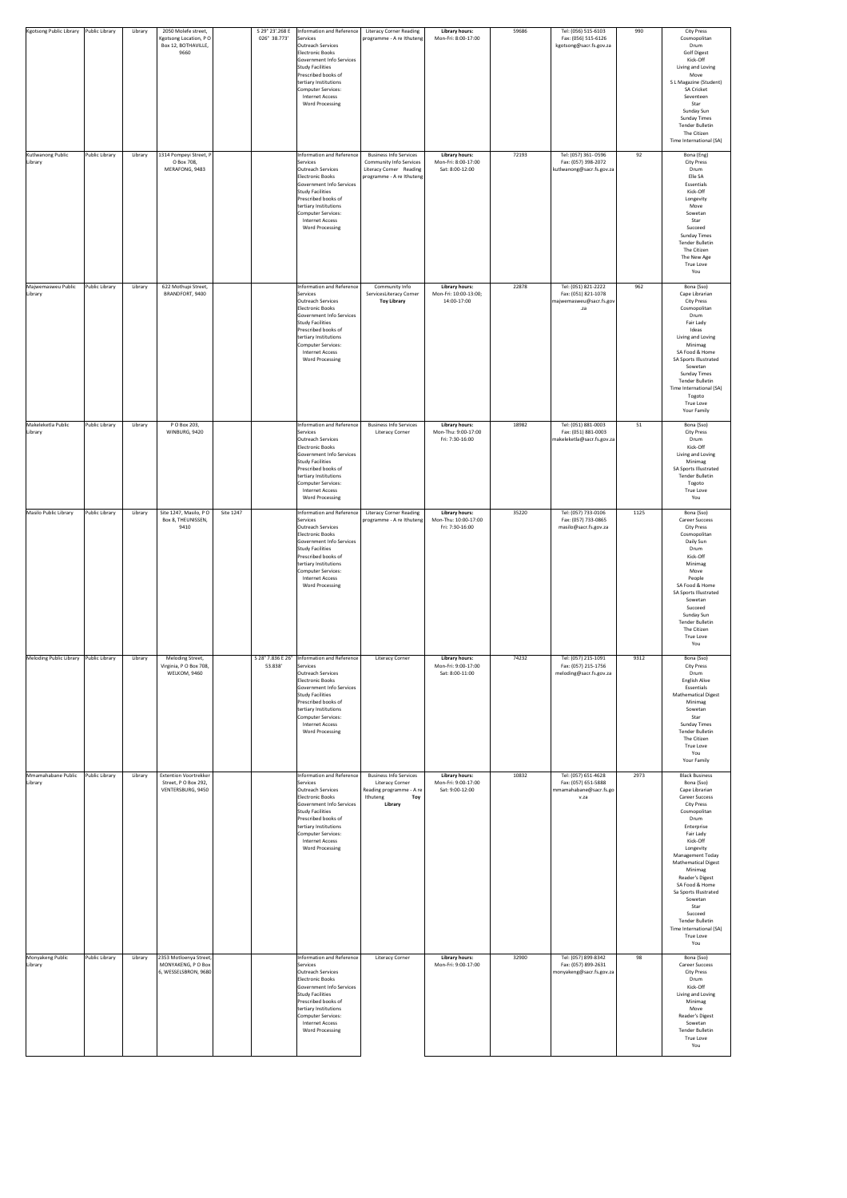| <b>Kgotsong Public Library</b> | Public Library | Library | 2050 Molefe street,<br>Kgotsong Location, PO                             |           | S 29° 23'.268 E<br>026° 38.773'<br>Services                                                                                                                                                                                                                 | Information and Reference                             | <b>Literacy Corner Reading</b><br>programme - A re Ithuteng                                                       | <b>Library hours:</b><br>Mon-Fri: 8:00-17:00                     | 59686 | Tel: (056) 515-6103<br>Fax: (056) 515-6126                                   | 990  | <b>City Press</b><br>Cosmopolitan                                                                                                                                                                                                                                                                                                                                                                                        |
|--------------------------------|----------------|---------|--------------------------------------------------------------------------|-----------|-------------------------------------------------------------------------------------------------------------------------------------------------------------------------------------------------------------------------------------------------------------|-------------------------------------------------------|-------------------------------------------------------------------------------------------------------------------|------------------------------------------------------------------|-------|------------------------------------------------------------------------------|------|--------------------------------------------------------------------------------------------------------------------------------------------------------------------------------------------------------------------------------------------------------------------------------------------------------------------------------------------------------------------------------------------------------------------------|
| Kutlwanong Public              | Public Library | Library | Box 12, BOTHAVILLE,<br>9660<br>1314 Pompeyi Street, P                    |           | Outreach Services<br>Electronic Books<br>Study Facilities<br>Prescribed books of<br>tertiary Institutions<br>Computer Services:<br><b>Internet Access</b><br><b>Word Processing</b>                                                                         | Government Info Services<br>Information and Reference | <b>Business Info Services</b>                                                                                     | <b>Library hours:</b>                                            | 72193 | kgotsong@sacr.fs.gov.za<br>Tel: (057) 361-0596                               | 92   | Drum<br><b>Golf Digest</b><br>Kick-Off<br>Living and Loving<br>Move<br>S L Magazine (Student)<br><b>SA Cricket</b><br>Seventeen<br>Star<br>Sunday Sun<br><b>Sunday Times</b><br><b>Tender Bulletin</b><br>The Citizen<br>Time International (SA)<br>Bona (Eng)                                                                                                                                                           |
| Library                        |                |         | O Box 708,<br>MERAFONG, 9483                                             |           | Services<br>Outreach Services<br>Electronic Books<br>Study Facilities<br>Prescribed books of<br>tertiary Institutions<br>Computer Services:<br><b>Internet Access</b><br><b>Word Processing</b>                                                             | Government Info Services                              | <b>Community Info Services</b><br>Literacy Corner Reading<br>programme - A re Ithuteng                            | Mon-Fri: 8:00-17:00<br>Sat: 8:00-12:00                           |       | Fax: (057) 398-2072<br>kutlwanong@sacr.fs.gov.za                             |      | <b>City Press</b><br>Drum<br>Elle SA<br>Essentials<br>Kick-Off<br>Longevity<br>Move<br>Sowetan<br>Star<br>Succeed<br><b>Sunday Times</b><br><b>Tender Bulletin</b><br>The Citizen<br>The New Age<br>True Love<br>You                                                                                                                                                                                                     |
| Majwemasweu Public<br>Library  | Public Library | Library | 622 Mothupi Street,<br>BRANDFORT, 9400                                   |           | Services<br>Outreach Services<br>Electronic Books<br>Study Facilities<br>Prescribed books of<br>tertiary Institutions<br>Computer Services:<br><b>Internet Access</b><br><b>Word Processing</b>                                                             | Information and Reference<br>Government Info Services | Community Info<br>ServicesLiteracy Corner<br><b>Toy Library</b>                                                   | <b>Library hours:</b><br>Mon-Fri: 10:00-13:00;<br>14:00-17:00    | 22878 | Tel: (051) 821-2222<br>Fax: (051) 821-1078<br>majwemasweu@sacr.fs.gov<br>.za | 962  | Bona (Sso)<br>Cape Librarian<br><b>City Press</b><br>Cosmopolitan<br>Drum<br>Fair Lady<br>Ideas<br>Living and Loving<br>Minimag<br>SA Food & Home<br><b>SA Sports Illustrated</b><br>Sowetan<br><b>Sunday Times</b><br><b>Tender Bulletin</b><br>Time International (SA)<br>Togoto<br><b>True Love</b><br>Your Family                                                                                                    |
| Makeleketla Public<br>Library  | Public Library | Library | P O Box 203,<br>WINBURG, 9420                                            |           | Services<br>Outreach Services<br>Electronic Books<br>Study Facilities<br>Prescribed books of<br>tertiary Institutions<br>Computer Services:<br><b>Internet Access</b><br><b>Word Processing</b>                                                             | Information and Reference<br>Government Info Services | <b>Business Info Services</b><br><b>Literacy Corner</b>                                                           | <b>Library hours:</b><br>Mon-Thu: 9:00-17:00<br>Fri: 7:30-16:00  | 18982 | Tel: (051) 881-0003<br>Fax: (051) 881-0003<br>makeleketla@sacr.fs.gov.za     | 51   | Bona (Sso)<br><b>City Press</b><br>Drum<br>Kick-Off<br>Living and Loving<br>Minimag<br>SA Sports Illustrated<br>Tender Bulletin<br>Togoto<br>True Love<br>You                                                                                                                                                                                                                                                            |
| Masilo Public Library          | Public Library | Library | Site 1247, Masilo, PO<br>Box 8, THEUNISSEN,<br>9410                      | Site 1247 | Services<br>Outreach Services<br><b>Electronic Books</b><br>Study Facilities<br>Prescribed books of<br>tertiary Institutions<br>Computer Services:<br><b>Internet Access</b><br><b>Word Processing</b>                                                      | Information and Reference<br>Government Info Services | <b>Literacy Corner Reading</b><br>programme - A re Ithuteng                                                       | <b>Library hours:</b><br>Mon-Thu: 10:00-17:00<br>Fri: 7:30-16:00 | 35220 | Tel: (057) 733-0106<br>Fax: (057) 733-0865<br>masilo@sacr.fs.gov.za          | 1125 | Bona (Sso)<br><b>Career Success</b><br><b>City Press</b><br>Cosmopolitan<br>Daily Sun<br>Drum<br>Kick-Off<br>Minimag<br>Move<br>People<br>SA Food & Home<br>SA Sports Illustrated<br>Sowetan<br>Succeed<br>Sunday Sun<br><b>Tender Bulletin</b><br>The Citizen<br>True Love<br>You                                                                                                                                       |
| <b>Meloding Public Library</b> | Public Library | Library | Meloding Street,<br>Virginia, P O Box 708,<br><b>WELKOM, 9460</b>        |           | S 28° 7.836 E 26°   Information and Reference<br>53.838'<br>Services<br>Outreach Services<br>Electronic Books<br>Study Facilities<br>Prescribed books of<br>tertiary Institutions<br>Computer Services:<br><b>Internet Access</b><br><b>Word Processing</b> | Government Info Services                              | <b>Literacy Corner</b>                                                                                            | <b>Library hours:</b><br>Mon-Fri: 9:00-17:00<br>Sat: 8:00-11:00  | 74232 | Tel: (057) 215-1091<br>Fax: (057) 215-1756<br>meloding@sacr.fs.gov.za        | 9312 | Bona (Sso)<br><b>City Press</b><br>Drum<br><b>English Alive</b><br>Essentials<br><b>Mathematical Digest</b><br>Minimag<br>Sowetan<br>Star<br><b>Sunday Times</b><br><b>Tender Bulletin</b><br>The Citizen<br><b>True Love</b><br>You<br>Your Family                                                                                                                                                                      |
| Mmamahabane Public<br>Library  | Public Library | Library | <b>Extention Voortrekker</b><br>Street, PO Box 292,<br>VENTERSBURG, 9450 |           | Services<br>Outreach Services<br>Electronic Books<br>Study Facilities<br>Prescribed books of<br>tertiary Institutions<br>Computer Services:<br><b>Internet Access</b><br><b>Word Processing</b>                                                             | Information and Reference<br>Government Info Services | <b>Business Info Services</b><br><b>Literacy Corner</b><br>Reading programme - A re<br>Ithuteng<br>Toy<br>Library | <b>Library hours:</b><br>Mon-Fri: 9:00-17:00<br>Sat: 9:00-12:00  | 10832 | Tel: (057) 651-4628<br>Fax: (057) 651-5888<br>mmamahabane@sacr.fs.go<br>v.za | 2973 | <b>Black Business</b><br>Bona (Sso)<br>Cape Librarian<br><b>Career Success</b><br><b>City Press</b><br>Cosmopolitan<br>Drum<br>Enterprise<br>Fair Lady<br>Kick-Off<br>Longevity<br><b>Management Today</b><br><b>Mathematical Digest</b><br>Minimag<br>Reader's Digest<br>SA Food & Home<br>Sa Sports Illustrated<br>Sowetan<br>Star<br>Succeed<br><b>Tender Bulletin</b><br>Time International (SA)<br>True Love<br>You |
| Monyakeng Public<br>Library    | Public Library | Library | 2353 Motloenya Street,<br>MONYAKENG, P O Box<br>6, WESSELSBRON, 9680     |           | Services<br>Outreach Services<br>Electronic Books<br>Study Facilities<br>Prescribed books of<br>tertiary Institutions<br>Computer Services:<br><b>Internet Access</b><br><b>Word Processing</b>                                                             | Information and Reference<br>Government Info Services | <b>Literacy Corner</b>                                                                                            | <b>Library hours:</b><br>Mon-Fri: 9:00-17:00                     | 32900 | Tel: (057) 899-8342<br>Fax: (057) 899-2631<br>monyakeng@sacr.fs.gov.za       | 98   | Bona (Sso)<br><b>Career Success</b><br><b>City Press</b><br>Drum<br>Kick-Off<br>Living and Loving<br>Minimag<br>Move<br>Reader's Digest<br>Sowetan<br><b>Tender Bulletin</b><br>True Love<br>You                                                                                                                                                                                                                         |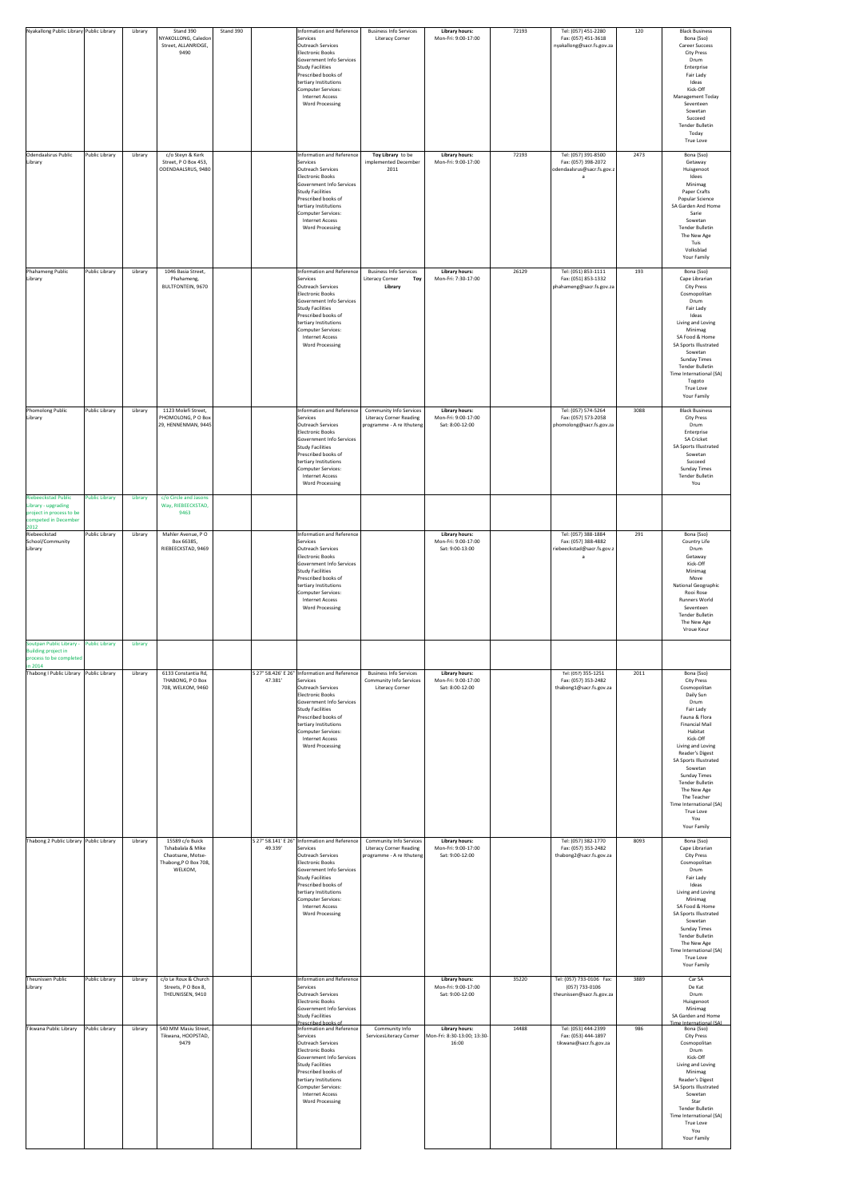| Nyakallong Public Library Public Library                                                                |                                         | Library            | Stand 390                                                                                                            | Stand 390 | <b>Information and Reference</b>                                                                                                                                                                                                                                                                                                                                                                           | <b>Business Info Services</b>                                                                 | <b>Library hours:</b><br>Mon-Fri: 9:00-17:00                                                                                     | 72193          | Tel: (057) 451-2280                                                                                                                             | 120         | <b>Black Business</b>                                                                                                                                                                                                                                                                                                                                                                  |
|---------------------------------------------------------------------------------------------------------|-----------------------------------------|--------------------|----------------------------------------------------------------------------------------------------------------------|-----------|------------------------------------------------------------------------------------------------------------------------------------------------------------------------------------------------------------------------------------------------------------------------------------------------------------------------------------------------------------------------------------------------------------|-----------------------------------------------------------------------------------------------|----------------------------------------------------------------------------------------------------------------------------------|----------------|-------------------------------------------------------------------------------------------------------------------------------------------------|-------------|----------------------------------------------------------------------------------------------------------------------------------------------------------------------------------------------------------------------------------------------------------------------------------------------------------------------------------------------------------------------------------------|
|                                                                                                         |                                         |                    | NYAKOLLONG, Caledon<br>Street, ALLANRIDGE,<br>9490                                                                   |           | Services<br>Outreach Services<br>Electronic Books<br>Government Info Services<br>Study Facilities<br>Prescribed books of<br>tertiary Institutions<br>Computer Services:<br>Internet Access<br><b>Word Processing</b>                                                                                                                                                                                       | <b>Literacy Corner</b>                                                                        |                                                                                                                                  |                | Fax: (057) 451-3618<br>nyakallong@sacr.fs.gov.za                                                                                                |             | Bona (Sso)<br><b>Career Success</b><br><b>City Press</b><br>Drum<br>Enterprise<br>Fair Lady<br>Ideas<br>Kick-Off<br><b>Management Today</b><br>Seventeen<br>Sowetan<br>Succeed<br><b>Tender Bulletin</b><br>Today<br><b>True Love</b>                                                                                                                                                  |
| Odendaalsrus Public<br>Library                                                                          | Public Library                          | Library            | c/o Steyn & Kerk<br>Street, P O Box 453,<br>ODENDAALSRUS, 9480                                                       |           | Information and Reference<br>Services<br>Outreach Services<br>Electronic Books<br>Government Info Services<br><b>Study Facilities</b><br>Prescribed books of<br>tertiary Institutions<br>Computer Services:<br>Internet Access<br><b>Word Processing</b>                                                                                                                                                   | Toy Library to be<br>implemented December<br>2011                                             | <b>Library hours:</b><br>Mon-Fri: 9:00-17:00                                                                                     | 72193          | Tel: (057) 391-8500<br>Fax: (057) 398-2072<br>odendaalsrus@sacr.fs.gov.z                                                                        | 2473        | Bona (Sso)<br>Getaway<br>Huisgenoot<br>Idees<br>Minimag<br>Paper Crafts<br>Popular Science<br>SA Garden And Home<br>Sarie<br>Sowetan<br><b>Tender Bulletin</b><br>The New Age<br>Tuis<br>Volksblad<br>Your Family                                                                                                                                                                      |
| Phahameng Public<br>Library                                                                             | Public Library                          | Library            | 1046 Basia Street,<br>Phahameng,<br><b>BULTFONTEIN, 9670</b>                                                         |           | Information and Reference<br>Services<br>Outreach Services<br>Electronic Books<br>Government Info Services<br>Study Facilities<br>Prescribed books of<br>tertiary Institutions<br>Computer Services:<br>Internet Access<br><b>Word Processing</b>                                                                                                                                                          | <b>Business Info Services</b><br><b>Literacy Corner</b><br><b>Toy</b><br><b>Library</b>       | <b>Library hours:</b><br>Mon-Fri: 7:30-17:00                                                                                     | 26129          | Tel: (051) 853-1111<br>Fax: (051) 853-1332<br>phahameng@sacr.fs.gov.za                                                                          | 193         | Bona (Sso)<br>Cape Librarian<br><b>City Press</b><br>Cosmopolitan<br>Drum<br>Fair Lady<br>Ideas<br>Living and Loving<br>Minimag<br>SA Food & Home<br>SA Sports Illustrated<br>Sowetan<br><b>Sunday Times</b><br><b>Tender Bulletin</b><br>Time International (SA)<br>Togoto<br><b>True Love</b><br>Your Family                                                                         |
| <b>Phomolong Public</b><br>Library<br><b>Riebeeckstad Public</b><br>Library - upgrading                 | Public Library<br><b>Public Library</b> | Library<br>Library | 1123 Molefi Street,<br>PHOMOLONG, PO Box<br>29, HENNENMAN, 9445<br>c/o Circle and Jasons<br>Way, RIEBEECKSTAD,       |           | Information and Reference<br>Services<br>Outreach Services<br>Electronic Books<br>Government Info Services<br><b>Study Facilities</b><br>Prescribed books of<br>tertiary Institutions<br>Computer Services:<br>Internet Access<br><b>Word Processing</b>                                                                                                                                                   | <b>Community Info Services</b><br><b>Literacy Corner Reading</b><br>programme - A re Ithuteng | <b>Library hours:</b><br>Mon-Fri: 9:00-17:00<br>Sat: 8:00-12:00                                                                  |                | Tel: (057) 574-5264<br>Fax: (057) 573-2058<br>phomolong@sacr.fs.gov.za                                                                          | 3088        | <b>Black Business</b><br><b>City Press</b><br>Drum<br>Enterprise<br><b>SA Cricket</b><br><b>SA Sports Illustrated</b><br>Sowetan<br>Succeed<br><b>Sunday Times</b><br>Tender Bulletin<br>You                                                                                                                                                                                           |
| project in process to be<br>competed in December<br>2012<br>Riebeeckstad<br>School/Community<br>Library | Public Library                          | Library            | 9463<br>Mahler Avenue, PO<br>Box 66385,<br>RIEBEECKSTAD, 9469                                                        |           | <b>Information and Reference</b><br>Services<br>Outreach Services<br>Electronic Books<br>Government Info Services<br>Study Facilities<br>Prescribed books of<br>tertiary Institutions<br>Computer Services:<br><b>Internet Access</b><br><b>Word Processing</b>                                                                                                                                            |                                                                                               | <b>Library hours:</b><br>Mon-Fri: 9:00-17:00<br>Sat: 9:00-13:00                                                                  |                | Tel: (057) 388-1884<br>Fax: (057) 388-4882<br>riebeeckstad@sacr.fs.gov.z                                                                        | 291         | Bona (Sso)<br>Country Life<br>Drum<br>Getaway<br>Kick-Off<br>Minimag<br>Move<br><b>National Geographic</b><br>Rooi Rose<br><b>Runners World</b><br>Seventeen<br>Tender Bulletin<br>The New Age<br>Vroue Keur                                                                                                                                                                           |
| Soutpan Public Library -<br><b>Building project in</b><br>process to be completed<br>in 2014            | <b>Public Library</b>                   | Library            |                                                                                                                      |           |                                                                                                                                                                                                                                                                                                                                                                                                            |                                                                                               |                                                                                                                                  |                |                                                                                                                                                 |             |                                                                                                                                                                                                                                                                                                                                                                                        |
| Thabong I Public Library Public Library                                                                 |                                         | Library            | 6133 Constantia Rd,<br>THABONG, PO Box<br>708, WELKOM, 9460                                                          | 47.381'   | S 27° 58.426' E 26° Information and Reference<br>Services<br>Outreach Services<br>Electronic Books<br>Government Info Services<br>Study Facilities<br>Prescribed books of<br>tertiary Institutions<br>Computer Services:<br>Internet Access<br><b>Word Processing</b>                                                                                                                                      | <b>Business Info Services</b><br><b>Community Info Services</b><br><b>Literacy Corner</b>     | <b>Library hours:</b><br>Mon-Fri: 9:00-17:00<br>Sat: 8:00-12:00                                                                  |                | Tel: (057) 355-1251<br>Fax: (057) 353-2482<br>thabong1@sacr.fs.gov.za                                                                           | 2011        | Bona (Sso)<br><b>City Press</b><br>Cosmopolitan<br>Daily Sun<br>Drum<br>Fair Lady<br>Fauna & Flora<br><b>Financial Mail</b><br>Habitat<br>Kick-Off<br>Living and Loving<br>Reader's Digest<br>SA Sports Illustrated<br>Sowetan<br><b>Sunday Times</b><br><b>Tender Bulletin</b><br>The New Age<br>The Teacher<br>Time International (SA)<br>True Love<br>You<br>Your Family            |
| Thabong 2 Public Library Public Library                                                                 |                                         | Library            | 15589 c/o Buick<br>Tshabalala & Mike<br>Chaotsane, Motse-<br>Thabong, P O Box 708,<br>WELKOM,                        | 49.339'   | S 27° 58.141' E 26° Information and Reference<br>Services<br>Outreach Services<br>Electronic Books<br>Government Info Services<br>Study Facilities<br>Prescribed books of<br>tertiary Institutions<br>Computer Services:<br>Internet Access<br><b>Word Processing</b>                                                                                                                                      | Community Info Services<br><b>Literacy Corner Reading</b><br>programme - A re Ithuteng        | <b>Library hours:</b><br>Mon-Fri: 9:00-17:00<br>Sat: 9:00-12:00                                                                  |                | Tel: (057) 382-1770<br>Fax: (057) 353-2482<br>thabong2@sacr.fs.gov.za                                                                           | 8093        | Bona (Sso)<br>Cape Librarian<br><b>City Press</b><br>Cosmopolitan<br>Drum<br>Fair Lady<br>Ideas<br>Living and Loving<br>Minimag<br>SA Food & Home<br><b>SA Sports Illustrated</b><br>Sowetan<br><b>Sunday Times</b><br><b>Tender Bulletin</b><br>The New Age<br>Time International (SA)<br>True Love                                                                                   |
| <b>Theunissen Public</b><br>Library<br>Tikwana Public Library                                           | Public Library<br>Public Library        | Library<br>Library | c/o Le Roux & Church<br>Streets, PO Box 8,<br>THEUNISSEN, 9410<br>540 MM Masiu Street,<br>Tikwana, HOOPSTAD,<br>9479 |           | Information and Reference<br>Services<br>Outreach Services<br>Electronic Books<br>Government Info Services<br>Study Facilities<br>Prescribed books of<br>Information and Reference<br>Services<br>Outreach Services<br>Electronic Books<br>Government Info Services<br>Study Facilities<br>Prescribed books of<br>tertiary Institutions<br>Computer Services:<br>Internet Access<br><b>Word Processing</b> | Community Info<br>ServicesLiteracy Corner                                                     | <b>Library hours:</b><br>Mon-Fri: 9:00-17:00<br>Sat: 9:00-12:00<br><b>Library hours:</b><br>Mon-Fri: 8:30-13:00; 13:30-<br>16:00 | 35220<br>14488 | Tel: (057) 733-0106 Fax:<br>(057) 733-0106<br>theunissen@sacr.fs.gov.za<br>Tel: (053) 444-2399<br>Fax: (053) 444-1897<br>tikwana@sacr.fs.gov.za | 3889<br>986 | Your Family<br>Car SA<br>De Kat<br>Drum<br>Huisgenoot<br>Minimag<br>SA Garden and Home<br>Time International (SA)<br>Bona (Sso)<br><b>City Press</b><br>Cosmopolitan<br>Drum<br>Kick-Off<br>Living and Loving<br>Minimag<br><b>Reader's Digest</b><br>SA Sports Illustrated<br>Sowetan<br>Star<br><b>Tender Bulletin</b><br>Time International (SA)<br>True Love<br>You<br>Your Family |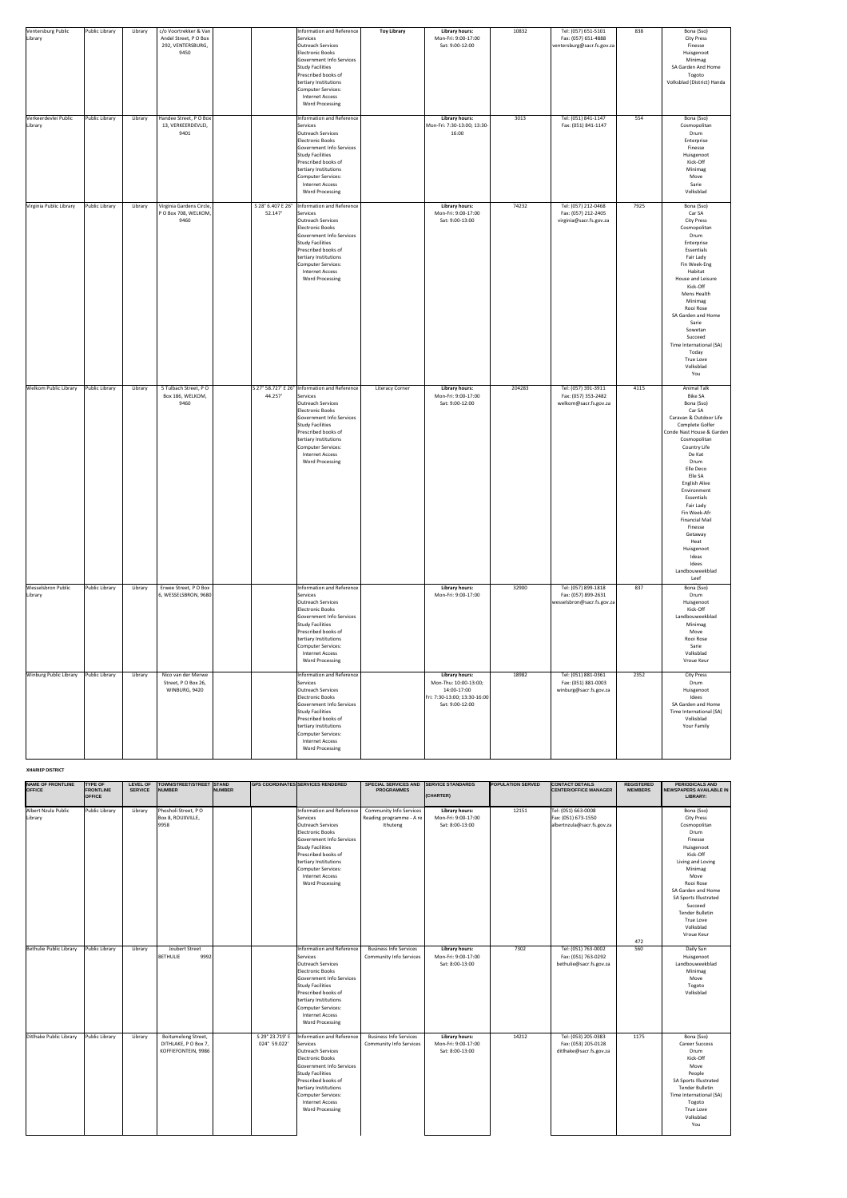| Ventersburg Public<br>Library<br>Verkeerdevlei Public<br>Library | Public Library<br>Public Library | Library<br>Library | c/o Voortrekker & Van<br>Andel Street, P O Box<br>292, VENTERSBURG,<br>9450<br>Handee Street, P O Box<br>13, VERKEERDEVLEI,<br>9401 |                              | Information and Reference<br>Services<br>Outreach Services<br>Electronic Books<br>Government Info Services<br><b>Study Facilities</b><br>Prescribed books of<br>tertiary Institutions<br>Computer Services:<br><b>Internet Access</b><br><b>Word Processing</b><br>Information and Reference<br>Services<br><b>Outreach Services</b><br>Electronic Books<br>Government Info Services<br><b>Study Facilities</b><br>Prescribed books of<br>tertiary Institutions<br>Computer Services:<br><b>Internet Access</b><br><b>Word Processing</b> | <b>Toy Library</b>     | <b>Library hours:</b><br>Mon-Fri: 9:00-17:00<br>Sat: 9:00-12:00<br><b>Library hours:</b><br>Mon-Fri: 7:30-13:00; 13:30-<br>16:00 | 10832<br>3013 | Tel: (057) 651-5101<br>Fax: (057) 651-4888<br>ventersburg@sacr.fs.gov.za<br>Tel: (051) 841-1147<br>Fax: (051) 841-1147 | 838<br>554 | Bona (Sso)<br><b>City Press</b><br>Finesse<br>Huisgenoot<br>Minimag<br>SA Garden And Home<br>Togoto<br>Volksblad (District) Handa<br>Bona (Sso)<br>Cosmopolitan<br>Drum<br>Enterprise<br>Finesse<br>Huisgenoot<br>Kick-Off<br>Minimag<br>Move<br>Sarie<br>Volksblad                                                                                                                                                  |
|------------------------------------------------------------------|----------------------------------|--------------------|-------------------------------------------------------------------------------------------------------------------------------------|------------------------------|-------------------------------------------------------------------------------------------------------------------------------------------------------------------------------------------------------------------------------------------------------------------------------------------------------------------------------------------------------------------------------------------------------------------------------------------------------------------------------------------------------------------------------------------|------------------------|----------------------------------------------------------------------------------------------------------------------------------|---------------|------------------------------------------------------------------------------------------------------------------------|------------|----------------------------------------------------------------------------------------------------------------------------------------------------------------------------------------------------------------------------------------------------------------------------------------------------------------------------------------------------------------------------------------------------------------------|
| Virginia Public Library                                          | Public Library                   | Library            | Virginia Gardens Circle,<br>P O Box 708, WELKOM,<br>9460                                                                            | S 28° 6.407 E 26°<br>52.147' | Information and Reference<br>Services<br>Outreach Services<br>Electronic Books<br>Government Info Services<br><b>Study Facilities</b><br>Prescribed books of<br>tertiary Institutions<br>Computer Services:<br><b>Internet Access</b><br><b>Word Processing</b>                                                                                                                                                                                                                                                                           |                        | <b>Library hours:</b><br>Mon-Fri: 9:00-17:00<br>Sat: 9:00-13:00                                                                  | 74232         | Tel: (057) 212-0468<br>Fax: (057) 212-2405<br>virginia@sacr.fs.gov.za                                                  | 7925       | Bona (Sso)<br>Car SA<br><b>City Press</b><br>Cosmopolitan<br>Drum<br>Enterprise<br>Essentials<br>Fair Lady<br>Fin Week-Eng<br>Habitat<br>House and Leisure<br>Kick-Off<br>Mens Health<br>Minimag<br>Rooi Rose<br>SA Garden and Home<br>Sarie<br>Sowetan<br>Succeed<br>Time International (SA)<br>Today<br><b>True Love</b><br>Volksblad<br>You                                                                       |
| <b>Welkom Public Library</b>                                     | Public Library                   | Library            | 5 Tulbach Street, PO<br>Box 186, WELKOM,<br>9460                                                                                    | 44.257'                      | S 27° 58.727' E 26° Information and Reference<br>Services<br>Outreach Services<br>Electronic Books<br>Government Info Services<br>Study Facilities<br>Prescribed books of<br>tertiary Institutions<br>Computer Services:<br>Internet Access<br><b>Word Processing</b>                                                                                                                                                                                                                                                                     | <b>Literacy Corner</b> | <b>Library hours:</b><br>Mon-Fri: 9:00-17:00<br>Sat: 9:00-12:00                                                                  | 204283        | Tel: (057) 391-3911<br>Fax: (057) 353-2482<br>welkom@sacr.fs.gov.za                                                    | 4115       | <b>Animal Talk</b><br><b>Bike SA</b><br>Bona (Sso)<br>Car SA<br>Caravan & Outdoor Life<br>Complete Golfer<br>Conde Nast House & Garden<br>Cosmopolitan<br>Country Life<br>De Kat<br>Drum<br>Elle Deco<br>Elle SA<br><b>English Alive</b><br>Environment<br>Essentials<br>Fair Lady<br>Fin Week-Afr<br><b>Financial Mail</b><br>Finesse<br>Getaway<br>Heat<br>Huisgenoot<br>Ideas<br>Idees<br>Landbouweekblad<br>Leef |
| <b>Wesselsbron Public</b><br>Library                             | Public Library                   | Library            | Erwee Street, PO Box<br>6, WESSELSBRON, 9680                                                                                        |                              | Information and Reference<br>Services<br>Outreach Services<br>Electronic Books<br>Government Info Services<br><b>Study Facilities</b><br>Prescribed books of<br>tertiary Institutions<br>Computer Services:<br><b>Internet Access</b><br><b>Word Processing</b>                                                                                                                                                                                                                                                                           |                        | <b>Library hours:</b><br>Mon-Fri: 9:00-17:00                                                                                     | 32900         | Tel: (057) 899-1818<br>Fax: (057) 899-2631<br>wesselsbron@sacr.fs.gov.za                                               | 837        | Bona (Sso)<br>Drum<br>Huisgenoot<br>Kick-Off<br>Landbouweekblad<br>Minimag<br>Move<br>Rooi Rose<br>Sarie<br>Volksblad<br>Vroue Keur                                                                                                                                                                                                                                                                                  |
| <b>Winburg Public Library</b>                                    | Public Library                   | Library            | Nico van der Merwe<br>Street, P O Box 26,<br>WINBURG, 9420                                                                          |                              | Information and Reference<br>Services<br>Outreach Services<br>Electronic Books<br>Government Info Services<br><b>Study Facilities</b><br>Prescribed books of<br>tertiary Institutions<br>Computer Services:<br><b>Internet Access</b><br><b>Word Processing</b>                                                                                                                                                                                                                                                                           |                        | <b>Library hours:</b><br>Mon-Thu: 10:00-13:00;<br>14:00-17:00<br>Fri: 7:30-13:00; 13:30-16:00<br>Sat: 9:00-12:00                 | 18982         | Tel: (051) 881-0361<br>Fax: (051) 881-0003<br>winburg@sacr.fs.gov.za                                                   | 2352       | <b>City Press</b><br>Drum<br>Huisgenoot<br>Idees<br>SA Garden and Home<br>Time International (SA)<br>Volksblad<br><b>Your Family</b>                                                                                                                                                                                                                                                                                 |

#### **XHARIEP DISTRICT**

| <b>NAME OF FRONTLINE</b><br><b>OFFICE</b> | <b>TYPE OF</b><br><b>FRONTLINE</b><br><b>OFFICE</b> | <b>LEVEL OF</b><br><b>SERVICE</b> | TOWN/STREET/STREET STAND<br><b>NUMBER</b>                          | <b>NUMBER</b> |                                 | <b>GPS COORDINATES SERVICES RENDERED</b>                                                                                                                                                                                                                 | SPECIAL SERVICES AND SERVICE STANDARDS<br><b>PROGRAMMES</b>            | (CHARTER)                                                       | <b>POPULATION SERVED</b> | <b>CONTACT DETAILS</b><br><b>CENTER/OFFICE MANAGER</b>                   | <b>REGISTERED</b><br><b>MEMBERS</b> | <b>PERIODICALS AND</b><br>NEWSPAPERS AVAILABLE IN<br><b>LIBRARY:</b>                                                                                                                                                                                                          |
|-------------------------------------------|-----------------------------------------------------|-----------------------------------|--------------------------------------------------------------------|---------------|---------------------------------|----------------------------------------------------------------------------------------------------------------------------------------------------------------------------------------------------------------------------------------------------------|------------------------------------------------------------------------|-----------------------------------------------------------------|--------------------------|--------------------------------------------------------------------------|-------------------------------------|-------------------------------------------------------------------------------------------------------------------------------------------------------------------------------------------------------------------------------------------------------------------------------|
|                                           |                                                     |                                   |                                                                    |               |                                 |                                                                                                                                                                                                                                                          |                                                                        |                                                                 |                          |                                                                          |                                     |                                                                                                                                                                                                                                                                               |
| Albert Nzula Public<br>Library            | <b>Public Library</b>                               | Library                           | Phosholi Street, PO<br>Box 8, ROUXVILLE,<br>9958                   |               |                                 | Information and Reference<br>Services<br>Outreach Services<br>Electronic Books<br>Government Info Services<br>Study Facilities<br>Prescribed books of<br>tertiary Institutions<br>Computer Services:<br><b>Internet Access</b><br><b>Word Processing</b> | <b>Community Info Services</b><br>Reading programme - A re<br>Ithuteng | <b>Library hours:</b><br>Mon-Fri: 9:00-17:00<br>Sat: 8:00-13:00 | 12151                    | Tel: (051) 663-0008<br>Fax: (051) 673-1550<br>albertnzula@sacr.fs.gov.za | 472                                 | Bona (Sso)<br><b>City Press</b><br>Cosmopolitan<br>Drum<br>Finesse<br>Huisgenoot<br>Kick-Off<br>Living and Loving<br>Minimag<br>Move<br>Rooi Rose<br>SA Garden and Home<br>SA Sports Illustrated<br>Succeed<br><b>Tender Bulletin</b><br>True Love<br>Volksblad<br>Vroue Keur |
| Bethulie Public Library                   | <b>Public Library</b>                               | Library                           | Joubert Street<br>9992<br><b>BETHULIE</b>                          |               |                                 | Information and Reference<br>Services<br>Outreach Services<br>Electronic Books<br>Government Info Services<br>Study Facilities<br>Prescribed books of<br>tertiary Institutions<br>Computer Services:<br><b>Internet Access</b><br><b>Word Processing</b> | <b>Business Info Services</b><br><b>Community Info Services</b>        | <b>Library hours:</b><br>Mon-Fri: 9:00-17:00<br>Sat: 8:00-13:00 | 7302                     | Tel: (051) 763-0002<br>Fax: (051) 763-0292<br>bethulie@sacr.fs.gov.za    | 560                                 | Daily Sun<br>Huisgenoot<br>Landbouweekblad<br>Minimag<br>Move<br>Togoto<br>Volksblad                                                                                                                                                                                          |
| Ditlhake Public Library                   | Public Library                                      | Library                           | Boitumelong Street,<br>DITHLAKE, P O Box 7,<br>KOFFIEFONTEIN, 9986 |               | S 29° 23.719' E<br>024° 59.022' | Information and Reference<br>Services<br>Outreach Services<br>Electronic Books<br>Government Info Services<br>Study Facilities<br>Prescribed books of<br>tertiary Institutions<br>Computer Services:<br><b>Internet Access</b><br><b>Word Processing</b> | <b>Business Info Services</b><br><b>Community Info Services</b>        | <b>Library hours:</b><br>Mon-Fri: 9:00-17:00<br>Sat: 8:00-13:00 | 14212                    | Tel: (053) 205-0383<br>Fax: (053) 205-0128<br>ditlhake@sacr.fs.gov.za    | 1175                                | Bona (Sso)<br><b>Career Success</b><br>Drum<br>Kick-Off<br>Move<br>People<br>SA Sports Illustrated<br>Tender Bulletin<br>Time International (SA)<br>Togoto<br>True Love<br>Volksblad<br>You                                                                                   |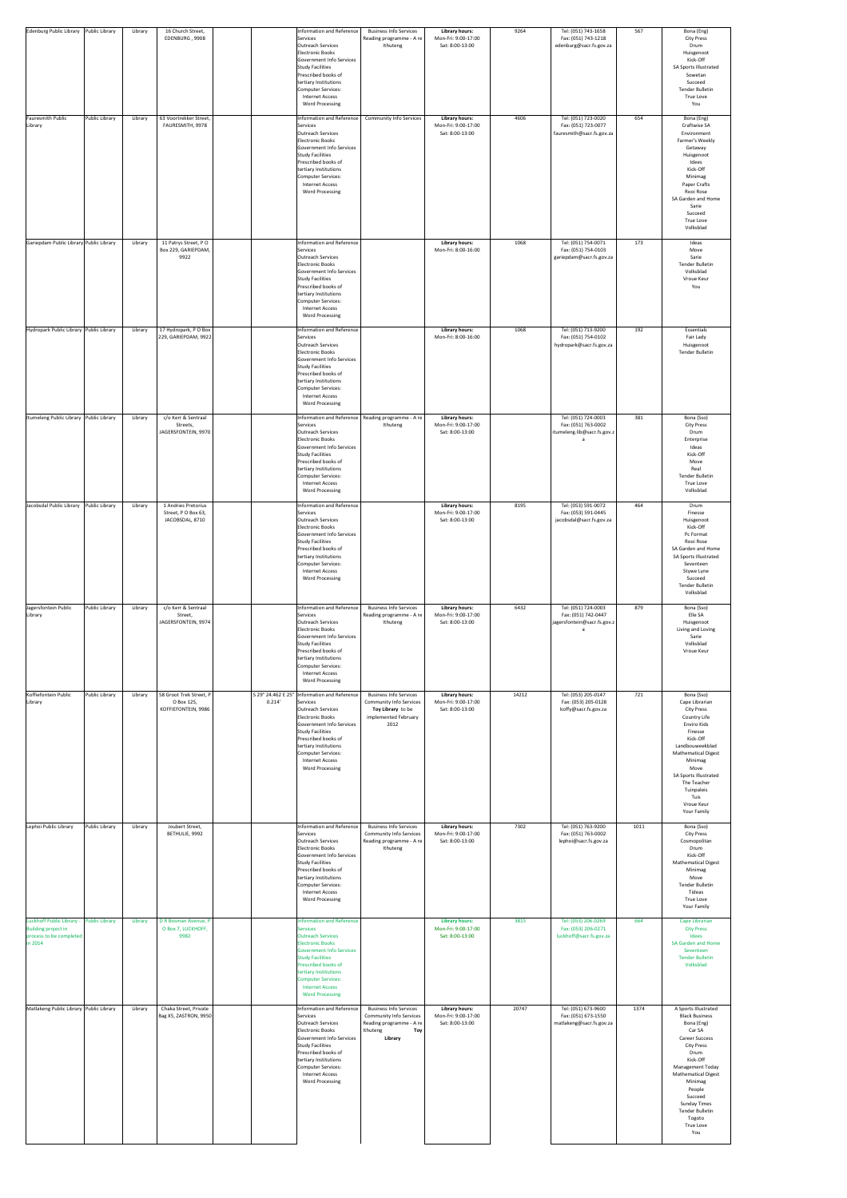| Edenburg Public Library                                                                       | Public Library        | Library | 16 Church Street,<br>EDENBURG, 9908                          |        | Information and Reference<br>Services<br>Outreach Services<br>Electronic Books<br>Government Info Services<br>Study Facilities<br>Prescribed books of<br>tertiary Institutions<br>Computer Services:<br><b>Internet Access</b><br><b>Word Processing</b>                                                         | <b>Business Info Services</b><br>Reading programme - A re<br>Ithuteng                                                            | <b>Library hours:</b><br>Mon-Fri: 9:00-17:00<br>Sat: 8:00-13:00 | 9264  | Tel: (051) 743-1658<br>Fax: (051) 743-1218<br>edenburg@sacr.fs.gov.za     | 567  | Bona (Eng)<br><b>City Press</b><br>Drum<br>Huisgenoot<br>Kick-Off<br>SA Sports Illustrated<br>Sowetan<br>Succeed<br><b>Tender Bulletin</b><br>True Love<br>You                                                                                                                                                  |
|-----------------------------------------------------------------------------------------------|-----------------------|---------|--------------------------------------------------------------|--------|------------------------------------------------------------------------------------------------------------------------------------------------------------------------------------------------------------------------------------------------------------------------------------------------------------------|----------------------------------------------------------------------------------------------------------------------------------|-----------------------------------------------------------------|-------|---------------------------------------------------------------------------|------|-----------------------------------------------------------------------------------------------------------------------------------------------------------------------------------------------------------------------------------------------------------------------------------------------------------------|
| <b>Fauresmith Public</b><br>Library                                                           | Public Library        | Library | 63 Voortrekker Street,<br>FAURESMITH, 9978                   |        | Information and Reference<br>Services<br><b>Outreach Services</b><br>Electronic Books<br>Government Info Services<br>Study Facilities<br>Prescribed books of<br>tertiary Institutions<br>Computer Services:<br><b>Internet Access</b><br><b>Word Processing</b>                                                  | <b>Community Info Services</b>                                                                                                   | <b>Library hours:</b><br>Mon-Fri: 9:00-17:00<br>Sat: 8:00-13:00 | 4606  | Tel: (051) 723-0020<br>Fax: (051) 723-0077<br>fauresmith@sacr.fs.gov.za   | 654  | Bona (Eng)<br>Craftwise SA<br>Environment<br>Farmer's Weekly<br>Getaway<br>Huisgenoot<br>Idees<br>Kick-Off<br>Minimag<br>Paper Crafts<br>Rooi Rose<br>SA Garden and Home<br>Sarie<br>Succeed<br>True Love<br>Volksblad                                                                                          |
| Gariepdam Public Library Public Library                                                       |                       | Library | 11 Patrys Street, PO<br>Box 229, GARIEPDAM,<br>9922          |        | Information and Reference<br>Services<br>Outreach Services<br>Electronic Books<br>Government Info Services<br>Study Facilities<br>Prescribed books of<br>tertiary Institutions<br>Computer Services:<br>Internet Access<br><b>Word Processing</b>                                                                |                                                                                                                                  | <b>Library hours:</b><br>Mon-Fri: 8:00-16:00                    | 1068  | Tel: (051) 754-0071<br>Fax: (051) 754-0103<br>gariepdam@sacr.fs.gov.za    | 173  | Ideas<br>Move<br>Sarie<br><b>Tender Bulletin</b><br>Volksblad<br>Vroue Keur<br>You                                                                                                                                                                                                                              |
| Hydropark Public Library Public Library                                                       |                       | Library | 17 Hydropark, P O Box<br>229, GARIEPDAM, 9922                |        | Information and Reference<br>Services<br>Outreach Services<br>Electronic Books<br>Government Info Services<br>Study Facilities<br>Prescribed books of<br>tertiary Institutions<br>Computer Services:<br>Internet Access<br><b>Word Processing</b>                                                                |                                                                                                                                  | <b>Library hours:</b><br>Mon-Fri: 8:00-16:00                    | 1068  | Tel: (051) 713-9200<br>Fax: (051) 754-0102<br>hydropark@sacr.fs.gov.za    | 192  | Essentials<br>Fair Lady<br>Huisgenoot<br><b>Tender Bulletin</b>                                                                                                                                                                                                                                                 |
| Itumeleng Public Library Public Library                                                       |                       | Library | c/o Kerr & Sentraal<br>Streets,<br>JAGERSFONTEIN, 9970       |        | Services<br>Outreach Services<br>Electronic Books<br>Government Info Services<br>Study Facilities<br>Prescribed books of<br>tertiary Institutions<br>Computer Services:<br><b>Internet Access</b><br><b>Word Processing</b>                                                                                      | Information and Reference   Reading programme - A re  <br>Ithuteng                                                               | <b>Library hours:</b><br>Mon-Fri: 9:00-17:00<br>Sat: 8:00-13:00 |       | Tel: (051) 724-0003<br>Fax: (051) 763-0002<br>itumeleng.lib@sacr.fs.gov.z | 381  | Bona (Sso)<br><b>City Press</b><br>Drum<br>Enterprise<br>Ideas<br>Kick-Off<br>Move<br>Real<br><b>Tender Bulletin</b><br>True Love<br>Volksblad                                                                                                                                                                  |
| Jacobsdal Public Library                                                                      | Public Library        | Library | 1 Andries Pretorius<br>Street, PO Box 63,<br>JACOBSDAL, 8710 |        | Information and Reference<br>Services<br><b>Outreach Services</b><br>Electronic Books<br>Government Info Services<br>Study Facilities<br>Prescribed books of<br>tertiary Institutions<br>Computer Services:<br><b>Internet Access</b><br><b>Word Processing</b>                                                  |                                                                                                                                  | <b>Library hours:</b><br>Mon-Fri: 9:00-17:00<br>Sat: 8:00-13:00 | 8195  | Tel: (053) 591-0072<br>Fax: (053) 591-0445<br>jacobsdal@sacr.fs.gov.za    | 464  | Drum<br>Finesse<br>Huisgenoot<br>Kick-Off<br>Pc Format<br>Rooi Rose<br>SA Garden and Home<br>SA Sports Illustrated<br>Seventeen<br>Stywe Lyne<br>Succeed<br><b>Tender Bulletin</b><br>Volksblad                                                                                                                 |
| Jagersfontein Public<br>Library                                                               | Public Library        | Library | c/o Kerr & Sentraal<br>Street,<br>JAGERSFONTEIN, 9974        |        | Information and Reference<br>Services<br><b>Outreach Services</b><br>Electronic Books<br>Government Info Services<br>Study Facilities<br>Prescribed books of<br>tertiary Institutions<br>Computer Services:<br><b>Internet Access</b><br><b>Word Processing</b>                                                  | <b>Business Info Services</b><br>Reading programme - A re<br>Ithuteng                                                            | <b>Library hours:</b><br>Mon-Fri: 9:00-17:00<br>Sat: 8:00-13:00 | 6432  | Tel: (051) 724-0003<br>Fax: (051) 742-0447<br>jagersfontein@sacr.fs.gov.z | 879  | Bona (Sso)<br>Elle SA<br>Huisgenoot<br>Living and Loving<br>Sarie<br>Volksblad<br>Vroue Keur                                                                                                                                                                                                                    |
| Koffiefontein Public<br>Library                                                               | Public Library        | Library | 58 Groot Trek Street, P<br>O Box 125,<br>KOFFIEFONTEIN, 9986 | 0.214' | S 29° 24.462 E 25° Information and Reference<br>Services<br><b>Outreach Services</b><br>Electronic Books<br>Government Info Services<br>Study Facilities<br>Prescribed books of<br>tertiary Institutions<br>Computer Services:<br>Internet Access<br><b>Word Processing</b>                                      | <b>Business Info Services</b><br>Community Info Services  <br>Toy Library to be<br>implemented February<br>2012                  | <b>Library hours:</b><br>Mon-Fri: 9:00-17:00<br>Sat: 8:00-13:00 | 14212 | Tel: (053) 205-0147<br>Fax: (053) 205-0128<br>koffy@sacr.fs.gov.za        | 721  | Bona (Sso)<br>Cape Librarian<br><b>City Press</b><br>Country Life<br>Enviro Kids<br>Finesse<br>Kick-Off<br>Landbouweekblad<br><b>Mathematical Digest</b><br>Minimag<br>Move<br>SA Sports Illustrated<br>The Teacher<br>Tuinpaleis<br>Tuis<br>Vroue Keur<br>Your Family                                          |
| Lephoi Public Library                                                                         | Public Library        | Library | Joubert Street,<br>BETHULIE, 9992                            |        | Information and Reference<br>Services<br>Outreach Services<br>Electronic Books<br>Government Info Services<br>Study Facilities<br>Prescribed books of<br>tertiary Institutions<br>Computer Services:<br>Internet Access<br><b>Word Processing</b>                                                                | <b>Business Info Services</b><br><b>Community Info Services</b><br>Reading programme - A re<br>Ithuteng                          | <b>Library hours:</b><br>Mon-Fri: 9:00-17:00<br>Sat: 8:00-13:00 | 7302  | Tel: (051) 763-9200<br>Fax: (051) 763-0002<br>lephoi@sacr.fs.gov.za       | 1011 | Bona (Sso)<br><b>City Press</b><br>Cosmopolitan<br>Drum<br>Kick-Off<br><b>Mathematical Digest</b><br>Minimag<br>Move<br><b>Tender Bulletin</b><br>Tideas<br><b>True Love</b><br>Your Family                                                                                                                     |
| Luckhoff Public Library -<br><b>Building project in</b><br>process to be completed<br>in 2014 | <b>Public Library</b> | Library | D R Bosman Avenue, P<br>O Box 7, LUCKHOFF,<br>9982           |        | <b>Information and Reference</b><br><b>Dervices</b><br><b>Outreach Services</b><br><b>Electronic Books</b><br><b>Government Info Services</b><br><b>Study Facilities</b><br><b>Prescribed books of</b><br>tertiary Institutions<br><b>Computer Services:</b><br><b>Internet Access</b><br><b>Word Processing</b> |                                                                                                                                  | <b>Library hours:</b><br>Mon-Fri: 9:00-17:00<br>Sat: 8:00-13:00 | 3815  | Tel: (053) 206-0269<br>Fax: (053) 206-0271<br>luckhoff@sacr.fs.gov.za     | 664  | <b>Cape Librarian</b><br><b>City Press</b><br>Idees<br><b>SA Garden and Home</b><br>Seventeen<br><b>Tender Bulletin</b><br>Volksblad                                                                                                                                                                            |
| Matlakeng Public Library Public Library                                                       |                       | Library | Chaka Street, Private<br>Bag X5, ZASTRON, 9950               |        | Information and Reference<br>Services<br>Outreach Services<br><b>Electronic Books</b><br>Government Info Services<br>Study Facilities<br>Prescribed books of<br>tertiary Institutions<br>Computer Services:<br><b>Internet Access</b><br><b>Word Processing</b>                                                  | <b>Business Info Services</b><br><b>Community Info Services</b><br>Reading programme - A re<br>Ithuteng<br>Toy<br><b>Library</b> | <b>Library hours:</b><br>Mon-Fri: 9:00-17:00<br>Sat: 8:00-13:00 | 20747 | Tel: (051) 673-9600<br>Fax: (051) 673-1550<br>matlakeng@sacr.fs.gov.za    | 1374 | A Sports Illustrated<br><b>Black Business</b><br>Bona (Eng)<br>Car SA<br><b>Career Success</b><br><b>City Press</b><br>Drum<br>Kick-Off<br><b>Management Today</b><br><b>Mathematical Digest</b><br>Minimag<br>People<br>Succeed<br><b>Sunday Times</b><br><b>Tender Bulletin</b><br>Togoto<br>True Love<br>You |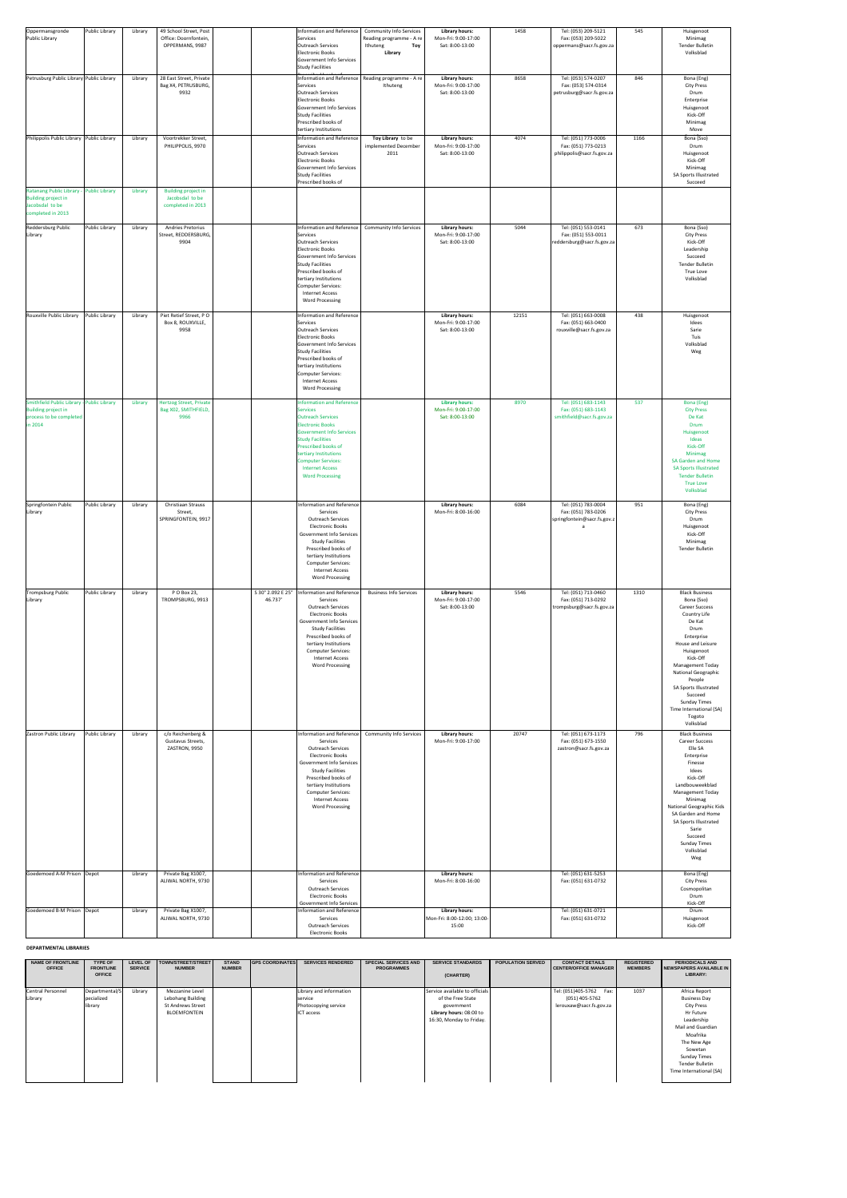| Oppermansgronde<br>Public Library                                                                              | Public Library | Library | 49 School Street, Post<br>Office: Doornfontein,<br>OPPERMANS, 9987 |                              | Information and Reference<br>Services<br>Outreach Services<br>Electronic Books                                                                                                                                                                                                                            | <b>Community Info Services</b><br>Reading programme - A re<br>Ithuteng<br>Toy<br>Library | <b>Library hours:</b><br>Mon-Fri: 9:00-17:00<br>Sat: 8:00-13:00 | 1458  | Tel: (053) 209-5121<br>Fax: (053) 209-5022<br>oppermans@sacr.fs.gov.za    | 545  | Huisgenoot<br>Minimag<br><b>Tender Bulletin</b><br>Volksblad                                                                                                                                                                                                                                                                   |
|----------------------------------------------------------------------------------------------------------------|----------------|---------|--------------------------------------------------------------------|------------------------------|-----------------------------------------------------------------------------------------------------------------------------------------------------------------------------------------------------------------------------------------------------------------------------------------------------------|------------------------------------------------------------------------------------------|-----------------------------------------------------------------|-------|---------------------------------------------------------------------------|------|--------------------------------------------------------------------------------------------------------------------------------------------------------------------------------------------------------------------------------------------------------------------------------------------------------------------------------|
| Petrusburg Public Library Public Library                                                                       |                | Library | 28 East Street, Private<br>Bag X4, PETRUSBURG,                     |                              | Government Info Services<br><b>Study Facilities</b><br>Services                                                                                                                                                                                                                                           | Information and Reference   Reading programme - A re  <br>Ithuteng                       | Library hours:<br>Mon-Fri: 9:00-17:00                           | 8658  | Tel: (053) 574-0207<br>Fax: (053) 574-0314                                | 846  | Bona (Eng)<br><b>City Press</b>                                                                                                                                                                                                                                                                                                |
|                                                                                                                |                |         | 9932                                                               |                              | Outreach Services<br>Electronic Books<br>Government Info Services<br><b>Study Facilities</b><br>Prescribed books of<br>tertiary Institutions                                                                                                                                                              |                                                                                          | Sat: 8:00-13:00                                                 |       | petrusburg@sacr.fs.gov.za                                                 |      | Drum<br>Enterprise<br>Huisgenoot<br>Kick-Off<br>Minimag<br>Move                                                                                                                                                                                                                                                                |
| Philippolis Public Library Public Library                                                                      |                | Library | Voortrekker Street,<br>PHILIPPOLIS, 9970                           |                              | Information and Reference<br>Services<br>Outreach Services<br>Electronic Books<br>Government Info Services<br><b>Study Facilities</b><br>Prescribed books of                                                                                                                                              | Toy Library to be<br>implemented December<br>2011                                        | <b>Library hours:</b><br>Mon-Fri: 9:00-17:00<br>Sat: 8:00-13:00 | 4074  | Tel: (051) 773-0006<br>Fax: (051) 773-0213<br>philippolis@sacr.fs.gov.za  | 1166 | Bona (Sso)<br>Drum<br>Huisgenoot<br>Kick-Off<br>Minimag<br>SA Sports Illustrated<br>Succeed                                                                                                                                                                                                                                    |
| Ratanang Public Library - Public Library<br><b>Building project in</b><br>Jacobsdal to be<br>completed in 2013 |                | Library | <b>Building project in</b><br>Jacobsdal to be<br>completed in 2013 |                              |                                                                                                                                                                                                                                                                                                           |                                                                                          |                                                                 |       |                                                                           |      |                                                                                                                                                                                                                                                                                                                                |
| Reddersburg Public<br>Library                                                                                  | Public Library | Library | <b>Andries Pretorius</b><br>Street, REDDERSBURG,<br>9904           |                              | Information and Reference<br>Services<br><b>Outreach Services</b><br><b>Electronic Books</b><br>Government Info Services<br>Study Facilities<br>Prescribed books of<br>tertiary Institutions<br>Computer Services:<br><b>Internet Access</b><br><b>Word Processing</b>                                    | <b>Community Info Services</b>                                                           | <b>Library hours:</b><br>Mon-Fri: 9:00-17:00<br>Sat: 8:00-13:00 | 5044  | Tel: (051) 553-0141<br>Fax: (051) 553-0011<br>reddersburg@sacr.fs.gov.za  | 673  | Bona (Sso)<br><b>City Press</b><br>Kick-Off<br>Leadership<br>Succeed<br><b>Tender Bulletin</b><br>True Love<br>Volksblad                                                                                                                                                                                                       |
| Rouxville Public Library                                                                                       | Public Library | Library | Piet Retief Street, PO<br>Box 8, ROUXVILLE,<br>9958                |                              | Information and Reference<br>Services<br>Outreach Services<br>Electronic Books<br>Government Info Services<br>Study Facilities<br>Prescribed books of<br>tertiary Institutions<br>Computer Services:<br><b>Internet Access</b><br><b>Word Processing</b>                                                  |                                                                                          | <b>Library hours:</b><br>Mon-Fri: 9:00-17:00<br>Sat: 8:00-13:00 | 12151 | Tel: (051) 663-0008<br>Fax: (051) 663-0400<br>rouxville@sacr.fs.gov.za    | 438  | Huisgenoot<br>Idees<br>Sarie<br>Tuis<br>Volksblad<br>Weg                                                                                                                                                                                                                                                                       |
| Smithfield Public Library - Public Library<br><b>Building project in</b><br>process to be completed<br>in 2014 |                | Library | <b>Hertzog Street, Private</b><br>Bag X02, SMITHFIELD,<br>9966     |                              | <b>Information and Reference</b><br><b>Services</b><br><b>Outreach Services</b><br><b>Electronic Books</b><br><b>Government Info Services</b><br><b>Study Facilities</b><br>Prescribed books of<br>tertiary Institutions<br><b>Computer Services:</b><br><b>Internet Access</b><br><b>Word Processing</b> |                                                                                          | <b>Library hours:</b><br>Mon-Fri: 9:00-17:00<br>Sat: 8:00-13:00 | 8970  | Tel: (051) 683-1143<br>Fax: (051) 683-1143<br>smithfield@sacr.fs.gov.za   | 537  | Bona (Eng)<br><b>City Press</b><br>De Kat<br><b>Drum</b><br>Huisgenoot<br>Ideas<br>Kick-Off<br>Minimag<br><b>SA Garden and Home</b><br><b>SA Sports Illustrated</b><br><b>Tender Bulletin</b><br><b>True Love</b><br>Volksblad                                                                                                 |
| Springfontein Public<br>Library                                                                                | Public Library | Library | Christiaan Strauss<br>Street,<br>SPRINGFONTEIN, 9917               |                              | Information and Reference<br>Services<br><b>Outreach Services</b><br><b>Electronic Books</b><br><b>Government Info Services</b><br><b>Study Facilities</b><br>Prescribed books of<br>tertiary Institutions<br><b>Computer Services:</b><br><b>Internet Access</b><br><b>Word Processing</b>               |                                                                                          | <b>Library hours:</b><br>Mon-Fri: 8:00-16:00                    | 6084  | Tel: (051) 783-0004<br>Fax: (051) 783-0206<br>springfontein@sacr.fs.gov.z | 951  | Bona (Eng)<br><b>City Press</b><br>Drum<br>Huisgenoot<br>Kick-Off<br>Minimag<br><b>Tender Bulletin</b>                                                                                                                                                                                                                         |
| <b>Trompsburg Public</b><br>Library                                                                            | Public Library | Library | PO Box 23,<br>TROMPSBURG, 9913                                     | S 30° 2.092 E 25°<br>46.737' | Information and Reference<br>Services<br><b>Outreach Services</b><br><b>Electronic Books</b><br><b>Government Info Services</b><br><b>Study Facilities</b><br>Prescribed books of<br>tertiary Institutions<br><b>Computer Services:</b><br><b>Internet Access</b><br><b>Word Processing</b>               | <b>Business Info Services</b>                                                            | <b>Library hours:</b><br>Mon-Fri: 9:00-17:00<br>Sat: 8:00-13:00 | 5546  | Tel: (051) 713-0460<br>Fax: (051) 713-0292<br>trompsburg@sacr.fs.gov.za   | 1310 | <b>Black Business</b><br>Bona (Sso)<br><b>Career Success</b><br>Country Life<br>De Kat<br>Drum<br>Enterprise<br>House and Leisure<br>Huisgenoot<br>Kick-Off<br><b>Management Today</b><br>National Geographic<br>People<br>SA Sports Illustrated<br>Succeed<br><b>Sunday Times</b><br>Time International (SA)<br>Togoto        |
| Zastron Public Library                                                                                         | Public Library | Library | c/o Reichenberg &<br>Gustavus Streets,<br>ZASTRON, 9950            |                              | Information and Reference<br>Services<br><b>Outreach Services</b><br><b>Electronic Books</b><br><b>Government Info Services</b><br><b>Study Facilities</b><br>Prescribed books of<br>tertiary Institutions<br><b>Computer Services:</b><br><b>Internet Access</b><br><b>Word Processing</b>               | <b>Community Info Services</b>                                                           | <b>Library hours:</b><br>Mon-Fri: 9:00-17:00                    | 20747 | Tel: (051) 673-1173<br>Fax: (051) 673-1550<br>zastron@sacr.fs.gov.za      | 796  | Volksblad<br><b>Black Business</b><br><b>Career Success</b><br>Elle SA<br>Enterprise<br>Finesse<br>Idees<br>Kick-Off<br>Landbouweekblad<br><b>Management Today</b><br>Minimag<br><b>National Geographic Kids</b><br>SA Garden and Home<br>SA Sports Illustrated<br>Sarie<br>Succeed<br><b>Sunday Times</b><br>Volksblad<br>Weg |
| Goedemoed A-M Prison Depot                                                                                     |                | Library | Private Bag X1007,<br>ALIWAL NORTH, 9730                           |                              | <b>Information and Reference</b><br>Services<br><b>Outreach Services</b><br><b>Electronic Books</b>                                                                                                                                                                                                       |                                                                                          | <b>Library hours:</b><br>Mon-Fri: 8:00-16:00                    |       | Tel: (051) 631-5253<br>Fax: (051) 631-0732                                |      | Bona (Eng)<br><b>City Press</b><br>Cosmopolitan<br>Drum                                                                                                                                                                                                                                                                        |
| Goedemoed B-M Prison Depot                                                                                     |                | Library | Private Bag X1007,<br>ALIWAL NORTH, 9730                           |                              | <b>Government Info Services</b><br><b>Information and Reference</b><br>Services<br><b>Outreach Services</b><br><b>Electronic Books</b>                                                                                                                                                                    |                                                                                          | <b>Library hours:</b><br>Mon-Fri: 8:00-12:00; 13:00-<br>15:00   |       | Tel: (051) 631-0721<br>Fax: (051) 631-0732                                |      | Kick-Off<br>Drum<br>Huisgenoot<br>Kick-Off                                                                                                                                                                                                                                                                                     |

#### **DEPARTMENTAL LIBRARIES**

| <b>NAME OF FRONTLINE</b><br><b>OFFICE</b> | <b>TYPE OF</b><br><b>FRONTLINE</b> | <b>LEVEL OF</b><br><b>SERVICE</b> | TOWN/STREET/STREET<br><b>NUMBER</b> | <b>STAND</b><br><b>NUMBER</b> | <b>GPS COORDINATES</b> | <b>SERVICES RENDERED</b> | <b>SPECIAL SERVICES AND</b><br><b>PROGRAMMES</b> | <b>SERVICE STANDARDS</b>       | <b>POPULATION SERVED</b> | <b>CONTACT DETAILS</b><br><b>CENTER/OFFICE MANAGER  </b> | <b>REGISTERED</b><br><b>MEMBERS</b> | <b>PERIODICALS AND</b><br>NEWSPAPERS AVAILABLE IN |
|-------------------------------------------|------------------------------------|-----------------------------------|-------------------------------------|-------------------------------|------------------------|--------------------------|--------------------------------------------------|--------------------------------|--------------------------|----------------------------------------------------------|-------------------------------------|---------------------------------------------------|
|                                           | <b>OFFICE</b>                      |                                   |                                     |                               |                        |                          |                                                  | (CHARTER)                      |                          |                                                          |                                     | <b>LIBRARY:</b>                                   |
| <b>Central Personnel</b>                  | Departmental/S                     | Library                           | Mezzanine Level                     |                               |                        | Library and information  |                                                  | Service available to officials |                          | Tel: (051)405-5762<br>Fax:                               | 1037                                | Africa Report                                     |
| Library                                   | pecialized                         |                                   | Lebohang Building                   |                               |                        | service                  |                                                  | of the Free State              |                          | (051) 405-5762                                           |                                     | <b>Business Day</b>                               |
|                                           | library                            |                                   | <b>St Andrews Street</b>            |                               |                        | Photocopying service     |                                                  | government                     |                          | lerouxaw@sacr.fs.gov.za                                  |                                     | <b>City Press</b>                                 |
|                                           |                                    |                                   | BLOEMFONTEIN                        |                               |                        | <b>ICT</b> access        |                                                  | Library hours: 08:00 to        |                          |                                                          |                                     | Hr Future                                         |
|                                           |                                    |                                   |                                     |                               |                        |                          |                                                  | 16:30, Monday to Friday.       |                          |                                                          |                                     | Leadership                                        |
|                                           |                                    |                                   |                                     |                               |                        |                          |                                                  |                                |                          |                                                          |                                     | Mail and Guardian                                 |
|                                           |                                    |                                   |                                     |                               |                        |                          |                                                  |                                |                          |                                                          |                                     | Moafrika                                          |
|                                           |                                    |                                   |                                     |                               |                        |                          |                                                  |                                |                          |                                                          |                                     | The New Age                                       |
|                                           |                                    |                                   |                                     |                               |                        |                          |                                                  |                                |                          |                                                          |                                     | Sowetan                                           |
|                                           |                                    |                                   |                                     |                               |                        |                          |                                                  |                                |                          |                                                          |                                     | <b>Sunday Times</b>                               |
|                                           |                                    |                                   |                                     |                               |                        |                          |                                                  |                                |                          |                                                          |                                     | Tender Bulletin                                   |
|                                           |                                    |                                   |                                     |                               |                        |                          |                                                  |                                |                          |                                                          |                                     | Time International (SA)                           |